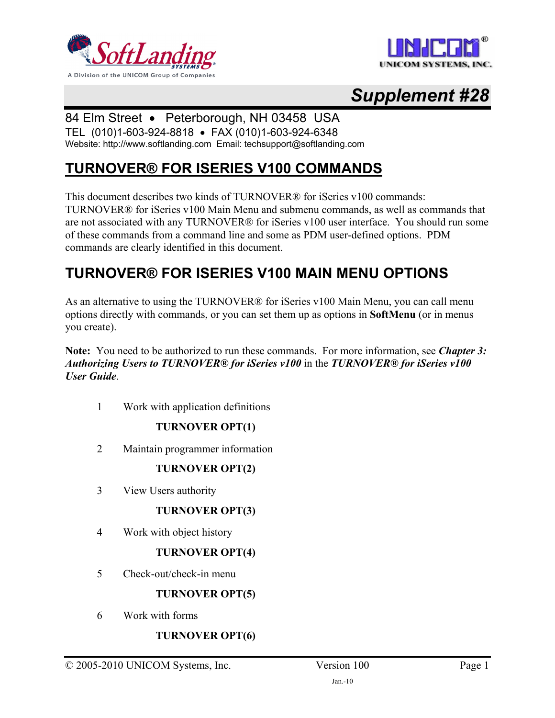



# *Supplement #28*

# 84 Elm Street • Peterborough, NH 03458 USA

TEL (010)1-603-924-8818 • FAX (010)1-603-924-6348 Website: http://www.softlanding.com Email: techsupport@softlanding.com

# **TURNOVER® FOR ISERIES V100 COMMANDS**

This document describes two kinds of TURNOVER® for iSeries v100 commands: TURNOVER® for iSeries v100 Main Menu and submenu commands, as well as commands that are not associated with any TURNOVER® for iSeries v100 user interface. You should run some of these commands from a command line and some as PDM user-defined options. PDM commands are clearly identified in this document.

# **TURNOVER® FOR ISERIES V100 MAIN MENU OPTIONS**

As an alternative to using the TURNOVER® for iSeries v100 Main Menu, you can call menu options directly with commands, or you can set them up as options in **SoftMenu** (or in menus you create).

**Note:** You need to be authorized to run these commands. For more information, see *Chapter 3: Authorizing Users to TURNOVER® for iSeries v100* in the *TURNOVER® for iSeries v100 User Guide*.

1 Work with application definitions

# **TURNOVER OPT(1)**

2 Maintain programmer information

# **TURNOVER OPT(2)**

3 View Users authority

# **TURNOVER OPT(3)**

4 Work with object history

# **TURNOVER OPT(4)**

5 Check-out/check-in menu

# **TURNOVER OPT(5)**

6 Work with forms

# **TURNOVER OPT(6)**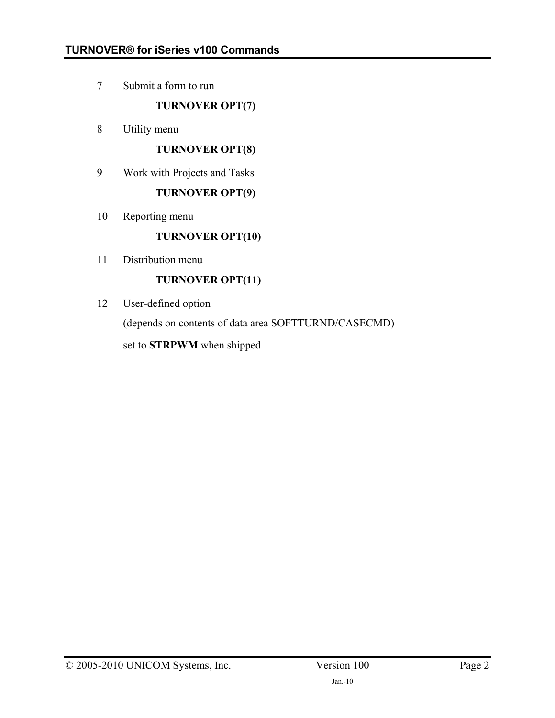7 Submit a form to run

**TURNOVER OPT(7)**

8 Utility menu

### **TURNOVER OPT(8)**

9 Work with Projects and Tasks

### **TURNOVER OPT(9)**

10 Reporting menu

# **TURNOVER OPT(10)**

11 Distribution menu

# **TURNOVER OPT(11)**

12 User-defined option

(depends on contents of data area SOFTTURND/CASECMD)

set to **STRPWM** when shipped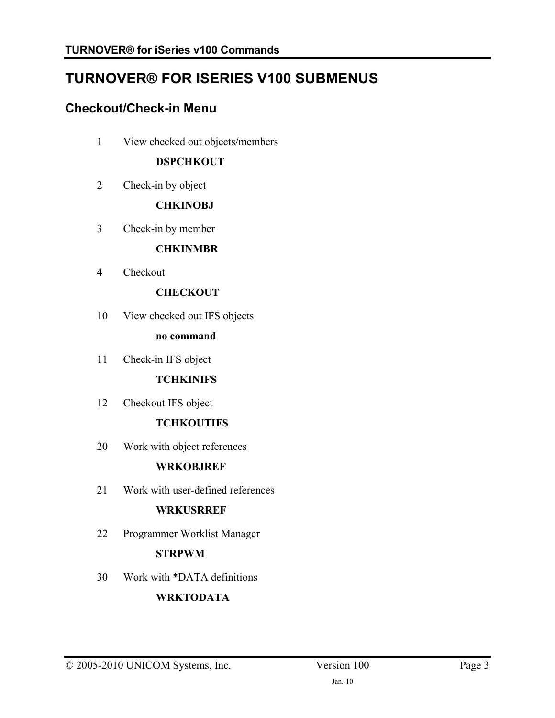# **TURNOVER® FOR ISERIES V100 SUBMENUS**

# **Checkout/Check-in Menu**

1 View checked out objects/members

# **DSPCHKOUT**

2 Check-in by object

# **CHKINOBJ**

3 Check-in by member

### **CHKINMBR**

4 Checkout

# **CHECKOUT**

10 View checked out IFS objects

### **no command**

11 Check-in IFS object

## **TCHKINIFS**

12 Checkout IFS object

# **TCHKOUTIFS**

20 Work with object references

# **WRKOBJREF**

21 Work with user-defined references

# **WRKUSRREF**

22 Programmer Worklist Manager

# **STRPWM**

30 Work with \*DATA definitions

# **WRKTODATA**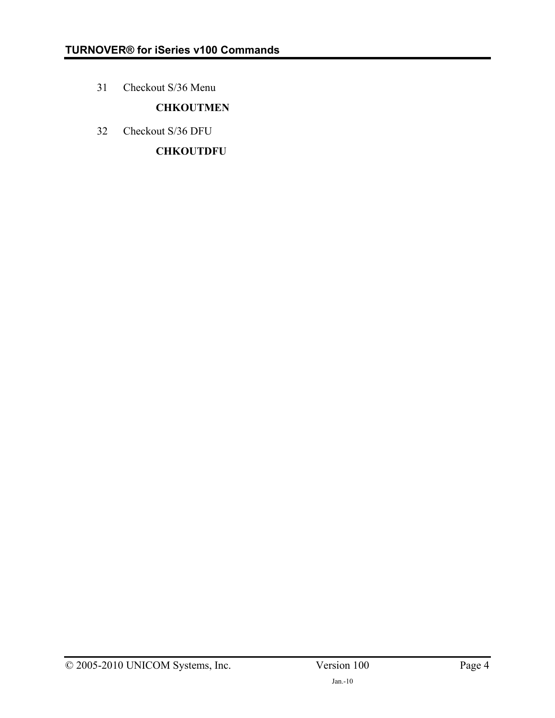31 Checkout S/36 Menu

# **CHKOUTMEN**

32 Checkout S/36 DFU

**CHKOUTDFU**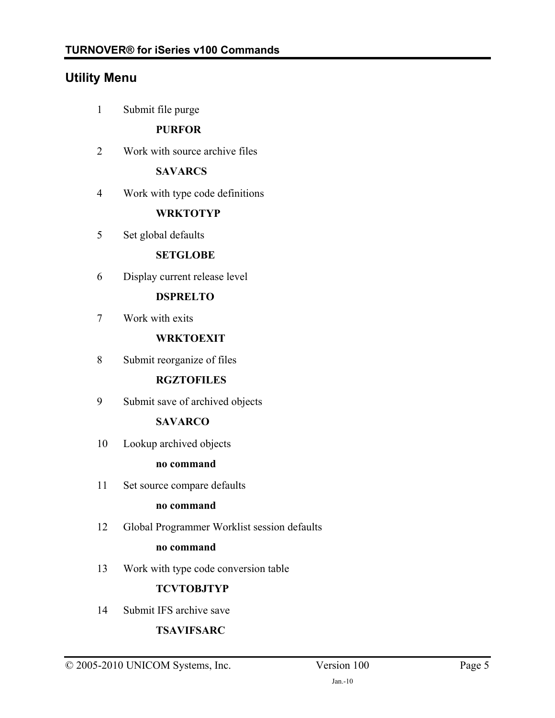# **Utility Menu**

1 Submit file purge

# **PURFOR**

2 Work with source archive files

# **SAVARCS**

4 Work with type code definitions

### **WRKTOTYP**

5 Set global defaults

### **SETGLOBE**

6 Display current release level

# **DSPRELTO**

7 Work with exits

### **WRKTOEXIT**

8 Submit reorganize of files

### **RGZTOFILES**

9 Submit save of archived objects

# **SAVARCO**

10 Lookup archived objects

### **no command**

11 Set source compare defaults

### **no command**

12 Global Programmer Worklist session defaults

### **no command**

13 Work with type code conversion table

# **TCVTOBJTYP**

14 Submit IFS archive save

# **TSAVIFSARC**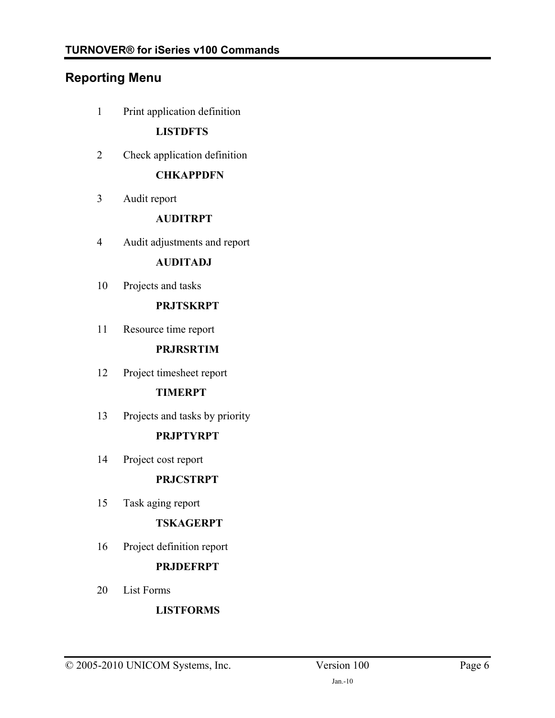# **Reporting Menu**

1 Print application definition

## **LISTDFTS**

2 Check application definition

### **CHKAPPDFN**

3 Audit report

### **AUDITRPT**

4 Audit adjustments and report

# **AUDITADJ**

10 Projects and tasks

# **PRJTSKRPT**

11 Resource time report

### **PRJRSRTIM**

12 Project timesheet report

# **TIMERPT**

13 Projects and tasks by priority

# **PRJPTYRPT**

14 Project cost report

### **PRJCSTRPT**

15 Task aging report

### **TSKAGERPT**

16 Project definition report

# **PRJDEFRPT**

20 List Forms

# **LISTFORMS**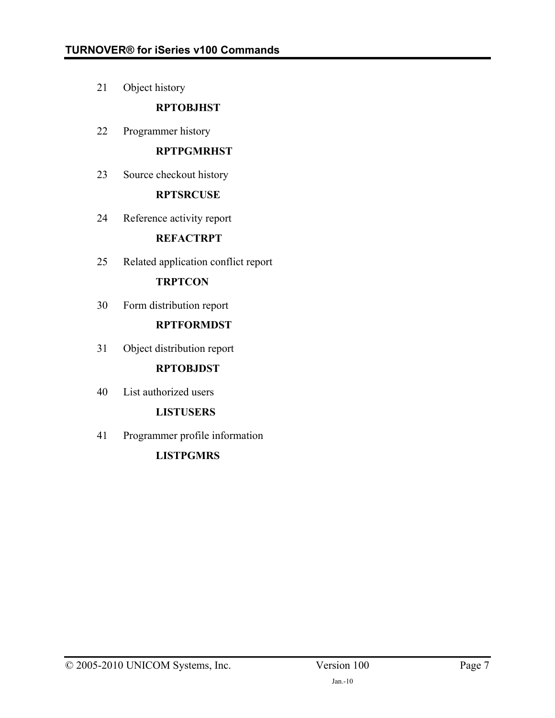21 Object history

# **RPTOBJHST**

22 Programmer history

# **RPTPGMRHST**

23 Source checkout history

# **RPTSRCUSE**

24 Reference activity report

# **REFACTRPT**

25 Related application conflict report

# **TRPTCON**

30 Form distribution report

# **RPTFORMDST**

31 Object distribution report

# **RPTOBJDST**

40 List authorized users

# **LISTUSERS**

41 Programmer profile information

# **LISTPGMRS**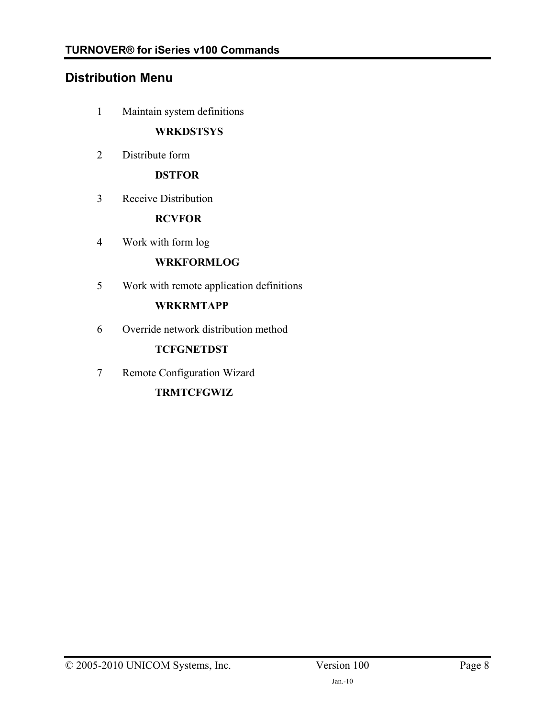# **Distribution Menu**

1 Maintain system definitions

# **WRKDSTSYS**

2 Distribute form

# **DSTFOR**

3 Receive Distribution

### **RCVFOR**

4 Work with form log

# **WRKFORMLOG**

5 Work with remote application definitions

### **WRKRMTAPP**

6 Override network distribution method

# **TCFGNETDST**

7 Remote Configuration Wizard

# **TRMTCFGWIZ**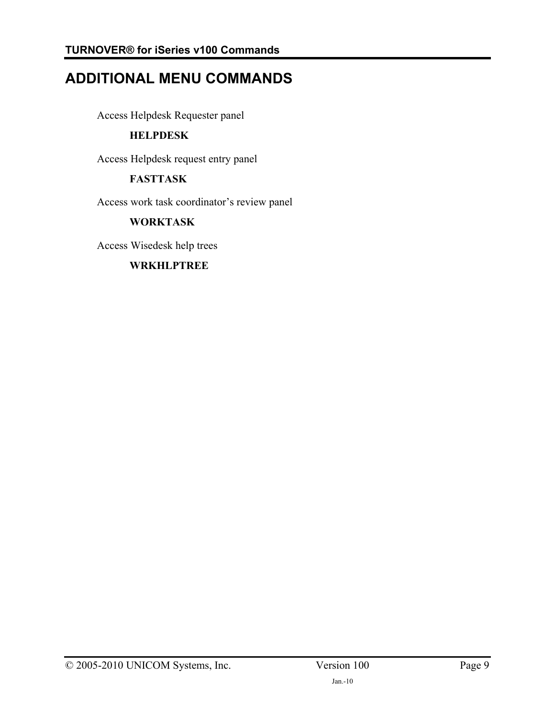# **ADDITIONAL MENU COMMANDS**

Access Helpdesk Requester panel

# **HELPDESK**

Access Helpdesk request entry panel

# **FASTTASK**

Access work task coordinator's review panel

# **WORKTASK**

Access Wisedesk help trees

# **WRKHLPTREE**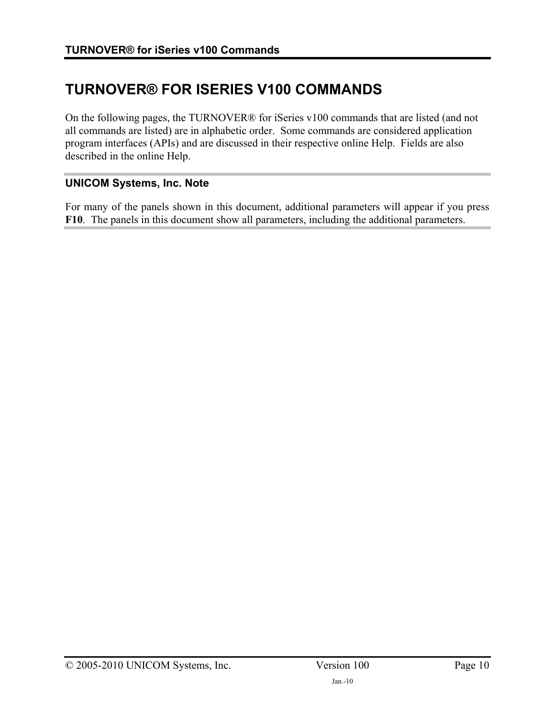# **TURNOVER® FOR ISERIES V100 COMMANDS**

On the following pages, the TURNOVER® for iSeries v100 commands that are listed (and not all commands are listed) are in alphabetic order. Some commands are considered application program interfaces (APIs) and are discussed in their respective online Help. Fields are also described in the online Help.

### **UNICOM Systems, Inc. Note**

For many of the panels shown in this document, additional parameters will appear if you press **F10**. The panels in this document show all parameters, including the additional parameters.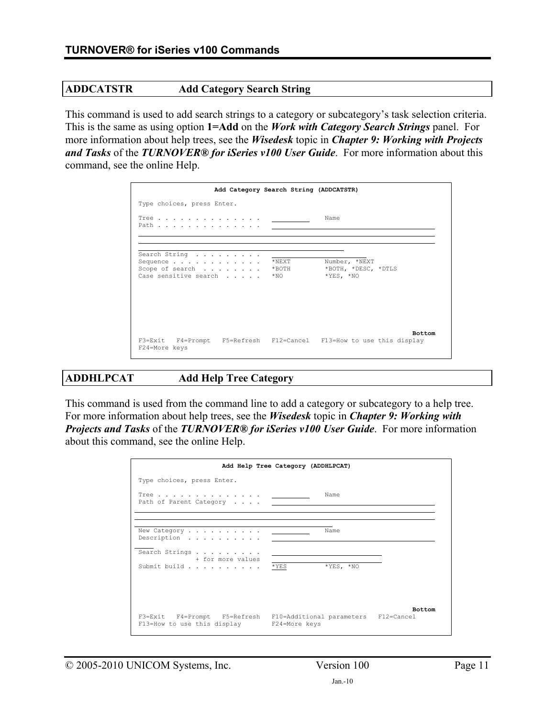### **ADDCATSTR Add Category Search String**

This command is used to add search strings to a category or subcategory's task selection criteria. This is the same as using option **1=Add** on the *Work with Category Search Strings* panel. For more information about help trees, see the *Wisedesk* topic in *Chapter 9: Working with Projects and Tasks* of the *TURNOVER® for iSeries v100 User Guide*. For more information about this command, see the online Help.

| Add Category Search String (ADDCATSTR)                                               |                               |                                                     |
|--------------------------------------------------------------------------------------|-------------------------------|-----------------------------------------------------|
| Type choices, press Enter.                                                           |                               |                                                     |
| Tree <u>.</u><br>Path                                                                |                               | Name                                                |
| Search String<br>Sequence<br>Scope of search<br>Case sensitive search                | $*$ NEXT<br>$*$ BOTH<br>*NO – | Number, *NEXT<br>*BOTH, *DESC, *DTLS<br>$*YES, *NO$ |
| F3=Exit F4=Prompt F5=Refresh F12=Cancel F13=How to use this display<br>F24=More keys |                               | <b>Bottom</b>                                       |

### **ADDHLPCAT Add Help Tree Category**

This command is used from the command line to add a category or subcategory to a help tree. For more information about help trees, see the *Wisedesk* topic in *Chapter 9: Working with Projects and Tasks* of the *TURNOVER® for iSeries v100 User Guide*. For more information about this command, see the online Help.

|                                                           | Add Help Tree Category (ADDHLPCAT)                                                 |
|-----------------------------------------------------------|------------------------------------------------------------------------------------|
| Type choices, press Enter.                                |                                                                                    |
|                                                           | Name                                                                               |
| Description                                               | Name                                                                               |
| Search Strings<br>+ for more values<br>Submit build * YES | $*YES. *NO$                                                                        |
| F13=How to use this display F24=More keys                 | <b>Bottom</b><br>F3=Exit F4=Prompt F5=Refresh F10=Additional parameters F12=Cancel |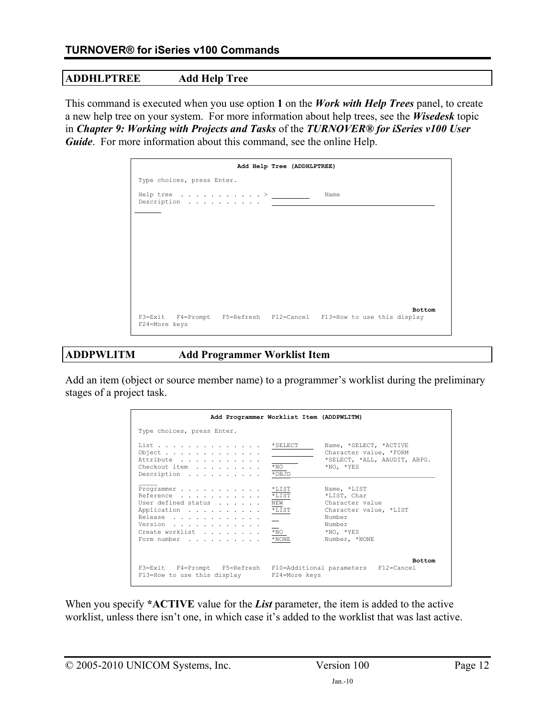## **ADDHLPTREE Add Help Tree**

This command is executed when you use option **1** on the *Work with Help Trees* panel, to create a new help tree on your system. For more information about help trees, see the *Wisedesk* topic in *Chapter 9: Working with Projects and Tasks* of the *TURNOVER® for iSeries v100 User Guide*. For more information about this command, see the online Help.

| Add Help Tree (ADDHLPTREE)                                                           |               |
|--------------------------------------------------------------------------------------|---------------|
| Type choices, press Enter.                                                           |               |
| Help tree $\ldots$ > ___________<br>Description $\ldots \ldots \ldots \ldots$        | Name          |
|                                                                                      |               |
|                                                                                      |               |
|                                                                                      |               |
|                                                                                      |               |
|                                                                                      |               |
|                                                                                      |               |
| F3=Exit F4=Prompt F5=Refresh F12=Cancel F13=How to use this display<br>F24=More keys | <b>Bottom</b> |

### **ADDPWLITM Add Programmer Worklist Item**

Add an item (object or source member name) to a programmer's worklist during the preliminary stages of a project task.

|                                                                                                                       | Add Programmer Worklist Item (ADDPWLITM)                                                |                                                                                                                                              |
|-----------------------------------------------------------------------------------------------------------------------|-----------------------------------------------------------------------------------------|----------------------------------------------------------------------------------------------------------------------------------------------|
| Type choices, press Enter.                                                                                            |                                                                                         |                                                                                                                                              |
| List<br>Object<br>Attribute<br>Checkout item<br>Description                                                           | $*$ SELECT<br>$*_{\rm NO}$<br>*OBJD                                                     | Name, *SELECT, *ACTIVE<br>Character value, *FORM<br>*SELECT, *ALL, AAUDIT, ABPG.<br>$*NO. *YES$                                              |
| Programmer<br>Reference<br>User defined status<br>Application<br>Release<br>Version<br>Create worklist<br>Form number | $^{\star}$ LIST<br>$*$ LIST<br>NEW<br>$*_{\tt LIST}$<br>$*_{\rm NO}$<br>$^{\star}$ NONE | Name, *LIST<br>*LIST, Char<br>Character value<br>Character value, *LIST<br>Number<br>Number<br>$*_{\rm NO}$ , $*_{\rm YES}$<br>Number, *NONE |
| F3=Exit F4=Prompt F5=Refresh F10=Additional parameters F12=Cancel<br>F13=How to use this display F24=More keys        |                                                                                         | <b>Bottom</b>                                                                                                                                |

When you specify **\*ACTIVE** value for the *List* parameter, the item is added to the active worklist, unless there isn't one, in which case it's added to the worklist that was last active.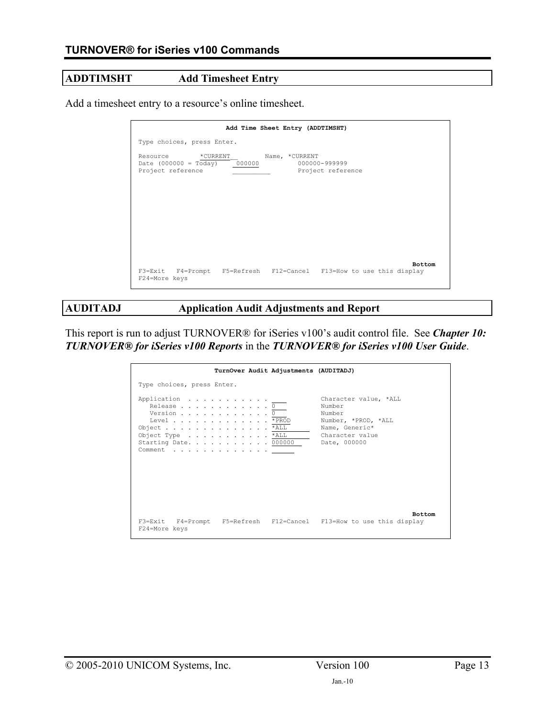# **ADDTIMSHT Add Timesheet Entry**

Add a timesheet entry to a resource's online timesheet.

| Add Time Sheet Entry (ADDTIMSHT)                                                                                                 |
|----------------------------------------------------------------------------------------------------------------------------------|
| Type choices, press Enter.                                                                                                       |
| Resource *CURRENT<br>Name, *CURRENT<br>Date $(000000 = Today) 000000$<br>000000-999999<br>Project reference<br>Project reference |
|                                                                                                                                  |
|                                                                                                                                  |
| <b>Bottom</b>                                                                                                                    |
| F3=Exit F4=Prompt F5=Refresh F12=Cancel F13=How to use this display<br>F24=More keys                                             |

**AUDITADJ Application Audit Adjustments and Report** 

This report is run to adjust TURNOVER® for iSeries v100's audit control file. See *Chapter 10: TURNOVER® for iSeries v100 Reports* in the *TURNOVER® for iSeries v100 User Guide*.

|                                                                                                                                                               | TurnOver Audit Adjustments (AUDITADJ) |                                                                                                       |
|---------------------------------------------------------------------------------------------------------------------------------------------------------------|---------------------------------------|-------------------------------------------------------------------------------------------------------|
| Type choices, press Enter.                                                                                                                                    |                                       |                                                                                                       |
| Application <u>. .</u><br>Release 0<br>Version $\ldots$ 0<br>Level * PROD<br>Object *ALL<br>Object Type *ALL<br>Starting Date. 000000 Date, 000000<br>Comment |                                       | Character value, *ALL<br>Number<br>Number<br>Number, *PROD, *ALL<br>Name, Generic*<br>Character value |
| F24=More keys                                                                                                                                                 |                                       | <b>Bottom</b><br>F3=Exit F4=Prompt F5=Refresh F12=Cancel F13=How to use this display                  |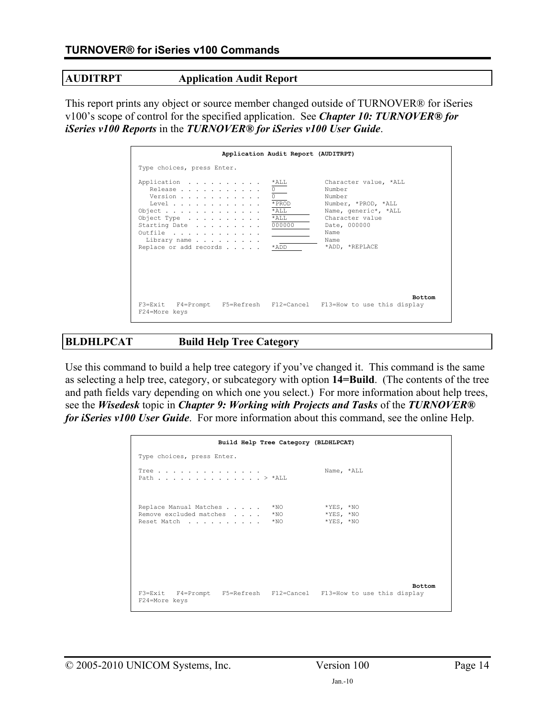### **AUDITRPT Application Audit Report**

This report prints any object or source member changed outside of TURNOVER® for iSeries v100's scope of control for the specified application. See *Chapter 10: TURNOVER® for iSeries v100 Reports* in the *TURNOVER® for iSeries v100 User Guide*.

|                                                                                                                                                             | Application Audit Report (AUDITRPT)                         |                                                                                                                                                               |
|-------------------------------------------------------------------------------------------------------------------------------------------------------------|-------------------------------------------------------------|---------------------------------------------------------------------------------------------------------------------------------------------------------------|
| Type choices, press Enter.                                                                                                                                  |                                                             |                                                                                                                                                               |
| Application<br>Release<br>Version<br>Level<br>Object $\ldots$<br>Object Type $\ldots$<br>Starting Date<br>Outfile<br>Library name<br>Replace or add records | *ALL<br>0<br>* PROD<br>$*$ ALL<br>$*$ ALL<br>000000<br>*ADD | Character value, *ALL<br>Number<br>Number<br>Number, *PROD, *ALL<br>Name, generic*, *ALL<br>Character value<br>Date, 000000<br>Name<br>Name<br>*ADD, *REPLACE |
| F3=Exit F4=Prompt F5=Refresh F12=Cancel F13=How to use this display<br>F24=More keys                                                                        |                                                             | <b>Bottom</b>                                                                                                                                                 |

# **BLDHLPCAT Build Help Tree Category**

Use this command to build a help tree category if you've changed it. This command is the same as selecting a help tree, category, or subcategory with option **14=Build**. (The contents of the tree and path fields vary depending on which one you select.) For more information about help trees, see the *Wisedesk* topic in *Chapter 9: Working with Projects and Tasks* of the *TURNOVER® for iSeries v100 User Guide*. For more information about this command, see the online Help.

|                                                                     | Build Help Tree Category (BLDHLPCAT) |             |               |
|---------------------------------------------------------------------|--------------------------------------|-------------|---------------|
| Type choices, press Enter.                                          |                                      |             |               |
| Tree<br>Path > *ALL                                                 |                                      | Name, *ALL  |               |
| Replace Manual Matches                                              | $*NO$                                | $*YES, *NO$ |               |
| Remove excluded matches                                             | $*NO$                                | $*YES, *NO$ |               |
| Reset Match                                                         | $*_{\text{NO}}$                      | $*YES, *NO$ |               |
|                                                                     |                                      |             | <b>Bottom</b> |
| F3=Exit F4=Prompt F5=Refresh F12=Cancel F13=How to use this display |                                      |             |               |
| F24=More keys                                                       |                                      |             |               |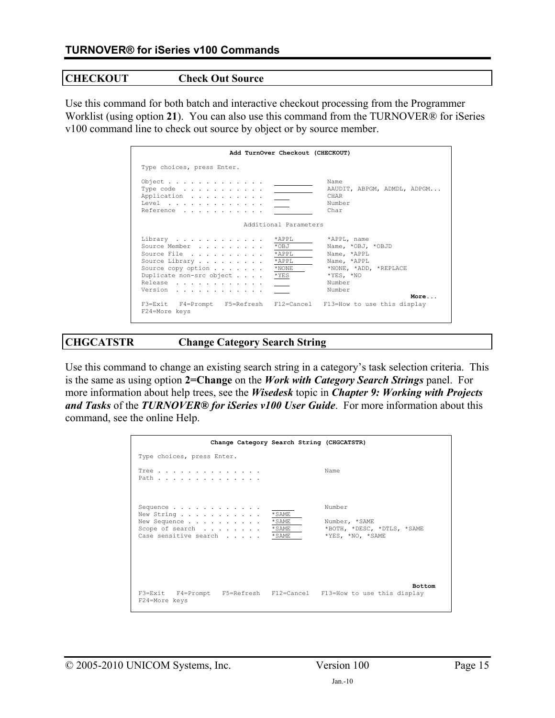### **CHECKOUT Check Out Source**

Use this command for both batch and interactive checkout processing from the Programmer Worklist (using option **21**). You can also use this command from the TURNOVER® for iSeries v100 command line to check out source by object or by source member.

|                                                                                                                                              | Add TurnOver Checkout (CHECKOUT)                          |                                                                                                                                    |
|----------------------------------------------------------------------------------------------------------------------------------------------|-----------------------------------------------------------|------------------------------------------------------------------------------------------------------------------------------------|
| Type choices, press Enter.                                                                                                                   |                                                           |                                                                                                                                    |
| Object<br>Type code $\ldots$ , $\ldots$ , $\ldots$ , $\ldots$<br>Application<br>Level $\ldots$ , $\ldots$ , $\ldots$ , $\ldots$<br>Reference |                                                           | Name<br>AAUDIT, ABPGM, ADMDL, ADPGM<br>CHAR<br>Number<br>Char                                                                      |
|                                                                                                                                              | Additional Parameters                                     |                                                                                                                                    |
| Library<br>Source Member<br>Source File<br>Source Library<br>Source copy option $\cdots$<br>Duplicate non-src object<br>Release<br>Version   | *APPL<br>*OBJ<br>*APPL<br>$*APPI.$<br>$*$ NONE<br>$*$ YES | *APPL, name<br>Name, *OBJ, *OBJD<br>Name, *APPL<br>Name, *APPL<br>*NONE, *ADD, *REPLACE<br>$*YES, *NO$<br>Number<br>Number<br>More |
| F3=Exit F4=Prompt F5=Refresh F12=Cancel F13=How to use this display<br>F24=More keys                                                         |                                                           |                                                                                                                                    |

### **CHGCATSTR Change Category Search String**

Use this command to change an existing search string in a category's task selection criteria. This is the same as using option **2=Change** on the *Work with Category Search Strings* panel. For more information about help trees, see the *Wisedesk* topic in *Chapter 9: Working with Projects and Tasks* of the *TURNOVER® for iSeries v100 User Guide*. For more information about this command, see the online Help.

|                                                                                      |                                      | Change Category Search String (CHGCATSTR)                                 |
|--------------------------------------------------------------------------------------|--------------------------------------|---------------------------------------------------------------------------|
| Type choices, press Enter.                                                           |                                      |                                                                           |
| Tree<br>Path                                                                         |                                      | Name                                                                      |
| Sequence<br>New String<br>New Sequence<br>Scope of search<br>Case sensitive search   | * SAME<br>* SAME<br>* SAME<br>* SAME | Number<br>Number, *SAME<br>*BOTH, *DESC, *DTLS, *SAME<br>*YES, *NO, *SAME |
| F3=Exit F4=Prompt F5=Refresh F12=Cancel F13=How to use this display<br>F24=More keys |                                      | <b>Bottom</b>                                                             |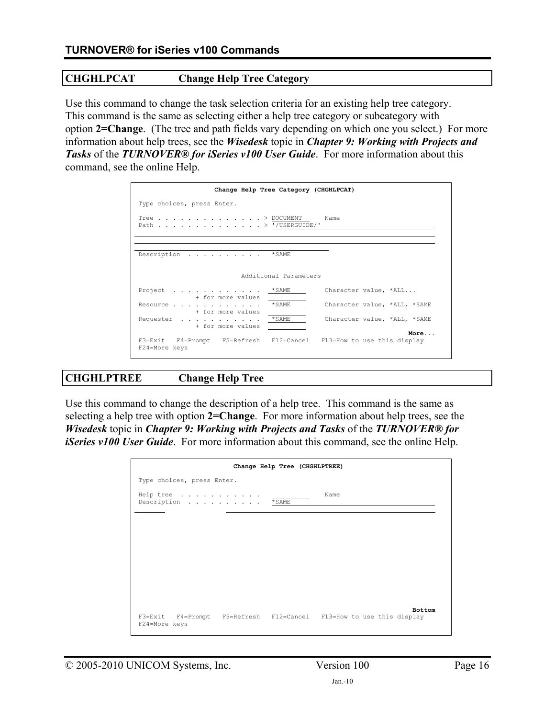### **CHGHLPCAT Change Help Tree Category**

Use this command to change the task selection criteria for an existing help tree category. This command is the same as selecting either a help tree category or subcategory with option **2=Change**. (The tree and path fields vary depending on which one you select.) For more information about help trees, see the *Wisedesk* topic in *Chapter 9: Working with Projects and Tasks* of the *TURNOVER® for iSeries v100 User Guide*. For more information about this command, see the online Help.

| Change Help Tree Category (CHGHLPCAT)                                                                                                                                                                                                                                                                                                                            |
|------------------------------------------------------------------------------------------------------------------------------------------------------------------------------------------------------------------------------------------------------------------------------------------------------------------------------------------------------------------|
| Type choices, press Enter.                                                                                                                                                                                                                                                                                                                                       |
| Tree $\ldots$ $\ldots$ $\ldots$ $\ldots$ $\ldots$ $\ldots$ $\ldots$ $\ldots$ $\ldots$ $\ldots$ $\ldots$ $\ldots$ $\ldots$ $\ldots$ $\ldots$ $\ldots$ $\ldots$ $\ldots$ $\ldots$ $\ldots$ $\ldots$ $\ldots$ $\ldots$ $\ldots$ $\ldots$ $\ldots$ $\ldots$ $\ldots$ $\ldots$ $\ldots$ $\ldots$ $\ldots$ $\ldots$ $\ldots$ $\ldots$ $\ldots$<br>Path > '/USERGUIDE/' |
|                                                                                                                                                                                                                                                                                                                                                                  |
| Description *SAME                                                                                                                                                                                                                                                                                                                                                |
| Additional Parameters                                                                                                                                                                                                                                                                                                                                            |
| Character value, *ALL<br>Project *SAME<br>+ for more values                                                                                                                                                                                                                                                                                                      |
| Resource *SAME<br>Character value, *ALL, *SAME<br>+ for more values                                                                                                                                                                                                                                                                                              |
| Requester *SAME<br>Character value, *ALL, *SAME<br>+ for more values                                                                                                                                                                                                                                                                                             |
| More<br>F3=Exit F4=Prompt F5=Refresh F12=Cancel F13=How to use this display<br>F24=More keys                                                                                                                                                                                                                                                                     |

# **CHGHLPTREE Change Help Tree**

Use this command to change the description of a help tree. This command is the same as selecting a help tree with option **2=Change**. For more information about help trees, see the *Wisedesk* topic in *Chapter 9: Working with Projects and Tasks* of the *TURNOVER® for iSeries v100 User Guide*. For more information about this command, see the online Help.

|                                         | Change Help Tree (CHGHLPTREE) |                                                                                      |
|-----------------------------------------|-------------------------------|--------------------------------------------------------------------------------------|
| Type choices, press Enter.              |                               |                                                                                      |
| Help tree $\ldots$<br>Description *SAME |                               | Name                                                                                 |
|                                         |                               |                                                                                      |
|                                         |                               |                                                                                      |
|                                         |                               |                                                                                      |
|                                         |                               |                                                                                      |
| F24=More keys                           |                               | <b>Bottom</b><br>F3=Exit F4=Prompt F5=Refresh F12=Cancel F13=How to use this display |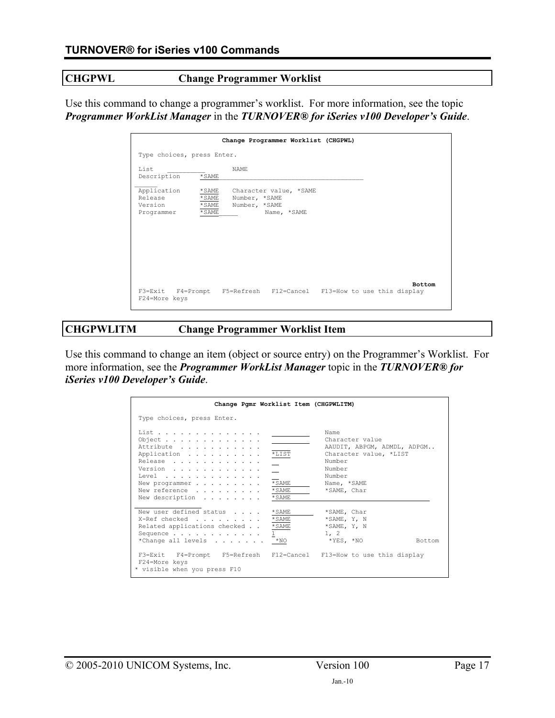# **CHGPWL Change Programmer Worklist**

Use this command to change a programmer's worklist. For more information, see the topic *Programmer WorkList Manager* in the *TURNOVER® for iSeries v100 Developer's Guide*.

|                                                           | Change Programmer Worklist (CHGPWL)                                                                  |
|-----------------------------------------------------------|------------------------------------------------------------------------------------------------------|
| Type choices, press Enter.                                |                                                                                                      |
| List<br>$*$ SAME<br>Description                           | <b>NAME</b>                                                                                          |
| Application<br>Release<br>Version<br>* SAME<br>Programmer | * SAME<br>Character value, *SAME<br>* SAME<br>Number, *SAME<br>*SAME<br>Number, *SAME<br>Name, *SAME |
| F24=More keys                                             | <b>Bottom</b><br>F3=Exit F4=Prompt F5=Refresh F12=Cancel F13=How to use this display                 |

### **CHGPWLITM Change Programmer Worklist Item**

Use this command to change an item (object or source entry) on the Programmer's Worklist. For more information, see the *Programmer WorkList Manager* topic in the *TURNOVER® for iSeries v100 Developer's Guide*.

| Change Pgmr Worklist Item (CHGPWLITM)                                                                                                                                                        |                                                   |                                                                                                                                              |
|----------------------------------------------------------------------------------------------------------------------------------------------------------------------------------------------|---------------------------------------------------|----------------------------------------------------------------------------------------------------------------------------------------------|
| Type choices, press Enter.                                                                                                                                                                   |                                                   |                                                                                                                                              |
| List<br>Object<br>Attribute<br>Application<br>Release<br>Version<br>Level $\ldots$<br>New programmer<br>New reference<br>New description                                                     | $*_{\texttt{LIST}}$<br>* SAME<br>* SAME<br>* SAME | Name<br>Character value<br>AAUDIT, ABPGM, ADMDL, ADPGM<br>Character value, *LIST<br>Number<br>Number<br>Number<br>Name, *SAME<br>*SAME, Char |
| New user defined status<br>X-Ref checked<br>Related applications checked *SAME<br>Sequence<br>*Change all levels * NO<br>F3=Exit F4=Prompt F5=Refresh F12=Cancel F13=How to use this display | * SAME<br>* SAME<br>1                             | *SAME, Char<br>*SAME, Y, N<br>*SAME, Y, N<br>1, 2<br>*YES, *NO<br>Bottom                                                                     |
| F24=More keys<br>* visible when you press F10                                                                                                                                                |                                                   |                                                                                                                                              |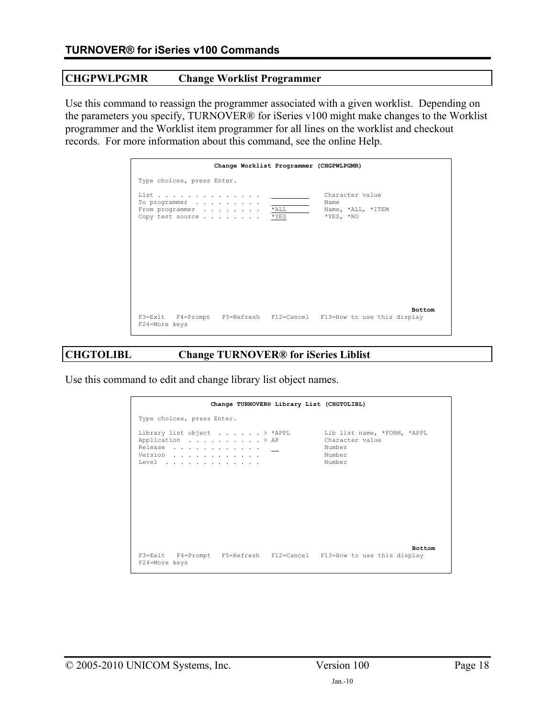### **CHGPWLPGMR Change Worklist Programmer**

Use this command to reassign the programmer associated with a given worklist. Depending on the parameters you specify, TURNOVER® for iSeries v100 might make changes to the Worklist programmer and the Worklist item programmer for all lines on the worklist and checkout records. For more information about this command, see the online Help.

|                                                                          | Change Worklist Programmer (CHGPWLPGMR) |                                                                                      |
|--------------------------------------------------------------------------|-----------------------------------------|--------------------------------------------------------------------------------------|
| Type choices, press Enter.                                               |                                         |                                                                                      |
| List<br>To programmer<br>From programmer * ALL<br>Copy test source * YES |                                         | Character value<br>Name<br>Name, *ALL, *ITEM<br>$*YES, *NO$                          |
| F24=More keys                                                            |                                         | <b>Bottom</b><br>F3=Exit F4=Prompt F5=Refresh F12=Cancel F13=How to use this display |

### **CHGTOLIBL Change TURNOVER® for iSeries Liblist**

Use this command to edit and change library list object names.

| Change TURNOVER® Library List (CHGTOLIBL)                                                                           |                                               |
|---------------------------------------------------------------------------------------------------------------------|-----------------------------------------------|
| Type choices, press Enter.                                                                                          |                                               |
| Library list object > *APPL Lib list name, *FORM, *APPL<br>Application > AP<br>Release<br>Version<br>Level $\ldots$ | Character value<br>Number<br>Number<br>Number |
| F3=Exit F4=Prompt F5=Refresh F12=Cancel F13=How to use this display<br>F24=More keys                                | <b>Bottom</b>                                 |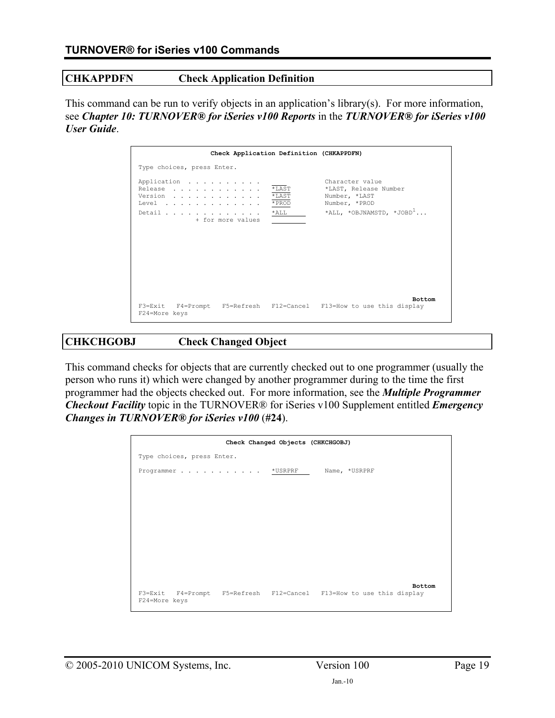### **CHKAPPDFN Check Application Definition**

This command can be run to verify objects in an application's library(s). For more information, see *Chapter 10: TURNOVER® for iSeries v100 Reports* in the *TURNOVER® for iSeries v100 User Guide*.

|                            | Check Application Definition (CHKAPPDFN)                                                |                                  |                                                                                                                  |
|----------------------------|-----------------------------------------------------------------------------------------|----------------------------------|------------------------------------------------------------------------------------------------------------------|
| Type choices, press Enter. |                                                                                         |                                  |                                                                                                                  |
|                            | Application<br>Release<br>Version<br>Level $\ldots$<br>Detail *ALL<br>+ for more values | $*$ LAST<br>$*$ LAST<br>$*$ PROD | Character value<br>*LAST, Release Number<br>Number, *LAST<br>Number, *PROD<br>*ALL, *OBJNAMSTD, *JOBD $^{\perp}$ |
| F24=More keys              |                                                                                         |                                  | <b>Bottom</b><br>F3=Exit F4=Prompt F5=Refresh F12=Cancel F13=How to use this display                             |

### **CHKCHGOBJ Check Changed Object**

This command checks for objects that are currently checked out to one programmer (usually the person who runs it) which were changed by another programmer during to the time the first programmer had the objects checked out. For more information, see the *Multiple Programmer Checkout Facility* topic in the TURNOVER® for iSeries v100 Supplement entitled *Emergency Changes in TURNOVER® for iSeries v100* (**#24**).

|                                                                                      | Check Changed Objects (CHKCHGOBJ) |               |
|--------------------------------------------------------------------------------------|-----------------------------------|---------------|
| Type choices, press Enter.                                                           |                                   |               |
| Programmer *USRPRF Name, *USRPRF                                                     |                                   |               |
|                                                                                      |                                   |               |
|                                                                                      |                                   |               |
|                                                                                      |                                   |               |
|                                                                                      |                                   |               |
|                                                                                      |                                   |               |
|                                                                                      |                                   |               |
|                                                                                      |                                   |               |
|                                                                                      |                                   | <b>Bottom</b> |
| F3=Exit F4=Prompt F5=Refresh F12=Cancel F13=How to use this display<br>F24=More keys |                                   |               |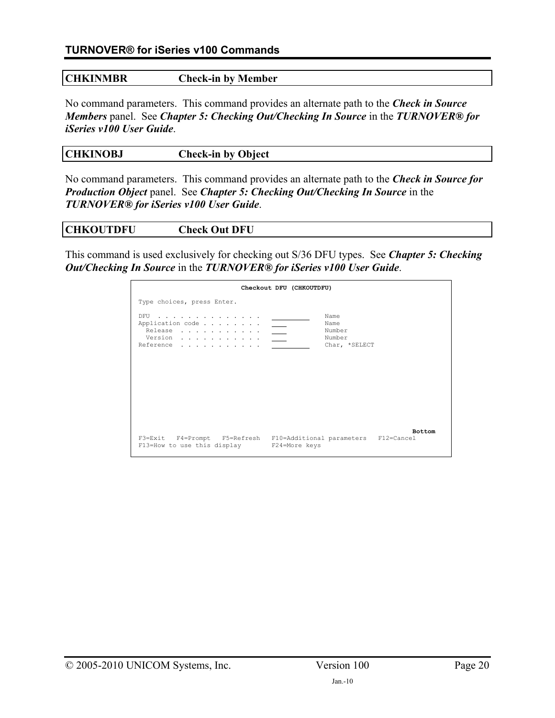| <b>CHKINMBR</b> | <b>Check-in by Member</b> |  |
|-----------------|---------------------------|--|
|                 |                           |  |

No command parameters. This command provides an alternate path to the *Check in Source Members* panel. See *Chapter 5: Checking Out/Checking In Source* in the *TURNOVER® for iSeries v100 User Guide*.

| <b>CHKINOBJ</b> | <b>Check-in by Object</b> |  |
|-----------------|---------------------------|--|
|                 |                           |  |

No command parameters. This command provides an alternate path to the *Check in Source for Production Object* panel. See *Chapter 5: Checking Out/Checking In Source* in the *TURNOVER® for iSeries v100 User Guide*.

|  | <b>CHKOUTDFU</b> | <b>Check Out DFU</b> |  |
|--|------------------|----------------------|--|
|--|------------------|----------------------|--|

This command is used exclusively for checking out S/36 DFU types. See *Chapter 5: Checking Out/Checking In Source* in the *TURNOVER® for iSeries v100 User Guide*.

|                                                                                                 | Checkout DFU (CHKOUTDFU)                                                           |  |
|-------------------------------------------------------------------------------------------------|------------------------------------------------------------------------------------|--|
| Type choices, press Enter.                                                                      |                                                                                    |  |
| DFU<br>والمناور والمناور والمناور والمناور والمناور<br>Application code<br>Release<br>Reference | Name<br>Name<br>Number<br>Number<br>Char, *SELECT                                  |  |
| F13=How to use this display F24=More keys                                                       | <b>Bottom</b><br>F3=Exit F4=Prompt F5=Refresh F10=Additional parameters F12=Cancel |  |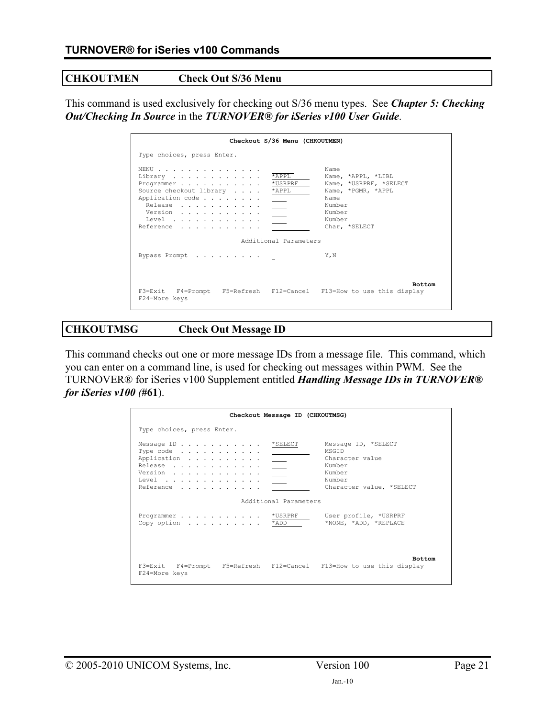### **CHKOUTMEN Check Out S/36 Menu**

This command is used exclusively for checking out S/36 menu types. See *Chapter 5: Checking Out/Checking In Source* in the *TURNOVER® for iSeries v100 User Guide*.

| Checkout S/36 Menu (CHKOUTMEN)                                                                                                                                   |                                                                                                                                   |
|------------------------------------------------------------------------------------------------------------------------------------------------------------------|-----------------------------------------------------------------------------------------------------------------------------------|
| Type choices, press Enter.                                                                                                                                       |                                                                                                                                   |
| MENU<br>$*$ APPL<br>Library<br>*USRPRF<br>Programmer<br>Source checkout library * APPL<br>Application code<br>Release<br>$\sim$<br>Version<br>Level<br>Reference | Name<br>Name, *APPL, *LIBL<br>Name, *USRPRF, *SELECT<br>Name, *PGMR, *APPL<br>Name<br>Number<br>Number<br>Number<br>Char, *SELECT |
| Additional Parameters                                                                                                                                            |                                                                                                                                   |
| Bypass Prompt                                                                                                                                                    | Y.N                                                                                                                               |
| F3=Exit F4=Prompt F5=Refresh F12=Cancel F13=How to use this display<br>F24=More keys                                                                             | <b>Bottom</b>                                                                                                                     |

## **CHKOUTMSG Check Out Message ID**

This command checks out one or more message IDs from a message file. This command, which you can enter on a command line, is used for checking out messages within PWM. See the TURNOVER® for iSeries v100 Supplement entitled *Handling Message IDs in TURNOVER® for iSeries v100 (***#61**).

|                                                                                                                                                               | Checkout Message ID (CHKOUTMSG)                                                   |                                                                                                           |
|---------------------------------------------------------------------------------------------------------------------------------------------------------------|-----------------------------------------------------------------------------------|-----------------------------------------------------------------------------------------------------------|
| Type choices, press Enter.                                                                                                                                    |                                                                                   |                                                                                                           |
| Message ID<br>Type code $\ldots$ , $\ldots$ , $\ldots$<br>Application<br>Release<br>Version<br>Level $\ldots$ , $\ldots$ , $\ldots$ , $\ldots$ ,<br>Reference | * SELECT<br>$\sim$<br>$\frac{1}{2}$ and $\frac{1}{2}$<br>$\overline{\phantom{a}}$ | Message ID, *SELECT<br>MSGTD<br>Character value<br>Number<br>Number<br>Number<br>Character value, *SELECT |
|                                                                                                                                                               | Additional Parameters                                                             |                                                                                                           |
| Programmer *USRPRF<br>Copy option * ADD                                                                                                                       |                                                                                   | User profile, *USRPRF<br>*NONE, *ADD, *REPLACE                                                            |
| F3=Exit F4=Prompt F5=Refresh F12=Cancel F13=How to use this display<br>F24=More keys                                                                          |                                                                                   | <b>Bottom</b>                                                                                             |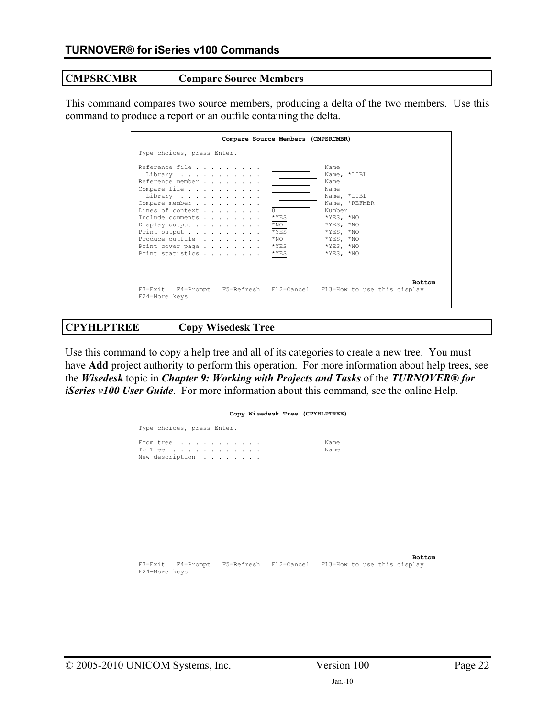### **CMPSRCMBR Compare Source Members**

This command compares two source members, producing a delta of the two members. Use this command to produce a report or an outfile containing the delta.

| Compare Source Members (CMPSRCMBR)                                                                                                                                                                                                                                                                                                                                                                                                                                                                |
|---------------------------------------------------------------------------------------------------------------------------------------------------------------------------------------------------------------------------------------------------------------------------------------------------------------------------------------------------------------------------------------------------------------------------------------------------------------------------------------------------|
| Type choices, press Enter.                                                                                                                                                                                                                                                                                                                                                                                                                                                                        |
| Reference file<br>Name<br>Name, *LIBL<br>Library<br>Reference member<br>Name<br>Compare file<br>Name<br>Library<br>Name, *LIBL<br>Compare member<br>Name, *REFMBR<br>Lines of context<br>Number<br>$*$ YES<br>$*YES. *NO$<br>Include comments<br>$*_{\rm NO}$<br>$*YES. *NO$<br>Display output $\ldots$<br>$*$ YES<br>$*YES, *NO$<br>Print output<br>$*_{\rm NO}$<br>Produce outfile<br>$*YES. * NO$<br>$*$ YES<br>$*YES, *NO$<br>Print cover page<br>$*$ YES<br>Print statistics<br>$*YES. * NO$ |
| <b>Bottom</b><br>F3=Exit F4=Prompt F5=Refresh F12=Cancel F13=How to use this display<br>F24=More keys                                                                                                                                                                                                                                                                                                                                                                                             |

### **CPYHLPTREE Copy Wisedesk Tree**

Use this command to copy a help tree and all of its categories to create a new tree. You must have **Add** project authority to perform this operation. For more information about help trees, see the *Wisedesk* topic in *Chapter 9: Working with Projects and Tasks* of the *TURNOVER® for iSeries v100 User Guide*. For more information about this command, see the online Help.

|                                         | Copy Wisedesk Tree (CPYHLPTREE)                                                      |  |
|-----------------------------------------|--------------------------------------------------------------------------------------|--|
| Type choices, press Enter.              |                                                                                      |  |
| From tree<br>To Tree<br>New description | Name<br>Name                                                                         |  |
|                                         |                                                                                      |  |
|                                         |                                                                                      |  |
|                                         |                                                                                      |  |
|                                         |                                                                                      |  |
| F24=More keys                           | <b>Bottom</b><br>F3=Exit F4=Prompt F5=Refresh F12=Cancel F13=How to use this display |  |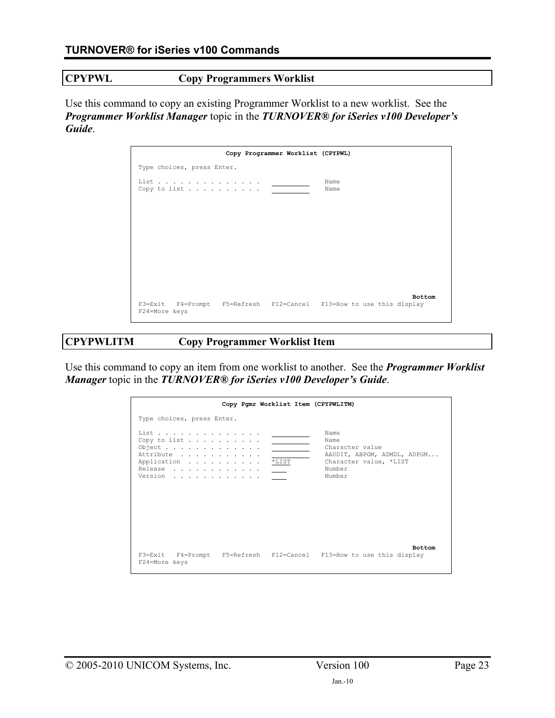### **CPYPWL Copy Programmers Worklist**

Use this command to copy an existing Programmer Worklist to a new worklist. See the *Programmer Worklist Manager* topic in the *TURNOVER® for iSeries v100 Developer's Guide*.

|                            | Copy Programmer Worklist (CPYPWL) |                                                                               |
|----------------------------|-----------------------------------|-------------------------------------------------------------------------------|
| Type choices, press Enter. |                                   |                                                                               |
|                            |                                   | Name<br>Name                                                                  |
|                            |                                   |                                                                               |
|                            |                                   |                                                                               |
|                            |                                   |                                                                               |
|                            |                                   |                                                                               |
| F24=More keys              |                                   | Bottom<br>F3=Exit F4=Prompt F5=Refresh F12=Cancel F13=How to use this display |

# **CPYPWLITM Copy Programmer Worklist Item**

Use this command to copy an item from one worklist to another. See the *Programmer Worklist Manager* topic in the *TURNOVER® for iSeries v100 Developer's Guide*.

|                                                                                  | Copy Pgmr Worklist Item (CPYPWLITM) |                                                                                                              |
|----------------------------------------------------------------------------------|-------------------------------------|--------------------------------------------------------------------------------------------------------------|
| Type choices, press Enter.                                                       |                                     |                                                                                                              |
| List<br>Copy to list<br>Object<br>Attribute<br>Application<br>Release<br>Version | $*_{\texttt{LIST}}$                 | Name<br>Name<br>Character value<br>AAUDIT, ABPGM, ADMDL, ADPGM<br>Character value, *LIST<br>Number<br>Number |
| F24=More keys                                                                    |                                     | <b>Bottom</b><br>F3=Exit F4=Prompt F5=Refresh F12=Cancel F13=How to use this display                         |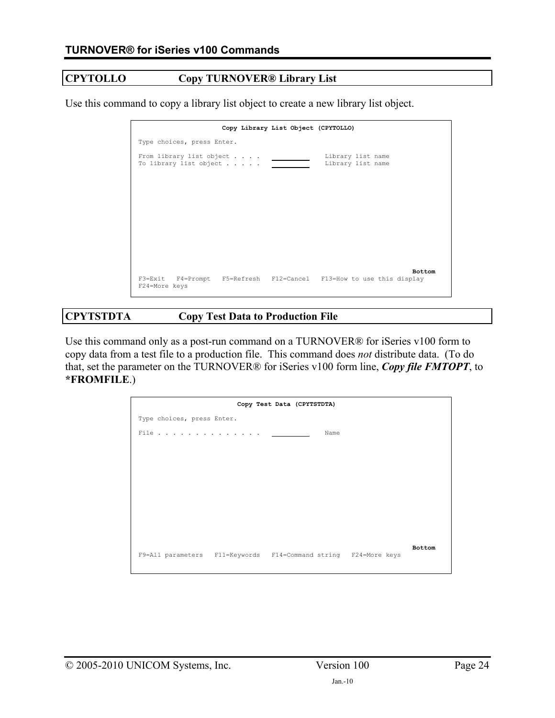### **CPYTOLLO Copy TURNOVER® Library List**

Use this command to copy a library list object to create a new library list object.

| Copy Library List Object (CPYTOLLO)                                                                   |
|-------------------------------------------------------------------------------------------------------|
| Type choices, press Enter.                                                                            |
| From library list object<br>Library list name<br>Library list name<br>To library list object          |
|                                                                                                       |
|                                                                                                       |
|                                                                                                       |
|                                                                                                       |
| <b>Bottom</b><br>F3=Exit F4=Prompt F5=Refresh F12=Cancel F13=How to use this display<br>F24=More keys |

# **CPYTSTDTA Copy Test Data to Production File**

Use this command only as a post-run command on a TURNOVER® for iSeries v100 form to copy data from a test file to a production file. This command does *not* distribute data. (To do that, set the parameter on the TURNOVER® for iSeries v100 form line, *Copy file FMTOPT*, to **\*FROMFILE**.)

|                                                                 | Copy Test Data (CPYTSTDTA) |        |  |
|-----------------------------------------------------------------|----------------------------|--------|--|
| Type choices, press Enter.                                      |                            |        |  |
| File                                                            |                            | Name   |  |
|                                                                 |                            |        |  |
|                                                                 |                            |        |  |
|                                                                 |                            |        |  |
|                                                                 |                            |        |  |
|                                                                 |                            |        |  |
|                                                                 |                            |        |  |
|                                                                 |                            |        |  |
|                                                                 |                            |        |  |
| F9=All parameters F11=Keywords F14=Command string F24=More keys |                            | Bottom |  |
|                                                                 |                            |        |  |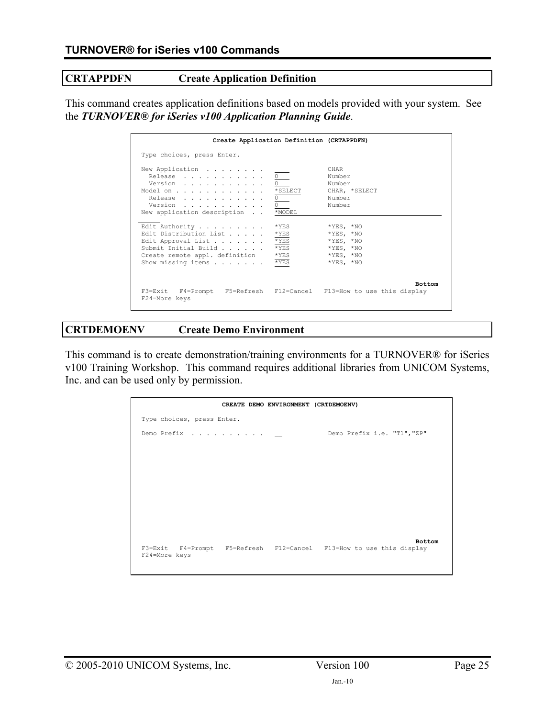### **CRTAPPDFN Create Application Definition**

This command creates application definitions based on models provided with your system. See the *TURNOVER® for iSeries v100 Application Planning Guide*.

| Create Application Definition (CRTAPPDFN)                                                                                                                                                                                                                                                                                                     |                                                                                                                                                         |
|-----------------------------------------------------------------------------------------------------------------------------------------------------------------------------------------------------------------------------------------------------------------------------------------------------------------------------------------------|---------------------------------------------------------------------------------------------------------------------------------------------------------|
| Type choices, press Enter.                                                                                                                                                                                                                                                                                                                    |                                                                                                                                                         |
| New Application<br>Release<br>Version<br>*SELECT<br>Model on<br>Release<br>Version<br>*MODEL<br>New application description<br>Edit Authority<br>$*$ YES<br>$*YES$<br>Edit Distribution List<br>$*$ YES<br>Edit Approval List<br>Submit Initial Build<br>$*$ YES<br>Create remote appl. definition<br>$*$ YES<br>Show missing items<br>$*YES$ | CHAR<br>Number<br>Number<br>CHAR, *SELECT<br>Number<br>Number<br>$*YES, *NO$<br>$*YES. *NO$<br>$*YES. *NO$<br>$*YES, *NO$<br>$*YES, *NO$<br>$*YES, *NO$ |
| F3=Exit F4=Prompt F5=Refresh F12=Cancel F13=How to use this display<br>F24=More keys                                                                                                                                                                                                                                                          | <b>Bottom</b>                                                                                                                                           |

### **CRTDEMOENV Create Demo Environment**

This command is to create demonstration/training environments for a TURNOVER® for iSeries v100 Training Workshop. This command requires additional libraries from UNICOM Systems, Inc. and can be used only by permission.

|                                                                                      | CREATE DEMO ENVIRONMENT (CRTDEMOENV) |                             |               |
|--------------------------------------------------------------------------------------|--------------------------------------|-----------------------------|---------------|
| Type choices, press Enter.                                                           |                                      |                             |               |
| Demo Prefix $\cdots$ $\cdots$ $\cdots$ $\cdots$                                      |                                      | Demo Prefix i.e. "T1", "ZP" |               |
|                                                                                      |                                      |                             |               |
|                                                                                      |                                      |                             |               |
|                                                                                      |                                      |                             |               |
|                                                                                      |                                      |                             |               |
|                                                                                      |                                      |                             |               |
|                                                                                      |                                      |                             | <b>Bottom</b> |
| F3=Exit F4=Prompt F5=Refresh F12=Cancel F13=How to use this display<br>F24=More keys |                                      |                             |               |
|                                                                                      |                                      |                             |               |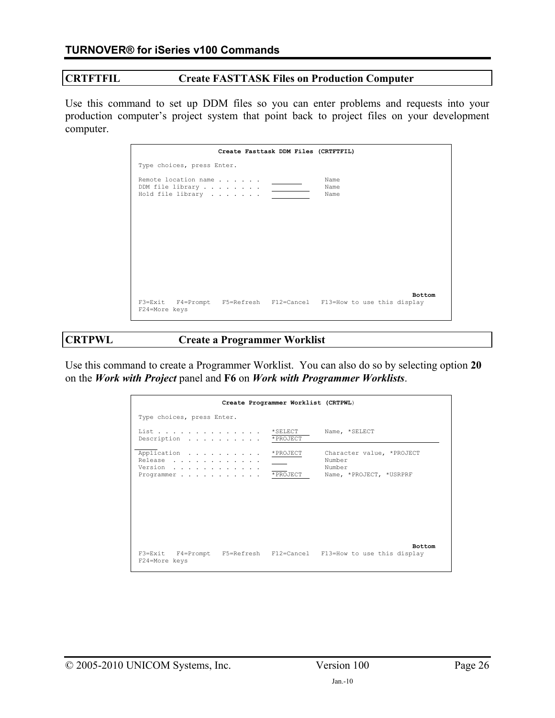### **CRTFTFIL Create FASTTASK Files on Production Computer**

Use this command to set up DDM files so you can enter problems and requests into your production computer's project system that point back to project files on your development computer.

| Create Fasttask DDM Files (CRTFTFIL)                                                                  |
|-------------------------------------------------------------------------------------------------------|
| Type choices, press Enter.                                                                            |
| Remote location name<br>Name<br>DDM file library<br>Name<br>Hold file library<br>Name                 |
|                                                                                                       |
|                                                                                                       |
|                                                                                                       |
| <b>Bottom</b><br>F3=Exit F4=Prompt F5=Refresh F12=Cancel F13=How to use this display<br>F24=More keys |

### **CRTPWL Create a Programmer Worklist**

Use this command to create a Programmer Worklist. You can also do so by selecting option **20** on the *Work with Project* panel and **F6** on *Work with Programmer Worklists*.

| Create Programmer Worklist (CRTPWL)                                                  |                                                                          |
|--------------------------------------------------------------------------------------|--------------------------------------------------------------------------|
| Type choices, press Enter.                                                           |                                                                          |
| List<br>$*$ SELECT<br>* PROJECT<br>Description                                       | Name, *SELECT                                                            |
| Application * PROJECT<br>Release<br>Version<br>Programmer * PROJECT                  | Character value, *PROJECT<br>Number<br>Number<br>Name, *PROJECT, *USRPRF |
| F3=Exit F4=Prompt F5=Refresh F12=Cancel F13=How to use this display<br>F24=More keys | <b>Bottom</b>                                                            |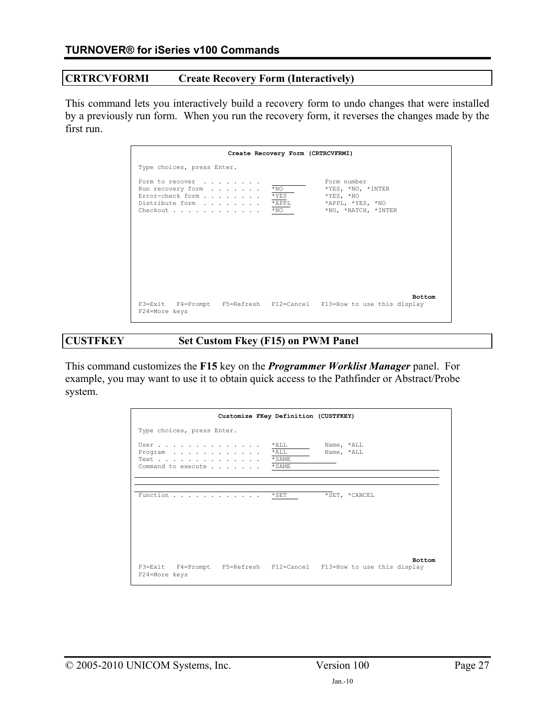# **CRTRCVFORMI Create Recovery Form (Interactively)**

This command lets you interactively build a recovery form to undo changes that were installed by a previously run form. When you run the recovery form, it reverses the changes made by the first run.

| Create Recovery Form (CRTRCVFRMI)                                                                                                                                                                                           |
|-----------------------------------------------------------------------------------------------------------------------------------------------------------------------------------------------------------------------------|
| Type choices, press Enter.                                                                                                                                                                                                  |
| Form number<br>Form to recover<br>$*_{\rm NO}$<br>*YES, *NO, *INTER<br>Run recovery form<br>Error-check form<br>$*$ YES<br>$*YES, *NO$<br>Distribute form * APPL<br>*APPL, *YES, *NO<br>*NO, *BATCH, *INTER<br>Checkout *NO |
| <b>Bottom</b><br>F3=Exit F4=Prompt F5=Refresh F12=Cancel F13=How to use this display<br>F24=More keys                                                                                                                       |

# **CUSTFKEY Set Custom Fkey (F15) on PWM Panel**

This command customizes the **F15** key on the *Programmer Worklist Manager* panel. For example, you may want to use it to obtain quick access to the Pathfinder or Abstract/Probe system.

|                                                            | Customize FKey Definition (CUSTFKEY) |                    |                                                                                      |
|------------------------------------------------------------|--------------------------------------|--------------------|--------------------------------------------------------------------------------------|
| Type choices, press Enter.                                 |                                      |                    |                                                                                      |
| User<br>Program<br>Text *SAME<br>Command to execute * SAME |                                      | $*$ ALL<br>$*$ ALL | Name, *ALL<br>Name, *ALL                                                             |
| Function                                                   |                                      | $*$ SET            | *SET, *CANCEL                                                                        |
| F24=More keys                                              |                                      |                    | <b>Bottom</b><br>F3=Exit F4=Prompt F5=Refresh F12=Cancel F13=How to use this display |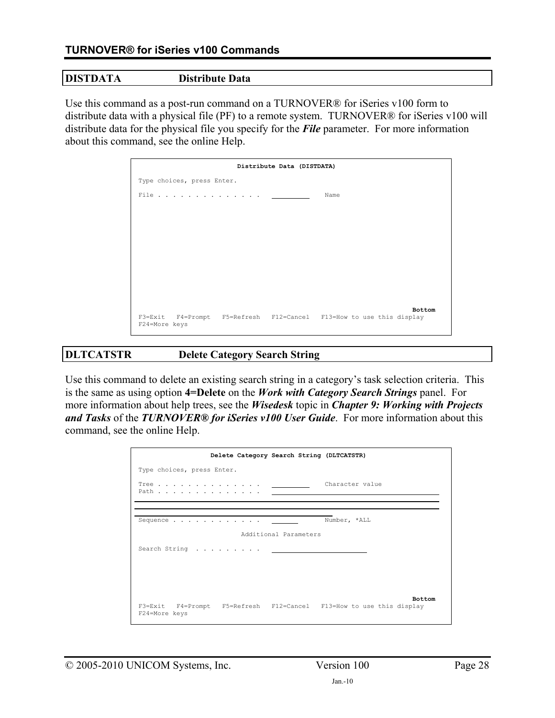### **DISTDATA Distribute Data**

Use this command as a post-run command on a TURNOVER<sup>®</sup> for iSeries v100 form to distribute data with a physical file (PF) to a remote system. TURNOVER® for iSeries v100 will distribute data for the physical file you specify for the *File* parameter. For more information about this command, see the online Help.



### **DLTCATSTR Delete Category Search String**

Use this command to delete an existing search string in a category's task selection criteria. This is the same as using option **4=Delete** on the *Work with Category Search Strings* panel. For more information about help trees, see the *Wisedesk* topic in *Chapter 9: Working with Projects and Tasks* of the *TURNOVER® for iSeries v100 User Guide*. For more information about this command, see the online Help.

| Delete Category Search String (DLTCATSTR)                                            |               |
|--------------------------------------------------------------------------------------|---------------|
| Type choices, press Enter.                                                           |               |
| Character value<br>Tree <u>.</u>                                                     |               |
|                                                                                      |               |
| Number, *ALL                                                                         |               |
| Additional Parameters                                                                |               |
|                                                                                      |               |
|                                                                                      |               |
|                                                                                      |               |
|                                                                                      | <b>Bottom</b> |
| F3=Exit F4=Prompt F5=Refresh F12=Cancel F13=How to use this display<br>F24=More keys |               |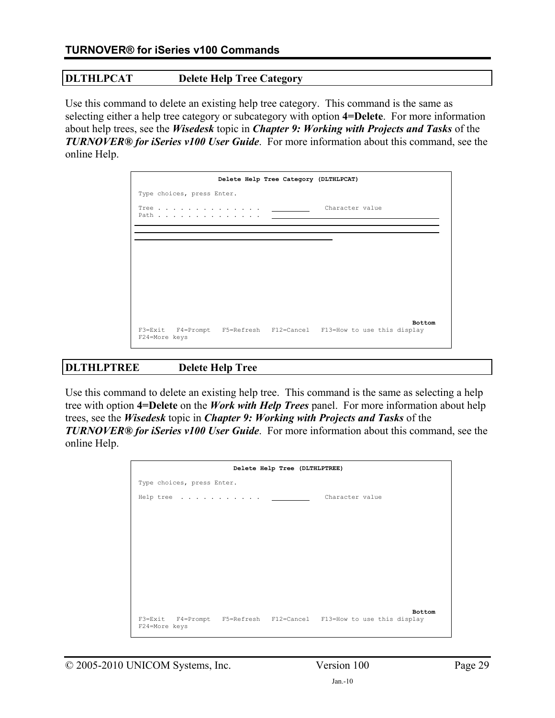### **DLTHLPCAT Delete Help Tree Category**

Use this command to delete an existing help tree category. This command is the same as selecting either a help tree category or subcategory with option **4=Delete**. For more information about help trees, see the *Wisedesk* topic in *Chapter 9: Working with Projects and Tasks* of the *TURNOVER® for iSeries v100 User Guide*. For more information about this command, see the online Help.

|                            |                                                                     | Delete Help Tree Category (DLTHLPCAT) |                 |               |
|----------------------------|---------------------------------------------------------------------|---------------------------------------|-----------------|---------------|
| Type choices, press Enter. |                                                                     |                                       |                 |               |
|                            | Tree $\qquad \qquad \qquad$<br>Path                                 |                                       | Character value |               |
|                            |                                                                     |                                       |                 |               |
|                            |                                                                     |                                       |                 |               |
|                            |                                                                     |                                       |                 |               |
|                            |                                                                     |                                       |                 |               |
|                            |                                                                     |                                       |                 |               |
|                            |                                                                     |                                       |                 |               |
|                            |                                                                     |                                       |                 |               |
| F24=More keys              | F3=Exit F4=Prompt F5=Refresh F12=Cancel F13=How to use this display |                                       |                 | <b>Bottom</b> |

### **DLTHLPTREE Delete Help Tree**

Use this command to delete an existing help tree. This command is the same as selecting a help tree with option **4=Delete** on the *Work with Help Trees* panel. For more information about help trees, see the *Wisedesk* topic in *Chapter 9: Working with Projects and Tasks* of the *TURNOVER® for iSeries v100 User Guide*. For more information about this command, see the online Help.

|                            | Delete Help Tree (DLTHLPTREE) |                                                                               |  |
|----------------------------|-------------------------------|-------------------------------------------------------------------------------|--|
| Type choices, press Enter. |                               |                                                                               |  |
| Help tree                  |                               | Character value                                                               |  |
|                            |                               |                                                                               |  |
|                            |                               |                                                                               |  |
|                            |                               |                                                                               |  |
|                            |                               |                                                                               |  |
|                            |                               |                                                                               |  |
| F24=More keys              |                               | Bottom<br>F3=Exit F4=Prompt F5=Refresh F12=Cancel F13=How to use this display |  |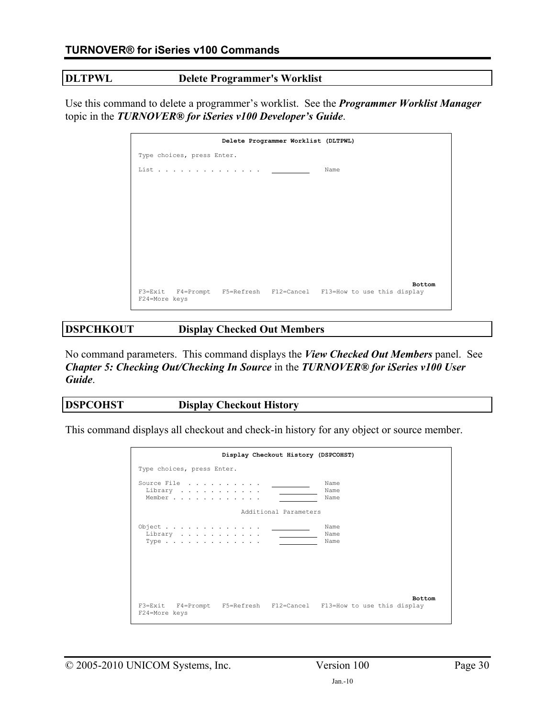### **DLTPWL Delete Programmer's Worklist**

Use this command to delete a programmer's worklist. See the *Programmer Worklist Manager* topic in the *TURNOVER® for iSeries v100 Developer's Guide*.

|                            | Delete Programmer Worklist (DLTPWL) |                                                                     |
|----------------------------|-------------------------------------|---------------------------------------------------------------------|
| Type choices, press Enter. |                                     |                                                                     |
|                            |                                     | Name                                                                |
|                            |                                     |                                                                     |
|                            |                                     |                                                                     |
|                            |                                     |                                                                     |
|                            |                                     |                                                                     |
|                            |                                     |                                                                     |
|                            |                                     |                                                                     |
|                            |                                     |                                                                     |
|                            |                                     | Bottom                                                              |
| F24=More keys              |                                     | F3=Exit F4=Prompt F5=Refresh F12=Cancel F13=How to use this display |

### **DSPCHKOUT Display Checked Out Members**

No command parameters. This command displays the *View Checked Out Members* panel. See *Chapter 5: Checking Out/Checking In Source* in the *TURNOVER® for iSeries v100 User Guide*.

| <b>DSPCOHST</b> | <b>Display Checkout History</b> |
|-----------------|---------------------------------|
|                 |                                 |

This command displays all checkout and check-in history for any object or source member.

| Display Checkout History (DSPCOHST)                                                  |               |
|--------------------------------------------------------------------------------------|---------------|
| Type choices, press Enter.                                                           |               |
| Source File<br>Name<br>Name<br>Library<br>Member<br>Name                             |               |
| Additional Parameters                                                                |               |
| Object <u>_______</u><br>Name<br>Name<br>Library<br>Name<br>Type                     |               |
| F3=Exit F4=Prompt F5=Refresh F12=Cancel F13=How to use this display<br>F24=More keys | <b>Bottom</b> |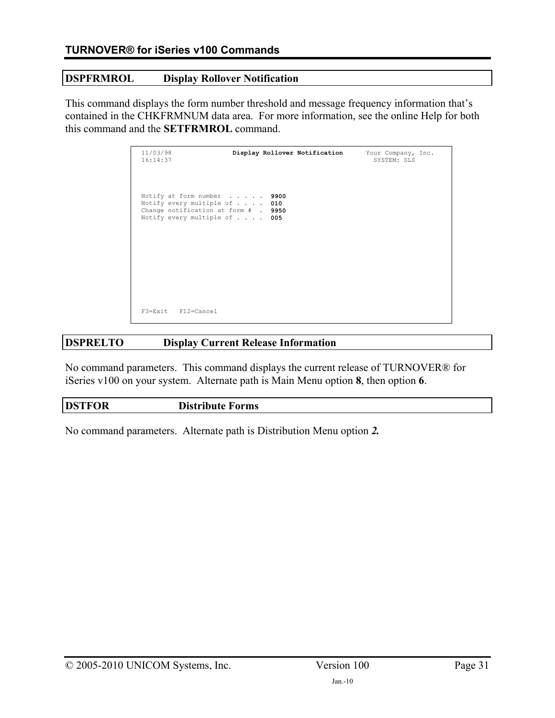## **DSPFRMROL Display Rollover Notification**

This command displays the form number threshold and message frequency information that's contained in the CHKFRMNUM data area. For more information, see the online Help for both this command and the **SETFRMROL** command.

| 11/03/98<br>16:14:37                                                                                                               |             | Display Rollover Notification | Your Company, Inc.<br>SYSTEM: SLS |  |
|------------------------------------------------------------------------------------------------------------------------------------|-------------|-------------------------------|-----------------------------------|--|
| Notify at form number<br>Notify every multiple of $\ldots$ 010<br>Change notification at form # . 9950<br>Notify every multiple of | 9900<br>005 |                               |                                   |  |
| F3=Exit F12=Cancel                                                                                                                 |             |                               |                                   |  |

# **DSPRELTO Display Current Release Information**

No command parameters. This command displays the current release of TURNOVER® for iSeries v100 on your system. Alternate path is Main Menu option **8**, then option **6**.

| <b>DSTFOR</b><br><b>Distribute Forms</b> |  |  |
|------------------------------------------|--|--|
|------------------------------------------|--|--|

No command parameters. Alternate path is Distribution Menu option *2.*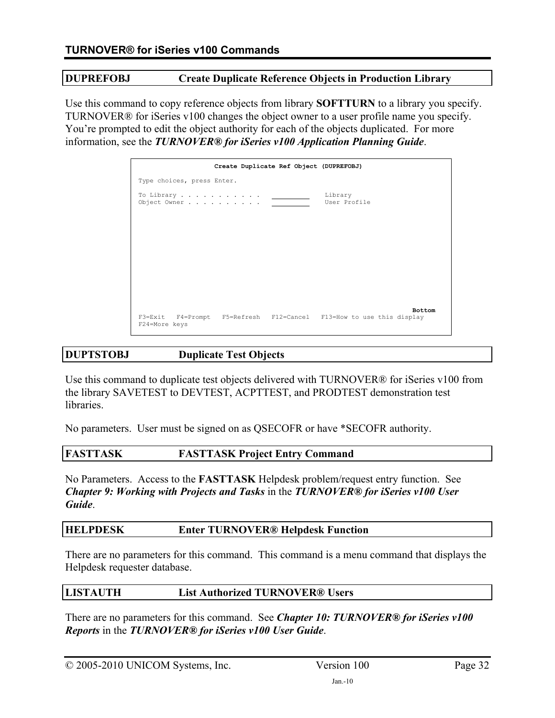### **DUPREFOBJ Create Duplicate Reference Objects in Production Library**

Use this command to copy reference objects from library **SOFTTURN** to a library you specify. TURNOVER® for iSeries v100 changes the object owner to a user profile name you specify. You're prompted to edit the object authority for each of the objects duplicated. For more information, see the *TURNOVER® for iSeries v100 Application Planning Guide*.

|                                                                                      | Create Duplicate Ref Object (DUPREFOBJ) |                         |               |
|--------------------------------------------------------------------------------------|-----------------------------------------|-------------------------|---------------|
| Type choices, press Enter.                                                           |                                         |                         |               |
| To Library $\qquad \qquad \qquad$<br>Object Owner                                    |                                         | Library<br>User Profile |               |
|                                                                                      |                                         |                         |               |
|                                                                                      |                                         |                         |               |
|                                                                                      |                                         |                         |               |
|                                                                                      |                                         |                         |               |
| F3=Exit F4=Prompt F5=Refresh F12=Cancel F13=How to use this display<br>F24=More keys |                                         |                         | <b>Bottom</b> |

# **DUPTSTOBJ Duplicate Test Objects**

Use this command to duplicate test objects delivered with TURNOVER<sup>®</sup> for iSeries v100 from the library SAVETEST to DEVTEST, ACPTTEST, and PRODTEST demonstration test libraries.

No parameters. User must be signed on as QSECOFR or have \*SECOFR authority.

### **FASTTASK FASTTASK Project Entry Command**

No Parameters. Access to the **FASTTASK** Helpdesk problem/request entry function. See *Chapter 9: Working with Projects and Tasks* in the *TURNOVER® for iSeries v100 User Guide*.

### **HELPDESK Enter TURNOVER® Helpdesk Function**

There are no parameters for this command. This command is a menu command that displays the Helpdesk requester database.

### **LISTAUTH List Authorized TURNOVER® Users**

There are no parameters for this command. See *Chapter 10: TURNOVER® for iSeries v100 Reports* in the *TURNOVER® for iSeries v100 User Guide*.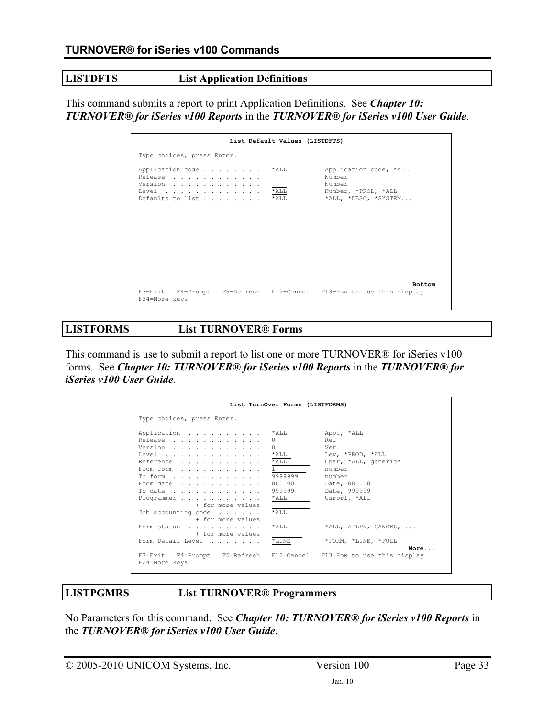## **LISTDFTS List Application Definitions**

This command submits a report to print Application Definitions. See *Chapter 10: TURNOVER® for iSeries v100 Reports* in the *TURNOVER® for iSeries v100 User Guide*.

|                                                                                      | List Default Values (LISTDFTS)                    |                                                                                           |
|--------------------------------------------------------------------------------------|---------------------------------------------------|-------------------------------------------------------------------------------------------|
| Type choices, press Enter.                                                           |                                                   |                                                                                           |
| Application code<br>Release<br>Version<br>Level $\ldots$<br>Defaults to list         | $*$ ALL<br>$\sim$ 100 $\mu$<br>$*$ ALL<br>$*$ ALL | Application code, *ALL<br>Number<br>Number<br>Number, *PROD, *ALL<br>*ALL, *DESC, *SYSTEM |
| F3=Exit F4=Prompt F5=Refresh F12=Cancel F13=How to use this display<br>F24=More keys |                                                   | <b>Bottom</b>                                                                             |

**LISTFORMS List TURNOVER® Forms** 

This command is use to submit a report to list one or more TURNOVER® for iSeries v100 forms. See *Chapter 10: TURNOVER® for iSeries v100 Reports* in the *TURNOVER® for iSeries v100 User Guide*.

|                                                                                                                                                       | List TurnOver Forms (LISTFORMS)                                           |                                                                                                                                          |
|-------------------------------------------------------------------------------------------------------------------------------------------------------|---------------------------------------------------------------------------|------------------------------------------------------------------------------------------------------------------------------------------|
| Type choices, press Enter.                                                                                                                            |                                                                           |                                                                                                                                          |
| Application<br>Release<br>Version<br>Level $\overline{^{\star}\text{ALL}}$<br>Reference<br>From form<br>To form<br>From date<br>To date<br>Programmer | *ALL<br>$*$ ALL<br>$\mathbf{1}$<br>9999999<br>000000<br>999999<br>$*$ ALL | Appl, *ALL<br>Rel<br>Ver<br>Lev, *PROD, *ALL<br>Char, *ALL, generic*<br>number<br>number<br>Date, 000000<br>Date, 999999<br>Usrprf, *ALL |
| + for more values<br>Job accounting code $\ldots$<br>+ for more values                                                                                | $*$ ALL                                                                   |                                                                                                                                          |
| Form status<br>+ for more values                                                                                                                      | $*$ ALL                                                                   | *ALL, APLPN, CANCEL,                                                                                                                     |
| Form Detail Level                                                                                                                                     | $*$ LINE                                                                  | *FORM, *LINE, *FULL<br>More                                                                                                              |
| F3=Exit F4=Prompt F5=Refresh F12=Cancel F13=How to use this display<br>F24=More keys                                                                  |                                                                           |                                                                                                                                          |

**LISTPGMRS List TURNOVER® Programmers** 

No Parameters for this command. See *Chapter 10: TURNOVER® for iSeries v100 Reports* in the *TURNOVER® for iSeries v100 User Guide*.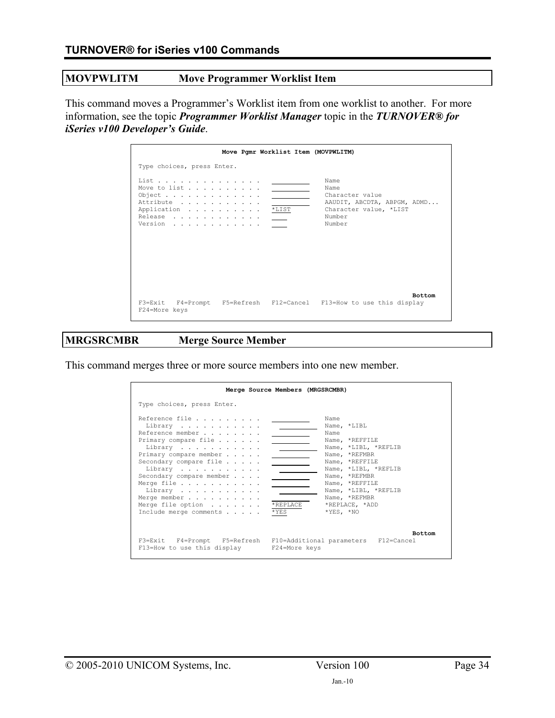### **MOVPWLITM Move Programmer Worklist Item**

This command moves a Programmer's Worklist item from one worklist to another. For more information, see the topic *Programmer Worklist Manager* topic in the *TURNOVER® for iSeries v100 Developer's Guide*.

|                                                                                        | Move Pgmr Worklist Item (MOVPWLITM)                                                                          |
|----------------------------------------------------------------------------------------|--------------------------------------------------------------------------------------------------------------|
| Type choices, press Enter.                                                             |                                                                                                              |
| List<br>Move to list<br>Object<br>Attribute<br>Application *LIST<br>Release<br>Version | Name<br>Name<br>Character value<br>AAUDIT, ABCDTA, ABPGM, ADMD<br>Character value, *LIST<br>Number<br>Number |
| F24=More keys                                                                          | <b>Bottom</b><br>F3=Exit F4=Prompt F5=Refresh F12=Cancel F13=How to use this display                         |

# **MRGSRCMBR Merge Source Member**

This command merges three or more source members into one new member.

|                                                                                                                                                                                                                                                                              | Merge Source Members (MRGSRCMBR) |                                                                                                                                                                                                                                                   |
|------------------------------------------------------------------------------------------------------------------------------------------------------------------------------------------------------------------------------------------------------------------------------|----------------------------------|---------------------------------------------------------------------------------------------------------------------------------------------------------------------------------------------------------------------------------------------------|
| Type choices, press Enter.                                                                                                                                                                                                                                                   |                                  |                                                                                                                                                                                                                                                   |
| Reference file<br>Library<br>Reference member<br>Primary compare file<br>Library<br>Primary compare member<br>Secondary compare file<br>Library<br>Secondary compare member<br>Merge file<br>Library<br>Merge member<br>Merge file option $\ldots$<br>Include merge comments | *REPLACE<br>*YES                 | Name<br>Name, *LIBL<br>Name<br>Name, *REFFILE<br>Name, *LIBL, *REFLIB<br>Name, *REFMBR<br>Name, *REFFILE<br>Name, *LIBL, *REFLIB<br>Name, *REFMBR<br>Name, *REFFILE<br>Name, *LIBL, *REFLIB<br>Name, *REFMBR<br>*REPLACE, *ADD<br>$*$ YES, $*$ NO |
| F3=Exit F4=Prompt F5=Refresh F10=Additional parameters F12=Cancel<br>F13=How to use this display F24=More keys                                                                                                                                                               |                                  | <b>Bottom</b>                                                                                                                                                                                                                                     |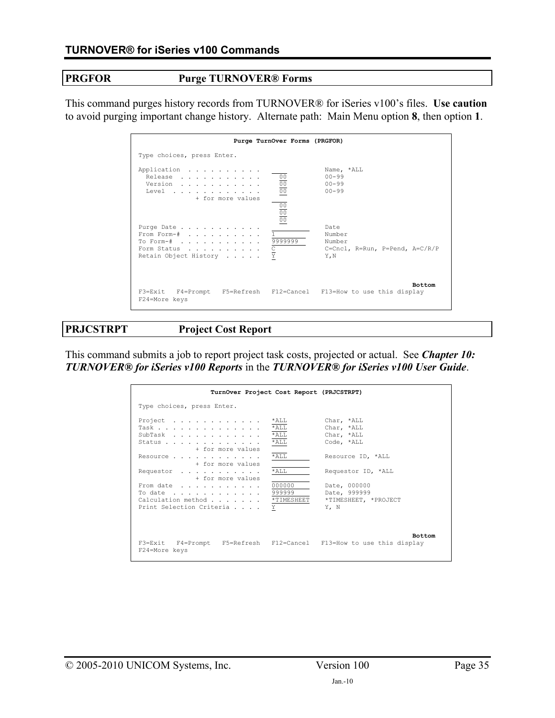### **PRGFOR Purge TURNOVER® Forms**

This command purges history records from TURNOVER® for iSeries v100's files. **Use caution**  to avoid purging important change history. Alternate path: Main Menu option **8**, then option **1**.

|                                                                                      | Purge TurnOver Forms (PRGFOR)                            |                                                                    |
|--------------------------------------------------------------------------------------|----------------------------------------------------------|--------------------------------------------------------------------|
| Type choices, press Enter.                                                           |                                                          |                                                                    |
| Application<br>Release<br>Version<br>Level<br>+ for more values                      | $\frac{00}{00}$<br>$\frac{\frac{1}{100}}{\frac{1}{100}}$ | Name, *ALL<br>$00 - 99$<br>$00 - 99$<br>$00 - 99$                  |
| Purqe Date<br>From Form-#<br>To Form-#<br>Form Status<br>Retain Object History       | 9999999<br>$\frac{C}{Y}$                                 | Date<br>Number<br>Number<br>C=Cncl, R=Run, P=Pend, A=C/R/P<br>Y, N |
| F3=Exit F4=Prompt F5=Refresh F12=Cancel F13=How to use this display<br>F24=More keys |                                                          | <b>Bottom</b>                                                      |

**PRJCSTRPT Project Cost Report** 

This command submits a job to report project task costs, projected or actual. See *Chapter 10: TURNOVER® for iSeries v100 Reports* in the *TURNOVER® for iSeries v100 User Guide*.

| TurnOver Project Cost Report (PRJCSTRPT)                                                                                                                                                                                    |                                                                          |                                                                                                                                                                 |
|-----------------------------------------------------------------------------------------------------------------------------------------------------------------------------------------------------------------------------|--------------------------------------------------------------------------|-----------------------------------------------------------------------------------------------------------------------------------------------------------------|
| Type choices, press Enter.                                                                                                                                                                                                  |                                                                          |                                                                                                                                                                 |
| Project<br>Task<br>SubTask<br>Status<br>+ for more values<br>Resource<br>+ for more values<br>Requestor<br>+ for more values<br>From date<br>To date 999999<br>Calculation method * TIMESHEET<br>Print Selection Criteria Y | $*$ ALL<br>$*$ ALL<br>$*$ ALL<br>$*$ ALL<br>$*$ ALL<br>$*$ ALL<br>000000 | Char, *ALL<br>Char, *ALL<br>Char, *ALL<br>Code, *ALL<br>Resource ID, *ALL<br>Requestor ID, *ALL<br>Date, 000000<br>Date, 999999<br>*TIMESHEET, *PROJECT<br>Y. N |
| F3=Exit F4=Prompt F5=Refresh F12=Cancel F13=How to use this display<br>F24=More keys                                                                                                                                        |                                                                          | <b>Bottom</b>                                                                                                                                                   |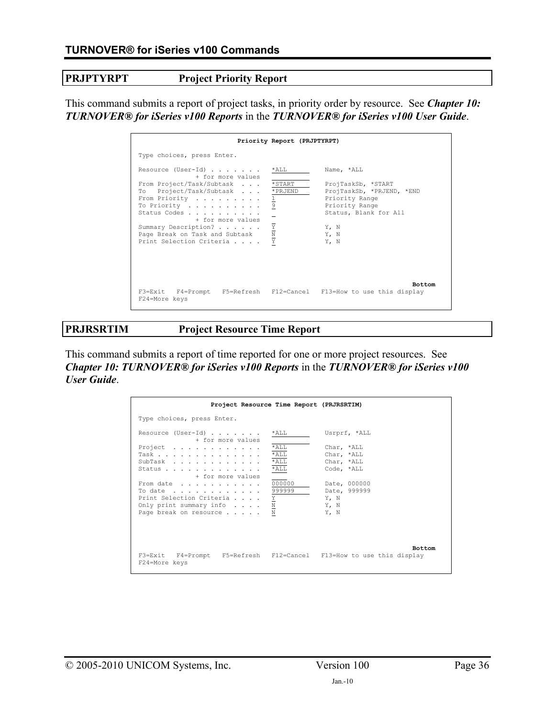**PRJPTYRPT** Project Priority Report

This command submits a report of project tasks, in priority order by resource. See *Chapter 10: TURNOVER® for iSeries v100 Reports* in the *TURNOVER® for iSeries v100 User Guide*.

|                                                                                                                                                                                                                                                                                           | Priority Report (PRJPTYRPT)                                 |                                                                                                                                                    |
|-------------------------------------------------------------------------------------------------------------------------------------------------------------------------------------------------------------------------------------------------------------------------------------------|-------------------------------------------------------------|----------------------------------------------------------------------------------------------------------------------------------------------------|
| Type choices, press Enter.                                                                                                                                                                                                                                                                |                                                             |                                                                                                                                                    |
| Resource (User-Id) $\ldots$<br>+ for more values<br>From Project/Task/Subtask *START<br>Project/Task/Subtask * PRJEND<br>To To<br>From Priority<br>To Priority<br>Status Codes<br>+ for more values<br>Summary Description?<br>Page Break on Task and Subtask<br>Print Selection Criteria | *ALL<br>$rac{1}{9}$<br>$\frac{\overline{Y}}{\underline{N}}$ | Name, *ALL<br>ProjTaskSb, *START<br>ProjTaskSb, *PRJEND, *END<br>Priority Range<br>Priority Range<br>Status, Blank for All<br>Y, N<br>Y, N<br>Y, N |
| F3=Exit F4=Prompt F5=Refresh F12=Cancel F13=How to use this display<br>F24=More keys                                                                                                                                                                                                      |                                                             | <b>Bottom</b>                                                                                                                                      |

**PRJRSRTIM Project Resource Time Report** 

This command submits a report of time reported for one or more project resources. See *Chapter 10: TURNOVER® for iSeries v100 Reports* in the *TURNOVER® for iSeries v100 User Guide*.

| Project Resource Time Report (PRJRSRTIM)                                                                                                                                                                                              |                                          |                                                                                                              |  |  |
|---------------------------------------------------------------------------------------------------------------------------------------------------------------------------------------------------------------------------------------|------------------------------------------|--------------------------------------------------------------------------------------------------------------|--|--|
| Type choices, press Enter.                                                                                                                                                                                                            |                                          |                                                                                                              |  |  |
| Resource (User-Id) *ALL<br>+ for more values<br>Project $\ldots$ , $\ldots$ , $\ldots$ , $\ldots$<br>Task<br>SubTask<br>Status<br>+ for more values<br>From date 000000<br>To date 999999<br>Print Selection Criteria $\underline{Y}$ | $*$ ALL<br>$*$ ALL<br>$*$ ALL<br>$*$ ALL | Usrprf, *ALL<br>Char, *ALL<br>Char, *ALL<br>Char, *ALL<br>Code, *ALL<br>Date, 000000<br>Date, 999999<br>Y, N |  |  |
| Only print summary info $\underline{N}$<br>Page break on resource N                                                                                                                                                                   |                                          | Y, N<br>Y, N<br><b>Bottom</b>                                                                                |  |  |
| F3=Exit F4=Prompt F5=Refresh F12=Cancel F13=How to use this display<br>F24=More keys                                                                                                                                                  |                                          |                                                                                                              |  |  |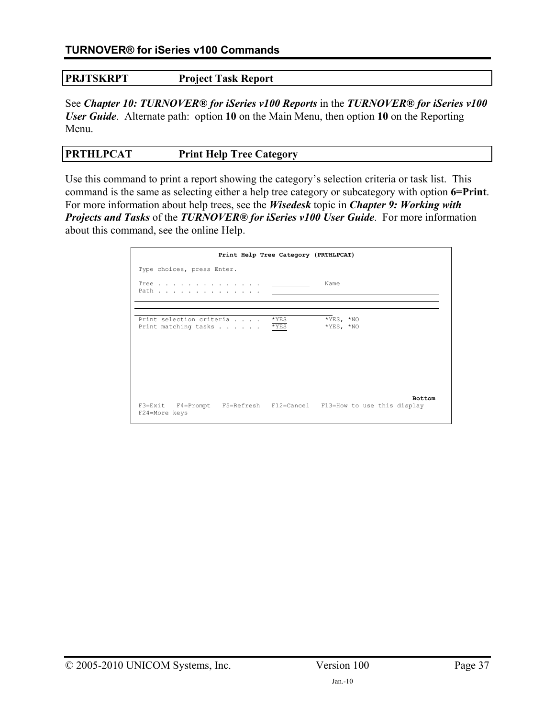## **PRJTSKRPT Project Task Report**

See *Chapter 10: TURNOVER® for iSeries v100 Reports* in the *TURNOVER® for iSeries v100 User Guide*. Alternate path: option **10** on the Main Menu, then option **10** on the Reporting Menu.

# **PRTHLPCAT** Print Help Tree Category

Use this command to print a report showing the category's selection criteria or task list. This command is the same as selecting either a help tree category or subcategory with option **6=Print**. For more information about help trees, see the *Wisedesk* topic in *Chapter 9: Working with Projects and Tasks* of the *TURNOVER® for iSeries v100 User Guide*. For more information about this command, see the online Help.

|                                                                                      | Print Help Tree Category (PRTHLPCAT) |               |
|--------------------------------------------------------------------------------------|--------------------------------------|---------------|
| Type choices, press Enter.                                                           |                                      |               |
| Path                                                                                 | Name                                 |               |
|                                                                                      |                                      |               |
| Print selection criteria * YES<br>Print matching tasks * YES                         | $*YES, *NO$<br>$*YES, *NO$           |               |
| F3=Exit F4=Prompt F5=Refresh F12=Cancel F13=How to use this display<br>F24=More keys |                                      | <b>Bottom</b> |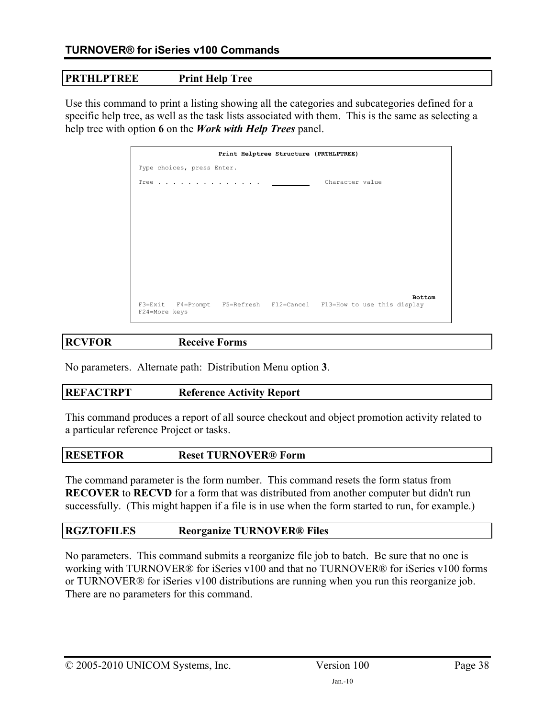# **PRTHLPTREE Print Help Tree**

Use this command to print a listing showing all the categories and subcategories defined for a specific help tree, as well as the task lists associated with them. This is the same as selecting a help tree with option **6** on the *Work with Help Trees* panel.

|               |                            |  | Print Helptree Structure (PRTHLPTREE)                               |               |
|---------------|----------------------------|--|---------------------------------------------------------------------|---------------|
|               | Type choices, press Enter. |  |                                                                     |               |
|               | Tree                       |  | Character value                                                     |               |
|               |                            |  |                                                                     |               |
|               |                            |  |                                                                     |               |
|               |                            |  |                                                                     |               |
|               |                            |  |                                                                     |               |
|               |                            |  |                                                                     |               |
|               |                            |  |                                                                     |               |
|               |                            |  |                                                                     |               |
| F24=More keys |                            |  | F3=Exit F4=Prompt F5=Refresh F12=Cancel F13=How to use this display | <b>Bottom</b> |

# **RCVFOR Receive Forms**

No parameters. Alternate path: Distribution Menu option **3**.

# **REFACTRPT Reference Activity Report**

This command produces a report of all source checkout and object promotion activity related to a particular reference Project or tasks.

# **RESETFOR Reset TURNOVER® Form**

The command parameter is the form number. This command resets the form status from **RECOVER** to **RECVD** for a form that was distributed from another computer but didn't run successfully. (This might happen if a file is in use when the form started to run, for example.)

# **RGZTOFILES Reorganize TURNOVER® Files**

No parameters. This command submits a reorganize file job to batch. Be sure that no one is working with TURNOVER® for iSeries v100 and that no TURNOVER® for iSeries v100 forms or TURNOVER® for iSeries v100 distributions are running when you run this reorganize job. There are no parameters for this command.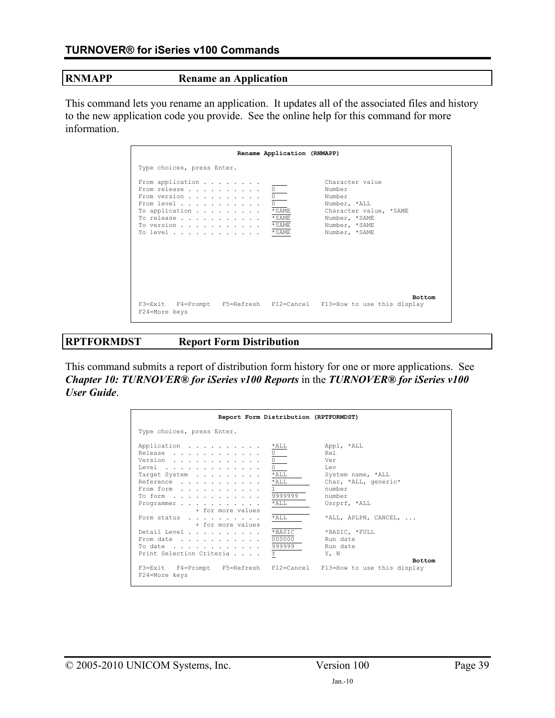#### **RNMAPP Rename an Application**

This command lets you rename an application. It updates all of the associated files and history to the new application code you provide. See the online help for this command for more information.

|                                                                                                                                   | Rename Application (RNMAPP)               |                                                                                                                                  |
|-----------------------------------------------------------------------------------------------------------------------------------|-------------------------------------------|----------------------------------------------------------------------------------------------------------------------------------|
| Type choices, press Enter.                                                                                                        |                                           |                                                                                                                                  |
| From application<br>From release<br>From version<br>From level<br>To application $\cdots$<br>To release<br>To version<br>To level | 0<br>* SAME<br>* SAME<br>* SAME<br>* SAME | Character value<br>Number<br>Number<br>Number, *ALL<br>Character value, *SAME<br>Number, *SAME<br>Number, *SAME<br>Number, *SAME |
| F24=More keys                                                                                                                     |                                           | <b>Bottom</b><br>F3=Exit F4=Prompt F5=Refresh F12=Cancel F13=How to use this display                                             |

# **RPTFORMDST Report Form Distribution**

This command submits a report of distribution form history for one or more applications. See *Chapter 10: TURNOVER® for iSeries v100 Reports* in the *TURNOVER® for iSeries v100 User Guide*.

|                                                                                                                                    | Report Form Distribution (RPTFORMDST)  |                                                                  |                                                                                                                         |
|------------------------------------------------------------------------------------------------------------------------------------|----------------------------------------|------------------------------------------------------------------|-------------------------------------------------------------------------------------------------------------------------|
| Type choices, press Enter.                                                                                                         |                                        |                                                                  |                                                                                                                         |
| Application<br>Release<br>Version<br>Level $\cdots$ , $\cdots$<br>Target System<br>Reference<br>From form<br>To form<br>Programmer |                                        | *ALL<br>$*$ ALL<br>$*$ ALL<br>$\mathbf{1}$<br>9999999<br>$*$ ALL | Appl, *ALL<br>Rel<br>Ver<br><b>Lev</b><br>System name, *ALL<br>Char, *ALL, generic*<br>number<br>number<br>Usrprf, *ALL |
| Form status                                                                                                                        | + for more values<br>+ for more values | *ALL                                                             | *ALL, APLPN, CANCEL,                                                                                                    |
| Detail Level<br>From date<br>To date<br>Print Selection Criteria                                                                   |                                        | *BASIC<br>000000<br>999999<br>Y                                  | *BASIC, *FULL<br>Run date<br>Run date<br>Y, N                                                                           |
| F3=Exit F4=Prompt<br>F24=More keys                                                                                                 | F5=Refresh                             | F12=Cancel                                                       | <b>Bottom</b><br>F13=How to use this display                                                                            |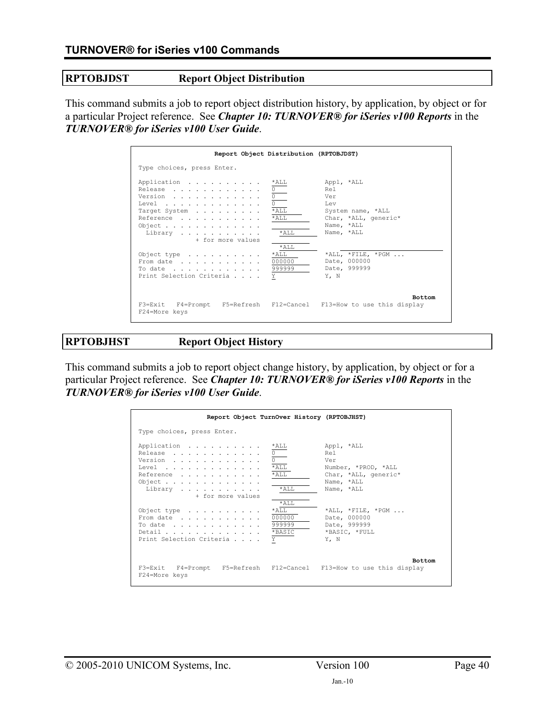# **RPTOBJDST Report Object Distribution**

This command submits a job to report object distribution history, by application, by object or for a particular Project reference. See *Chapter 10: TURNOVER® for iSeries v100 Reports* in the *TURNOVER® for iSeries v100 User Guide*.

| Report Object Distribution (RPTOBJDST)                                                                             |                                             |                                                                                                                 |
|--------------------------------------------------------------------------------------------------------------------|---------------------------------------------|-----------------------------------------------------------------------------------------------------------------|
| Type choices, press Enter.                                                                                         |                                             |                                                                                                                 |
| Application<br>Release<br>Version<br>Level<br>Target System<br>Reference<br>Object<br>Library<br>+ for more values | *ALL<br>$*$ ALL<br>$*$ ALL<br>$*$ ALL       | Appl, *ALL<br>Rel<br>Ver<br><b>Lev</b><br>System name, *ALL<br>Char, *ALL, generic*<br>Name, *ALL<br>Name, *ALL |
| Object type $\ldots$<br>From date $\ldots$ , $\ldots$ , $\ldots$<br>To date $\ldots$<br>Print Selection Criteria   | $*$ ALL<br>$*$ ALL<br>000000<br>999999<br>Y | *ALL, *FILE, *PGM<br>Date, 000000<br>Date, 999999<br>Y, N                                                       |
| F3=Exit F4=Prompt F5=Refresh F12=Cancel F13=How to use this display<br>F24=More keys                               |                                             | <b>Bottom</b>                                                                                                   |

**RPTOBJHST Report Object History** 

This command submits a job to report object change history, by application, by object or for a particular Project reference. See *Chapter 10: TURNOVER® for iSeries v100 Reports* in the *TURNOVER® for iSeries v100 User Guide*.

| Report Object TurnOver History (RPTOBJHST)                                                                                                             |                                                       |                                                                                                     |
|--------------------------------------------------------------------------------------------------------------------------------------------------------|-------------------------------------------------------|-----------------------------------------------------------------------------------------------------|
| Type choices, press Enter.                                                                                                                             |                                                       |                                                                                                     |
| Application<br>Release<br>Version<br>Level $\ldots$ , $\ldots$ , $\ldots$ , $\ldots$ , $\ldots$<br>Reference<br>Object<br>Library<br>+ for more values | *ALL<br>$*$ ALL<br>*ALL<br>$*AT.T.$                   | Appl, *ALL<br>Rel<br>Ver<br>Number, *PROD, *ALL<br>Char, *ALL, generic*<br>Name, *ALL<br>Name, *ALL |
| Object type $\ldots$<br>From date<br>To date $\ldots$ , $\ldots$ , $\ldots$ , $\ldots$<br>Detail<br>Print Selection Criteria                           | $*$ ALL<br>$*$ ALL<br>000000<br>999999<br>*BASIC<br>Υ | *ALL, *FILE, *PGM<br>Date, 000000<br>Date, 999999<br>*BASIC, *FULL<br>Y. N                          |
| F3=Exit F4=Prompt F5=Refresh F12=Cancel F13=How to use this display<br>F24=More keys                                                                   |                                                       | <b>Bottom</b>                                                                                       |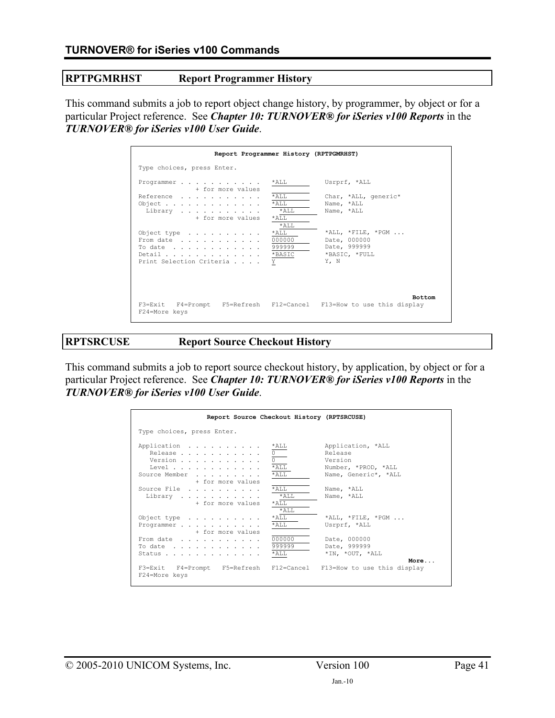### **RPTPGMRHST Report Programmer History**

This command submits a job to report object change history, by programmer, by object or for a particular Project reference. See *Chapter 10: TURNOVER® for iSeries v100 Reports* in the *TURNOVER® for iSeries v100 User Guide*.

| Report Programmer History (RPTPGMRHST)                                                                                                                     |                                                          |                                                                                     |
|------------------------------------------------------------------------------------------------------------------------------------------------------------|----------------------------------------------------------|-------------------------------------------------------------------------------------|
| Type choices, press Enter.                                                                                                                                 |                                                          |                                                                                     |
| Programmer<br>+ for more values<br>Reference<br>Object $\cdots$ $\cdots$ $\cdots$ $\cdots$<br>Library                                                      | $*$ ALL<br>*ALL<br>$*$ ALL<br>$*$ ALL                    | Usrprf, *ALL<br>Char, *ALL, generic*<br>Name, *ALL<br>Name, *ALL                    |
| + for more values<br>Object type $\ldots$<br>From date<br>To date $\ldots$ , $\ldots$ , $\ldots$ , $\ldots$<br>Detail *BASIC<br>Print Selection Criteria Y | $\star$ AT.T.<br>$*AT.T.$<br>$*$ ALL<br>000000<br>999999 | $*$ ALL, $*$ FILE, $*$ PGM<br>Date, 000000<br>Date, 999999<br>*BASIC, *FULL<br>Y. N |
| F3=Exit F4=Prompt F5=Refresh F12=Cancel F13=How to use this display<br>F24=More keys                                                                       |                                                          | <b>Bottom</b>                                                                       |

**RPTSRCUSE Report Source Checkout History** 

This command submits a job to report source checkout history, by application, by object or for a particular Project reference. See *Chapter 10: TURNOVER® for iSeries v100 Reports* in the *TURNOVER® for iSeries v100 User Guide*.

| Report Source Checkout History (RPTSRCUSE)                               |                                             |                                                                                        |
|--------------------------------------------------------------------------|---------------------------------------------|----------------------------------------------------------------------------------------|
| Type choices, press Enter.                                               |                                             |                                                                                        |
| Application<br>Release<br>Version<br>Level<br>Source Member              | *ALL<br>$*_{\mathrm{ALL}}$<br>$*$ ALL       | Application, *ALL<br>Release<br>Version<br>Number, *PROD, *ALL<br>Name, Generic*, *ALL |
| + for more values<br>Source File<br>Library<br>+ for more values         | $*AT.T.$<br>$*AT.T.$<br>$*$ ALL<br>$*AT.T.$ | Name, *ALL<br>Name, *ALL                                                               |
| Object type $\ldots$<br>Programmer<br>+ for more values                  | $*$ ALL<br>$*$ ALL                          | *ALL, *FILE, *PGM<br>Usrprf, *ALL                                                      |
| From date<br>To date $\ldots$ , $\ldots$ , $\ldots$ , $\ldots$<br>Status | 000000<br>999999<br>$*$ ALL                 | Date, 000000<br>Date, 999999<br>*IN, *OUT, *ALL                                        |
| F3=Exit F4=Prompt F5=Refresh F12=Cancel<br>F24=More keys                 |                                             | More<br>F13=How to use this display                                                    |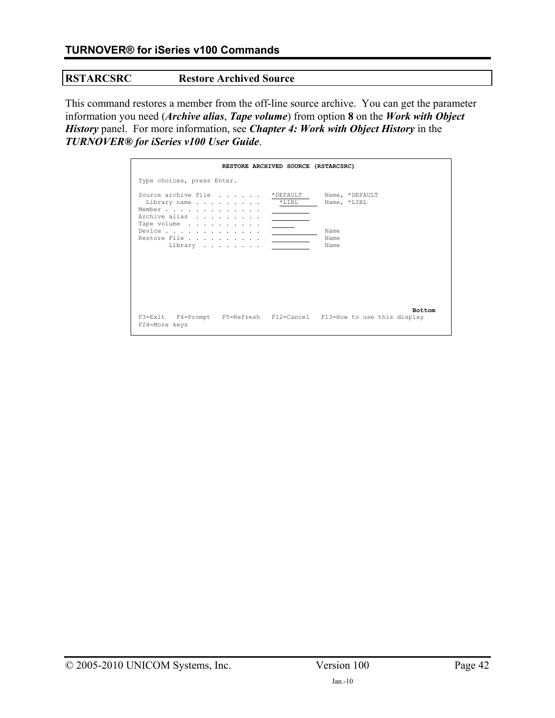## **RSTARCSRC Restore Archived Source**

This command restores a member from the off-line source archive. You can get the parameter information you need (*Archive alias*, *Tape volume*) from option **8** on the *Work with Object History* panel. For more information, see *Chapter 4: Work with Object History* in the *TURNOVER® for iSeries v100 User Guide*.

|                                                                                      | RESTORE ARCHIVED SOURCE (RSTARCSRC) |                               |               |
|--------------------------------------------------------------------------------------|-------------------------------------|-------------------------------|---------------|
| Type choices, press Enter.                                                           |                                     |                               |               |
| Source archive file<br>Library name<br>Member<br>Archive alias                       | * DEFAULT<br>$*$ LIBL               | Name, *DEFAULT<br>Name, *LIBL |               |
| Tape volume<br>Restore File<br>Library                                               |                                     | Name<br>Name<br>Name          |               |
|                                                                                      |                                     |                               | <b>Bottom</b> |
| F3=Exit F4=Prompt F5=Refresh F12=Cancel F13=How to use this display<br>F24=More keys |                                     |                               |               |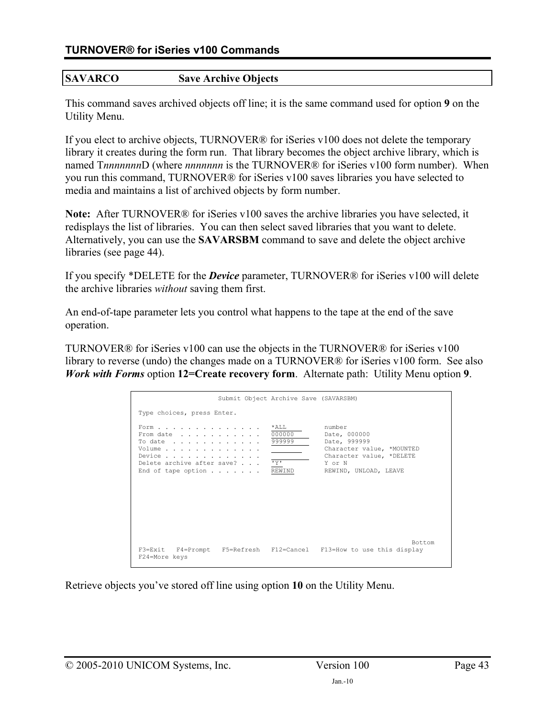# **SAVARCO Save Archive Objects**

This command saves archived objects off line; it is the same command used for option **9** on the Utility Menu.

If you elect to archive objects, TURNOVER® for iSeries v100 does not delete the temporary library it creates during the form run. That library becomes the object archive library, which is named T*nnnnnnn*D (where *nnnnnnn* is the TURNOVER® for iSeries v100 form number). When you run this command, TURNOVER® for iSeries v100 saves libraries you have selected to media and maintains a list of archived objects by form number.

**Note:** After TURNOVER® for iSeries v100 saves the archive libraries you have selected, it redisplays the list of libraries. You can then select saved libraries that you want to delete. Alternatively, you can use the **SAVARSBM** command to save and delete the object archive libraries (see page [44\)](#page-43-0).

If you specify \*DELETE for the *Device* parameter, TURNOVER® for iSeries v100 will delete the archive libraries *without* saving them first.

An end-of-tape parameter lets you control what happens to the tape at the end of the save operation.

TURNOVER® for iSeries v100 can use the objects in the TURNOVER® for iSeries v100 library to reverse (undo) the changes made on a TURNOVER® for iSeries v100 form. See also *Work with Forms* option **12=Create recovery form**. Alternate path: Utility Menu option **9**.

|                                                                                                                                                                                                                  | Submit Object Archive Save (SAVARSBM) |                                                                                                                                    |
|------------------------------------------------------------------------------------------------------------------------------------------------------------------------------------------------------------------|---------------------------------------|------------------------------------------------------------------------------------------------------------------------------------|
| Type choices, press Enter.                                                                                                                                                                                       |                                       |                                                                                                                                    |
| Form<br>From date<br>To date $\ldots$ , $\ldots$ , $\ldots$ , $\ldots$<br>Volume<br>Device $\ldots$ , $\ldots$ , $\ldots$ , $\ldots$ , $\ldots$<br>Delete archive after save? 'Y'<br>End of tape option $\ldots$ | *ALL<br>000000<br>999999<br>REWIND    | number<br>Date, 000000<br>Date, 999999<br>Character value, *MOUNTED<br>Character value, *DELETE<br>Y or N<br>REWIND, UNLOAD, LEAVE |
| F24=More keys                                                                                                                                                                                                    |                                       | Bottom<br>F3=Exit F4=Prompt F5=Refresh F12=Cancel F13=How to use this display                                                      |

Retrieve objects you've stored off line using option **10** on the Utility Menu.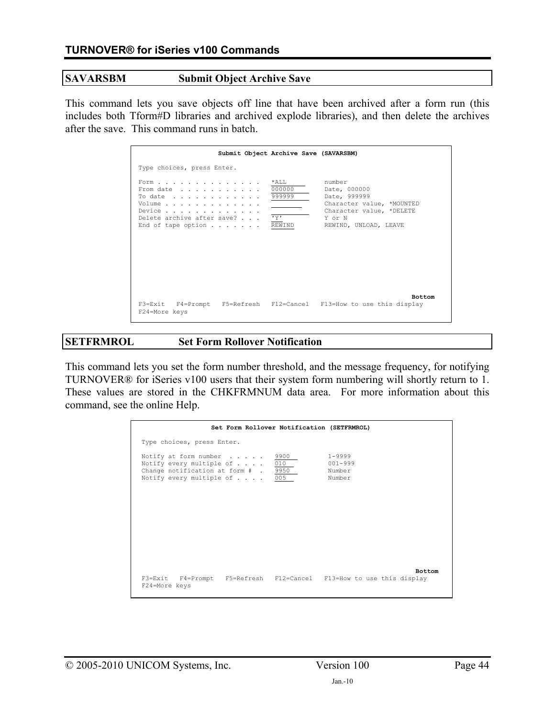#### **SAVARSBM Submit Object Archive Save**

<span id="page-43-0"></span>This command lets you save objects off line that have been archived after a form run (this includes both Tform#D libraries and archived explode libraries), and then delete the archives after the save. This command runs in batch.

| Submit Object Archive Save (SAVARSBM)                                                                                                      |                                    |                                                                                                                                    |
|--------------------------------------------------------------------------------------------------------------------------------------------|------------------------------------|------------------------------------------------------------------------------------------------------------------------------------|
| Type choices, press Enter.                                                                                                                 |                                    |                                                                                                                                    |
| Form<br>From date<br>To date<br>Volume<br>Device $\cdots$ , $\cdots$ , $\cdots$<br>Delete archive after save?<br>End of tape option REWIND | *ALL *<br>000000<br>999999<br>ਾ ਖਾ | number<br>Date, 000000<br>Date, 999999<br>Character value, *MOUNTED<br>Character value, *DELETE<br>Y or N<br>REWIND, UNLOAD, LEAVE |
| F3=Exit F4=Prompt F5=Refresh F12=Cancel F13=How to use this display<br>F24=More keys                                                       |                                    | <b>Bottom</b>                                                                                                                      |

### **SETFRMROL Set Form Rollover Notification**

This command lets you set the form number threshold, and the message frequency, for notifying TURNOVER® for iSeries v100 users that their system form numbering will shortly return to 1. These values are stored in the CHKFRMNUM data area. For more information about this command, see the online Help.

|                                                                                                                                                       | Set Form Rollover Notification (SETFRMROL) |                                               |               |
|-------------------------------------------------------------------------------------------------------------------------------------------------------|--------------------------------------------|-----------------------------------------------|---------------|
| Type choices, press Enter.                                                                                                                            |                                            |                                               |               |
| Notify at form number $\ldots$ .<br>Notify every multiple of $\ldots$ .<br>Change notification at form # .<br>Notify every multiple of $\ldots$ . 005 | 9900<br>010<br>9950                        | $1 - 9999$<br>$001 - 999$<br>Number<br>Number |               |
| F3=Exit F4=Prompt F5=Refresh F12=Cancel F13=How to use this display<br>F24=More keys                                                                  |                                            |                                               | <b>Bottom</b> |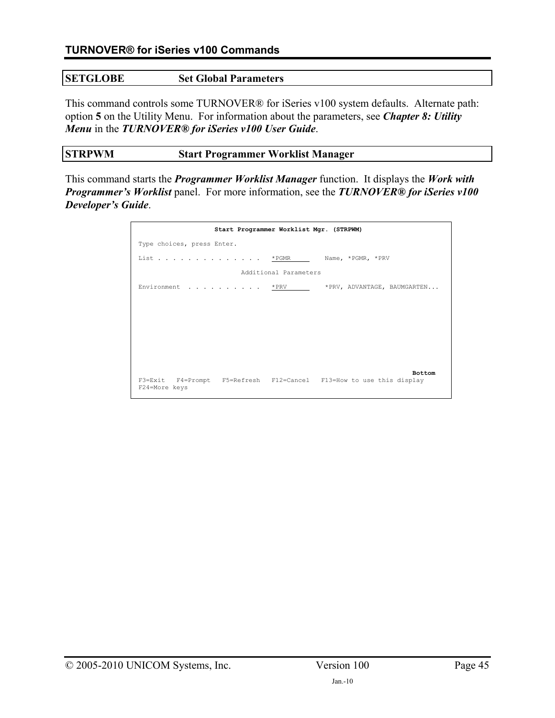### **SETGLOBE Set Global Parameters**

This command controls some TURNOVER® for iSeries v100 system defaults. Alternate path: option **5** on the Utility Menu. For information about the parameters, see *Chapter 8: Utility Menu* in the *TURNOVER® for iSeries v100 User Guide*.

#### **STRPWM Start Programmer Worklist Manager**

This command starts the *Programmer Worklist Manager* function. It displays the *Work with Programmer's Worklist* panel. For more information, see the *TURNOVER® for iSeries v100 Developer's Guide*.

| Start Programmer Worklist Mgr. (STRPWM)                                              |
|--------------------------------------------------------------------------------------|
| Type choices, press Enter.                                                           |
| List * PGMR<br>Name, *PGMR, *PRV                                                     |
| Additional Parameters                                                                |
| Environment * PRV<br>*PRV, ADVANTAGE, BAUMGARTEN                                     |
|                                                                                      |
|                                                                                      |
|                                                                                      |
|                                                                                      |
|                                                                                      |
| <b>Bottom</b><br>F3=Exit F4=Prompt F5=Refresh F12=Cancel F13=How to use this display |
| F24=More keys                                                                        |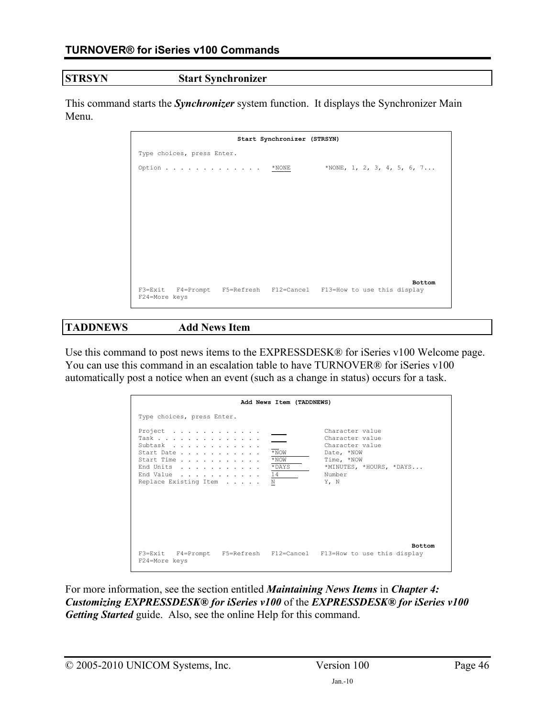## **STRSYN Start Synchronizer**

This command starts the *Synchronizer* system function. It displays the Synchronizer Main Menu.

|                                                                                      | Start Synchronizer (STRSYN) |               |
|--------------------------------------------------------------------------------------|-----------------------------|---------------|
| Type choices, press Enter.                                                           |                             |               |
| Option * NONE * NONE, 1, 2, 3, 4, 5, 6, 7                                            |                             |               |
|                                                                                      |                             |               |
|                                                                                      |                             |               |
|                                                                                      |                             |               |
|                                                                                      |                             |               |
|                                                                                      |                             |               |
|                                                                                      |                             |               |
|                                                                                      |                             |               |
|                                                                                      |                             | <b>Bottom</b> |
| F3=Exit F4=Prompt F5=Refresh F12=Cancel F13=How to use this display<br>F24=More keys |                             |               |
|                                                                                      |                             |               |

#### **TADDNEWS Add News Item**

Use this command to post news items to the EXPRESSDESK® for iSeries v100 Welcome page. You can use this command in an escalation table to have TURNOVER® for iSeries v100 automatically post a notice when an event (such as a change in status) occurs for a task.

|                                                                                                                                                                                           | Add News Item (TADDNEWS)          |                                                                                                                                |
|-------------------------------------------------------------------------------------------------------------------------------------------------------------------------------------------|-----------------------------------|--------------------------------------------------------------------------------------------------------------------------------|
| Type choices, press Enter.                                                                                                                                                                |                                   |                                                                                                                                |
| Project $\ldots$ , $\ldots$ , $\ldots$ , $\ldots$<br>Task<br>Subtask<br>Start Date<br>Start Time<br>End Units<br>End Value $\ldots$ , $\ldots$ , $\ldots$ , $14$<br>Replace Existing Item | $*$ NOW<br>$*$ NOW<br>* DAYS<br>N | Character value<br>Character value<br>Character value<br>Date, *NOW<br>Time, *NOW<br>*MINUTES, *HOURS, *DAYS<br>Number<br>Y, N |
| F24=More keys                                                                                                                                                                             |                                   | <b>Bottom</b><br>F3=Exit F4=Prompt F5=Refresh F12=Cancel F13=How to use this display                                           |

For more information, see the section entitled *Maintaining News Items* in *Chapter 4: Customizing EXPRESSDESK® for iSeries v100* of the *EXPRESSDESK® for iSeries v100 Getting Started* guide. Also, see the online Help for this command.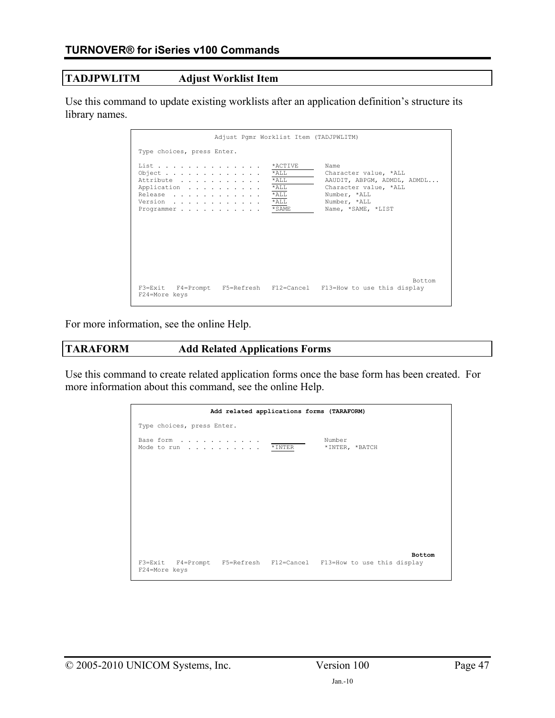### **TADJPWLITM Adjust Worklist Item**

Use this command to update existing worklists after an application definition's structure its library names.

| Adjust Pamr Worklist Item (TADJPWLITM)                                               |                                                                          |                                                                                                                                             |
|--------------------------------------------------------------------------------------|--------------------------------------------------------------------------|---------------------------------------------------------------------------------------------------------------------------------------------|
| Type choices, press Enter.                                                           |                                                                          |                                                                                                                                             |
| List<br>Object<br>Attribute<br>Application<br>Release<br>Version<br>Programmer       | *ACTIVE<br>$*$ ALL<br>$*$ ALL<br>$*$ ALL<br>$*$ ALL<br>$*$ ALL<br>* SAME | Name<br>Character value, *ALL<br>AAUDIT, ABPGM, ADMDL, ADMDL<br>Character value, *ALL<br>Number, *ALL<br>Number, *ALL<br>Name, *SAME, *LIST |
| F3=Exit F4=Prompt F5=Refresh F12=Cancel F13=How to use this display<br>F24=More keys |                                                                          | Bottom                                                                                                                                      |

For more information, see the online Help.

### **TARAFORM Add Related Applications Forms**

Use this command to create related application forms once the base form has been created. For more information about this command, see the online Help.

|                                                                                      | Add related applications forms (TARAFORM) |                          |
|--------------------------------------------------------------------------------------|-------------------------------------------|--------------------------|
| Type choices, press Enter.                                                           |                                           |                          |
| Base form<br>Mode to run * INTER                                                     |                                           | Number<br>*INTER, *BATCH |
|                                                                                      |                                           | <b>Bottom</b>            |
| F3=Exit F4=Prompt F5=Refresh F12=Cancel F13=How to use this display<br>F24=More keys |                                           |                          |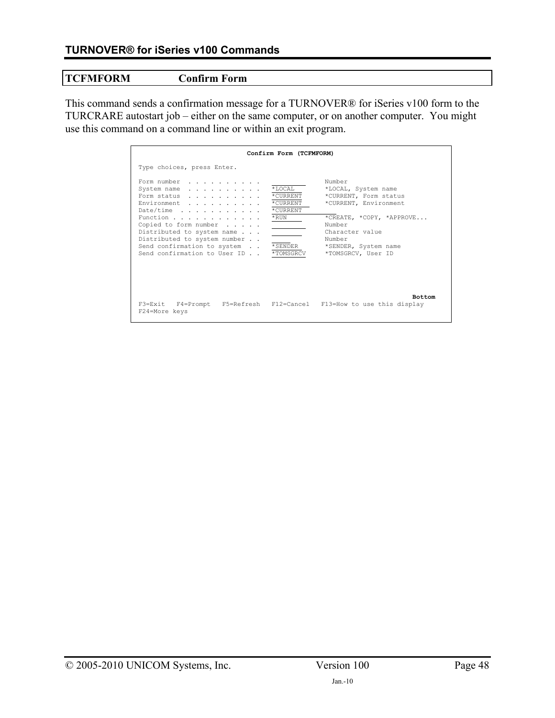# **TCFMFORM Confirm Form**

This command sends a confirmation message for a TURNOVER® for iSeries v100 form to the TURCRARE autostart job – either on the same computer, or on another computer. You might use this command on a command line or within an exit program.

|                                                                                                                                                                                                                                                                                                      | Confirm Form (TCFMFORM)                                |                                                                                                                                                                                                  |
|------------------------------------------------------------------------------------------------------------------------------------------------------------------------------------------------------------------------------------------------------------------------------------------------------|--------------------------------------------------------|--------------------------------------------------------------------------------------------------------------------------------------------------------------------------------------------------|
| Type choices, press Enter.                                                                                                                                                                                                                                                                           |                                                        |                                                                                                                                                                                                  |
| Form number<br>System name<br>Form status<br>Environment<br>Date/time $\ldots$ , $\ldots$ , $\ldots$<br>Function<br>Copied to form number $\ldots$ .<br>Distributed to system name<br>Distributed to system number<br>Send confirmation to system *SENDER<br>Send confirmation to User ID * TOMSGRCV | $*$ LOCAL<br>*CURRENT<br>* CURRENT<br>*CURRENT<br>*RUN | Number<br>*LOCAL, System name<br>*CURRENT, Form status<br>*CURRENT, Environment<br>*CREATE, *COPY, *APPROVE<br>Number<br>Character value<br>Number<br>*SENDER, System name<br>*TOMSGRCV, User ID |
| F3=Exit F4=Prompt F5=Refresh F12=Cancel F13=How to use this display<br>F24=More keys                                                                                                                                                                                                                 |                                                        | <b>Bottom</b>                                                                                                                                                                                    |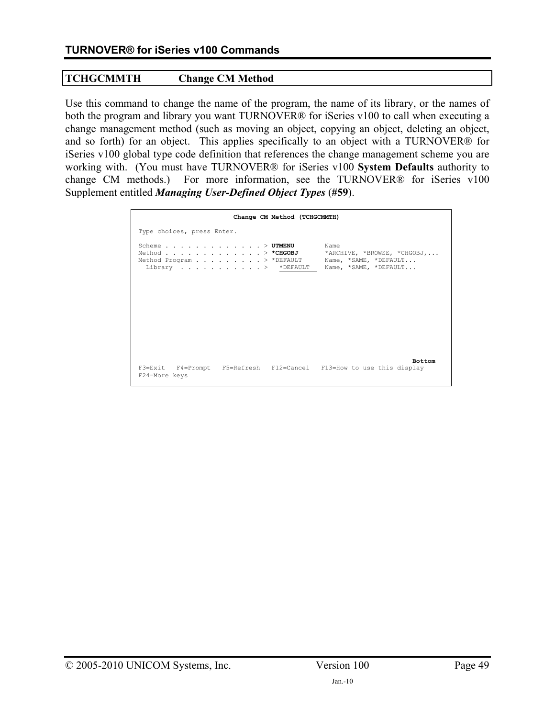# **TCHGCMMTH Change CM Method**

Use this command to change the name of the program, the name of its library, or the names of both the program and library you want TURNOVER® for iSeries v100 to call when executing a change management method (such as moving an object, copying an object, deleting an object, and so forth) for an object. This applies specifically to an object with a TURNOVER® for iSeries v100 global type code definition that references the change management scheme you are working with. (You must have TURNOVER® for iSeries v100 **System Defaults** authority to change CM methods.) For more information, see the TURNOVER® for iSeries v100 Supplement entitled *Managing User-Defined Object Types* (**#59**).

| Change CM Method (TCHGCMMTH)                                                                                                         |                                                                                       |
|--------------------------------------------------------------------------------------------------------------------------------------|---------------------------------------------------------------------------------------|
| Type choices, press Enter.                                                                                                           |                                                                                       |
| Scheme $\mathbb{U}^T\mathbf{M}\mathbb{E}\mathbf{N}\mathbb{U}$<br>Method > *CHGOBJ<br>Method Program > *DEFAULT<br>Library > *DEFAULT | Name<br>*ARCHIVE, *BROWSE, *CHGOBJ,<br>Name, *SAME, *DEFAULT<br>Name, *SAME, *DEFAULT |
| F3=Exit F4=Prompt F5=Refresh F12=Cancel F13=How to use this display<br>F24=More keys                                                 | <b>Bottom</b>                                                                         |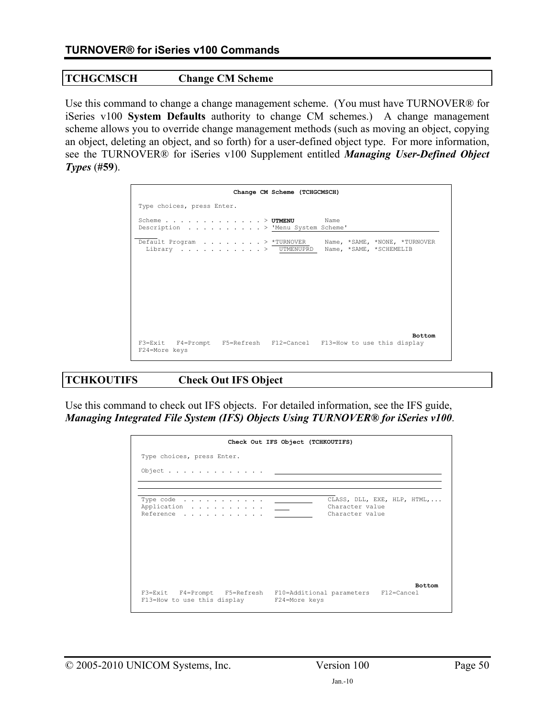# **TCHGCMSCH Change CM Scheme**

Use this command to change a change management scheme. (You must have TURNOVER® for iSeries v100 **System Defaults** authority to change CM schemes.) A change management scheme allows you to override change management methods (such as moving an object, copying an object, deleting an object, and so forth) for a user-defined object type. For more information, see the TURNOVER® for iSeries v100 Supplement entitled *Managing User-Defined Object Types* (**#59**).

| Change CM Scheme (TCHGCMSCH)                                                         |                         |
|--------------------------------------------------------------------------------------|-------------------------|
| Type choices, press Enter.                                                           |                         |
| Scheme $\triangleright$ UTMENU<br>Description > 'Menu System Scheme'                 | Name                    |
| Default Program > *TURNOVER Name, *SAME, *NONE, *TURNOVER<br>Library > UTMENUPRD     | Name, *SAME, *SCHEMELIB |
|                                                                                      |                         |
| F3=Exit F4=Prompt F5=Refresh F12=Cancel F13=How to use this display<br>F24=More keys | <b>Bottom</b>           |

# **TCHKOUTIFS Check Out IFS Object**

Use this command to check out IFS objects. For detailed information, see the IFS guide, *Managing Integrated File System (IFS) Objects Using TURNOVER® for iSeries v100*.

|                                                                                                                | Check Out IFS Object (TCHKOUTIFS)  |                             |
|----------------------------------------------------------------------------------------------------------------|------------------------------------|-----------------------------|
| Type choices, press Enter.                                                                                     |                                    |                             |
|                                                                                                                |                                    |                             |
|                                                                                                                |                                    |                             |
| Type code $\ldots$ , $\ldots$ , $\ldots$<br>Application <u>. .</u><br>Reference                                | Character value<br>Character value | CLASS, DLL, EXE, HLP, HTML, |
|                                                                                                                |                                    |                             |
|                                                                                                                |                                    |                             |
|                                                                                                                |                                    |                             |
|                                                                                                                |                                    | <b>Bottom</b>               |
| F3=Exit F4=Prompt F5=Refresh F10=Additional parameters F12=Cancel<br>F13=How to use this display F24=More keys |                                    |                             |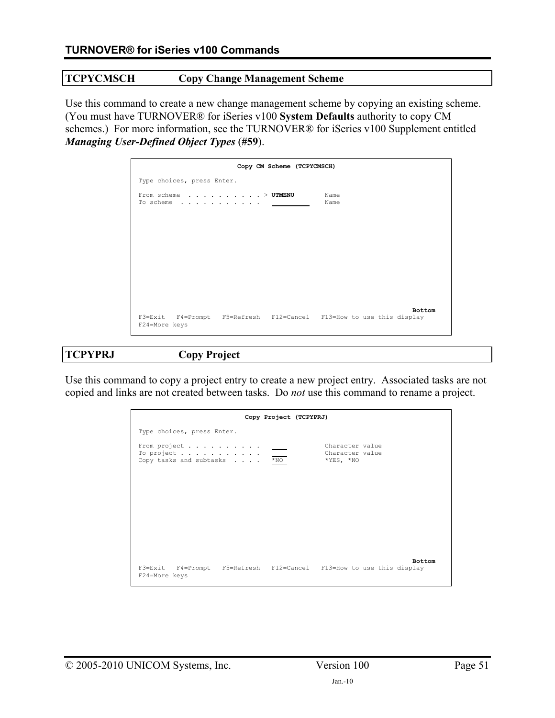# **TCPYCMSCH Copy Change Management Scheme**

Use this command to create a new change management scheme by copying an existing scheme. (You must have TURNOVER® for iSeries v100 **System Defaults** authority to copy CM schemes.) For more information, see the TURNOVER® for iSeries v100 Supplement entitled *Managing User-Defined Object Types* (**#59**).

|                                                           | Copy CM Scheme (TCPYCMSCH) |                                                                               |  |
|-----------------------------------------------------------|----------------------------|-------------------------------------------------------------------------------|--|
| Type choices, press Enter.                                |                            |                                                                               |  |
| From scheme > UTMENU<br>To scheme $\ldots$ <u>_______</u> |                            | Name<br>Name                                                                  |  |
|                                                           |                            |                                                                               |  |
|                                                           |                            |                                                                               |  |
|                                                           |                            |                                                                               |  |
|                                                           |                            |                                                                               |  |
| F24=More keys                                             |                            | Bottom<br>F3=Exit F4=Prompt F5=Refresh F12=Cancel F13=How to use this display |  |

#### **TCPYPRJ Copy Project**

Use this command to copy a project entry to create a new project entry. Associated tasks are not copied and links are not created between tasks. Do *not* use this command to rename a project.

|                                                       | Copy Project (TCPYPRJ) |                                                                                      |  |
|-------------------------------------------------------|------------------------|--------------------------------------------------------------------------------------|--|
| Type choices, press Enter.                            |                        |                                                                                      |  |
| From project<br>To project<br>Copy tasks and subtasks | $*_{\text{NO}}$        | Character value<br>Character value<br>$*$ YES, $*$ NO                                |  |
|                                                       |                        |                                                                                      |  |
|                                                       |                        |                                                                                      |  |
|                                                       |                        |                                                                                      |  |
| F24=More keys                                         |                        | <b>Bottom</b><br>F3=Exit F4=Prompt F5=Refresh F12=Cancel F13=How to use this display |  |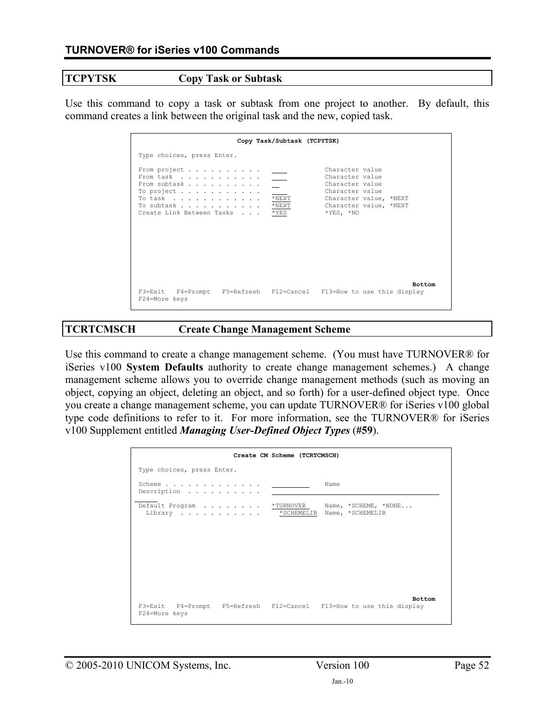#### **TCPYTSK Copy Task or Subtask**

Use this command to copy a task or subtask from one project to another. By default, this command creates a link between the original task and the new, copied task.

|                                                                                                                                              | Copy Task/Subtask (TCPYTSK)            |                                                                                                                                             |
|----------------------------------------------------------------------------------------------------------------------------------------------|----------------------------------------|---------------------------------------------------------------------------------------------------------------------------------------------|
| Type choices, press Enter.                                                                                                                   |                                        |                                                                                                                                             |
| From project<br>From task<br>From subtask<br>To project $\ldots$ , $\ldots$ , $\ldots$<br>To task<br>To subtask<br>Create Link Between Tasks | $*$ NEXT<br>$^{\star}$ NEXT<br>$*$ YES | Character value<br>Character value<br>Character value<br>Character value<br>Character value, *NEXT<br>Character value, *NEXT<br>$*YES, *NO$ |
| F24=More keys                                                                                                                                |                                        | <b>Bottom</b><br>F3=Exit F4=Prompt F5=Refresh F12=Cancel F13=How to use this display                                                        |

### **TCRTCMSCH Create Change Management Scheme**

Use this command to create a change management scheme. (You must have TURNOVER® for iSeries v100 **System Defaults** authority to create change management schemes.) A change management scheme allows you to override change management methods (such as moving an object, copying an object, deleting an object, and so forth) for a user-defined object type. Once you create a change management scheme, you can update TURNOVER® for iSeries v100 global type code definitions to refer to it. For more information, see the TURNOVER® for iSeries v100 Supplement entitled *Managing User-Defined Object Types* (**#59**).

|                                      | Create CM Scheme (TCRTCMSCH)                                                         |
|--------------------------------------|--------------------------------------------------------------------------------------|
| Type choices, press Enter.           |                                                                                      |
| Scheme<br>Description                | Name                                                                                 |
| Library * SCHEMELIB Name, *SCHEMELIB | Default Program *TURNOVER Name, *SCHEME, *NONE                                       |
|                                      |                                                                                      |
|                                      |                                                                                      |
| F24=More keys                        | <b>Bottom</b><br>F3=Exit F4=Prompt F5=Refresh F12=Cancel F13=How to use this display |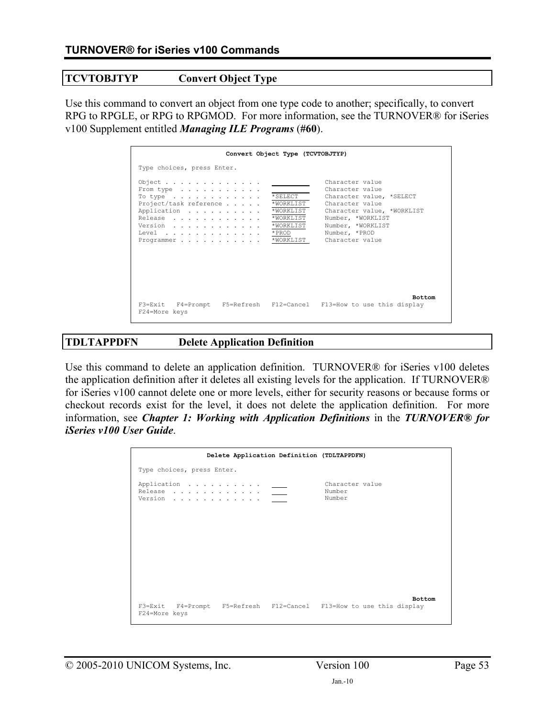## **TCVTOBJTYP Convert Object Type**

Use this command to convert an object from one type code to another; specifically, to convert RPG to RPGLE, or RPG to RPGMOD. For more information, see the TURNOVER® for iSeries v100 Supplement entitled *Managing ILE Programs* (**#60**).

|                                                                                      | Convert Object Type (TCVTOBJTYP)    |                                                                                       |
|--------------------------------------------------------------------------------------|-------------------------------------|---------------------------------------------------------------------------------------|
| Type choices, press Enter.                                                           |                                     | Character value                                                                       |
| Object $\cdot$<br>From type<br>To type<br>Project/task reference                     | $*$ SELECT<br>*WORKLIST             | Character value<br>Character value, *SELECT<br>Character value                        |
| Application<br>Release<br>Version<br>Level *PROD                                     | *WORKLIST<br>*WORKLIST<br>*WORKLIST | Character value, *WORKLIST<br>Number, *WORKLIST<br>Number, *WORKLIST<br>Number, *PROD |
| Programmer *WORKLIST                                                                 |                                     | Character value                                                                       |
|                                                                                      |                                     |                                                                                       |
| F3=Exit F4=Prompt F5=Refresh F12=Cancel F13=How to use this display<br>F24=More keys |                                     | <b>Bottom</b>                                                                         |

# **TDLTAPPDFN Delete Application Definition**

Use this command to delete an application definition. TURNOVER® for iSeries v100 deletes the application definition after it deletes all existing levels for the application. If TURNOVER® for iSeries v100 cannot delete one or more levels, either for security reasons or because forms or checkout records exist for the level, it does not delete the application definition. For more information, see *Chapter 1: Working with Application Definitions* in the *TURNOVER® for iSeries v100 User Guide*.

|                                                                                    |  | Delete Application Definition (TDLTAPPDFN) |                                                                     |               |
|------------------------------------------------------------------------------------|--|--------------------------------------------|---------------------------------------------------------------------|---------------|
| Type choices, press Enter.                                                         |  |                                            |                                                                     |               |
| Application _____<br>Release $\qquad \qquad \underline{\qquad \qquad }$<br>Version |  |                                            | Character value<br>Number<br>Number                                 |               |
| F24=More keys                                                                      |  |                                            | F3=Exit F4=Prompt F5=Refresh F12=Cancel F13=How to use this display | <b>Bottom</b> |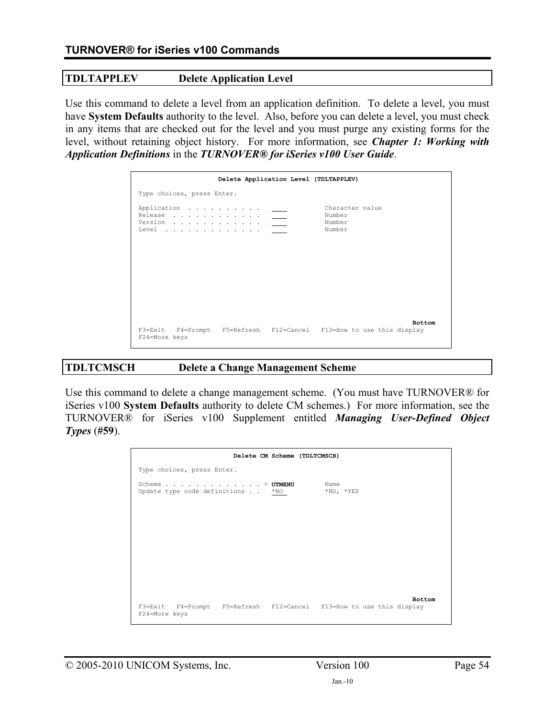## **TDLTAPPLEV Delete Application Level**

Use this command to delete a level from an application definition. To delete a level, you must have **System Defaults** authority to the level. Also, before you can delete a level, you must check in any items that are checked out for the level and you must purge any existing forms for the level, without retaining object history. For more information, see *Chapter 1: Working with Application Definitions* in the *TURNOVER® for iSeries v100 User Guide*.

|                                                                                                                                                                                                                                                                                                                                                                                                                                                                                                                                                                                                                                                                                                 | Delete Application Level (TDLTAPPLEV) |                                               |               |
|-------------------------------------------------------------------------------------------------------------------------------------------------------------------------------------------------------------------------------------------------------------------------------------------------------------------------------------------------------------------------------------------------------------------------------------------------------------------------------------------------------------------------------------------------------------------------------------------------------------------------------------------------------------------------------------------------|---------------------------------------|-----------------------------------------------|---------------|
| Type choices, press Enter.                                                                                                                                                                                                                                                                                                                                                                                                                                                                                                                                                                                                                                                                      |                                       |                                               |               |
| Application _____<br>Release $\qquad \qquad \underline{\qquad \qquad }$<br>$\begin{tabular}{lllllllll} \textbf{Version} & . & . & . & . & . & . & . & . & . & \underline{\hspace{1cm}} \underline{\hspace{1cm}} \underline{\hspace{1cm}} \underline{\hspace{1cm}} \underline{\hspace{1cm}} \underline{\hspace{1cm}} \underline{\hspace{1cm}} \underline{\hspace{1cm}} \underline{\hspace{1cm}} \underline{\hspace{1cm}} \underline{\hspace{1cm}} \underline{\hspace{1cm}} \underline{\hspace{1cm}} \underline{\hspace{1cm}} \underline{\hspace{1cm}} \underline{\hspace{1cm}} \underline{\hspace{1cm}} \underline{\hspace{1cm}} \underline{\hspace{1cm}} \underline{\hspace{1cm}} \underline{\$ |                                       | Character value<br>Number<br>Number<br>Number |               |
| F3=Exit F4=Prompt F5=Refresh F12=Cancel F13=How to use this display                                                                                                                                                                                                                                                                                                                                                                                                                                                                                                                                                                                                                             |                                       |                                               | <b>Bottom</b> |
| F24=More keys                                                                                                                                                                                                                                                                                                                                                                                                                                                                                                                                                                                                                                                                                   |                                       |                                               |               |

# **TDLTCMSCH Delete a Change Management Scheme**

Use this command to delete a change management scheme. (You must have TURNOVER® for iSeries v100 **System Defaults** authority to delete CM schemes.) For more information, see the TURNOVER® for iSeries v100 Supplement entitled *Managing User-Defined Object Types* (**#59**).

|                                                                                      | Delete CM Scheme (TDLTCMSCH) |                         |               |
|--------------------------------------------------------------------------------------|------------------------------|-------------------------|---------------|
| Type choices, press Enter.                                                           |                              |                         |               |
| Scheme $\ldots$ $\triangleright$ UTMENU<br>Update type code definitions *NO          |                              | Name<br>$*$ NO, $*$ YES |               |
|                                                                                      |                              |                         |               |
|                                                                                      |                              |                         |               |
|                                                                                      |                              |                         |               |
|                                                                                      |                              |                         |               |
| F3=Exit F4=Prompt F5=Refresh F12=Cancel F13=How to use this display<br>F24=More keys |                              |                         | <b>Bottom</b> |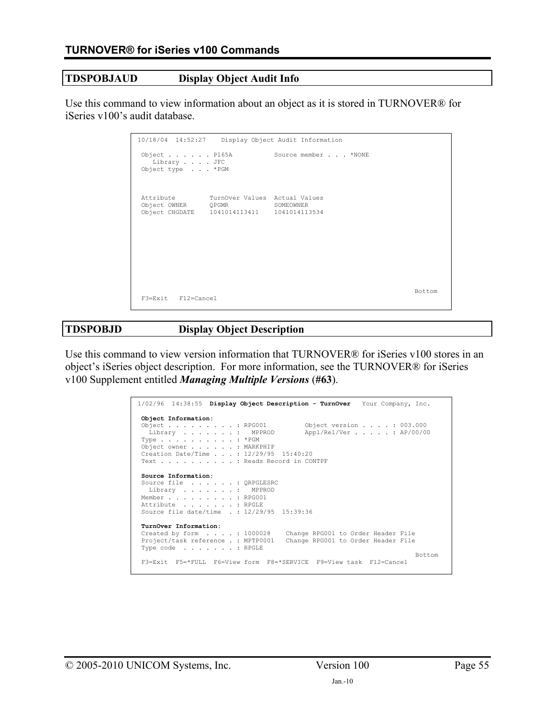# **TDSPOBJAUD Display Object Audit Info**

Use this command to view information about an object as it is stored in TURNOVER® for iSeries v100's audit database.

| 10/18/04 14:52:27 Display Object Audit Information                      |                     |        |
|-------------------------------------------------------------------------|---------------------|--------|
| Object $\ldots$ $\ldots$ P165A<br>Library JFC<br>Object type * PGM      | Source member *NONE |        |
| Attribute TurnOver Values Actual Values<br>Object OWNER QPGMR SOMEOWNER |                     |        |
| F3=Exit F12=Cancel                                                      |                     | Bottom |

# **TDSPOBJD Display Object Description**

Use this command to view version information that TURNOVER® for iSeries v100 stores in an object's iSeries object description. For more information, see the TURNOVER® for iSeries v100 Supplement entitled *Managing Multiple Versions* (**#63**).

| 1/02/96 14:38:55 Display Object Description - TurnOver Your Company, Inc.                                                                                                                                                                                                                                                         |
|-----------------------------------------------------------------------------------------------------------------------------------------------------------------------------------------------------------------------------------------------------------------------------------------------------------------------------------|
| Object Information:<br>Object $\ldots$ $\ldots$ $\ldots$ $\ldots$ RPG001<br>Object version $\ldots$ $\ldots$ 003.000<br>Appl/Rel/Ver : AP/00/00<br>Library MPPROD<br>Type $\ldots$ $\ldots$ $\ldots$ $\ldots$ $\star$ PGM<br>Object owner : MARKPHIP<br>Creation Date/Time : $12/29/95$ 15:40:20<br>Text : Reads Record in CONTPF |
| Source Information:<br>Source file : QRPGLESRC<br>Library MPPROD<br>Member RPG001<br>Attribute RPGLE<br>Source file date/time .: 12/29/95 15:39:36                                                                                                                                                                                |
| TurnOver Information:<br>Created by form : 1000028 Change RPG001 to Order Header File<br>Project/task reference . : MPTP0001<br>Change RPG001 to Order Header File<br>Type code : RPGLE<br>Bottom<br>F3=Exit F5=*FULL F6=View form F8=*SERVICE F9=View task F12=Cancel                                                            |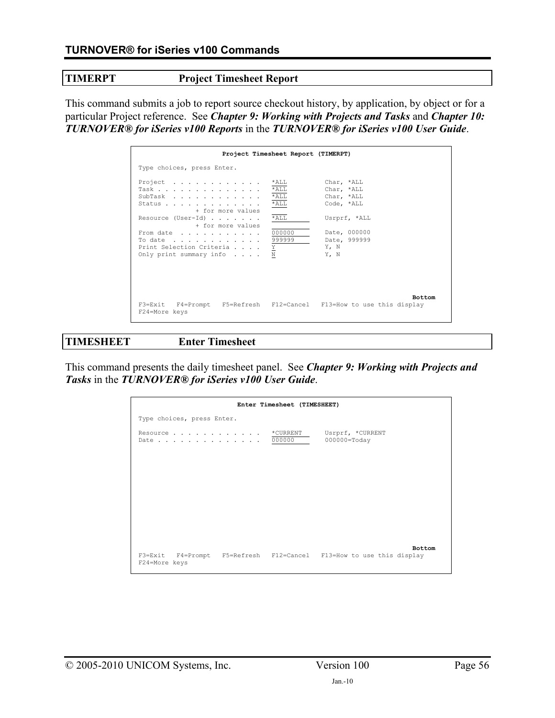**TIMERPT Project Timesheet Report** 

This command submits a job to report source checkout history, by application, by object or for a particular Project reference. See *Chapter 9: Working with Projects and Tasks* and *Chapter 10: TURNOVER® for iSeries v100 Reports* in the *TURNOVER® for iSeries v100 User Guide*.

|                                                                                                                                              | Project Timesheet Report (TIMERPT)                         |                                                                                                      |               |
|----------------------------------------------------------------------------------------------------------------------------------------------|------------------------------------------------------------|------------------------------------------------------------------------------------------------------|---------------|
| Type choices, press Enter.                                                                                                                   |                                                            |                                                                                                      |               |
| Project<br>Task<br>SubTask<br>Status<br>+ for more values<br>Resource (User-Id) $\ldots$<br>+ for more values<br>From date<br>To date 999999 | *ALL<br>$*$ ALL<br>$*$ ALL<br>$*$ ALL<br>$*$ ALL<br>000000 | Char, *ALL<br>Char, *ALL<br>Char, *ALL<br>Code, *ALL<br>Usrprf, *ALL<br>Date, 000000<br>Date, 999999 |               |
| Print Selection Criteria $\underline{Y}$<br>Only print summary info                                                                          | N                                                          | Y, N<br>Y, N                                                                                         |               |
| F3=Exit F4=Prompt F5=Refresh F12=Cancel F13=How to use this display<br>F24=More keys                                                         |                                                            |                                                                                                      | <b>Bottom</b> |

# **TIMESHEET Enter Timesheet**

This command presents the daily timesheet panel. See *Chapter 9: Working with Projects and Tasks* in the *TURNOVER® for iSeries v100 User Guide*.

|                            | Enter Timesheet (TIMESHEET) |                                                                                      |
|----------------------------|-----------------------------|--------------------------------------------------------------------------------------|
| Type choices, press Enter. |                             |                                                                                      |
| Resource                   | *CURRENT<br>Date 000000     | Usrprf, *CURRENT<br>$000000 = \text{Today}$                                          |
|                            |                             |                                                                                      |
|                            |                             |                                                                                      |
|                            |                             |                                                                                      |
|                            |                             |                                                                                      |
|                            |                             |                                                                                      |
| F24=More keys              |                             | <b>Bottom</b><br>F3=Exit F4=Prompt F5=Refresh F12=Cancel F13=How to use this display |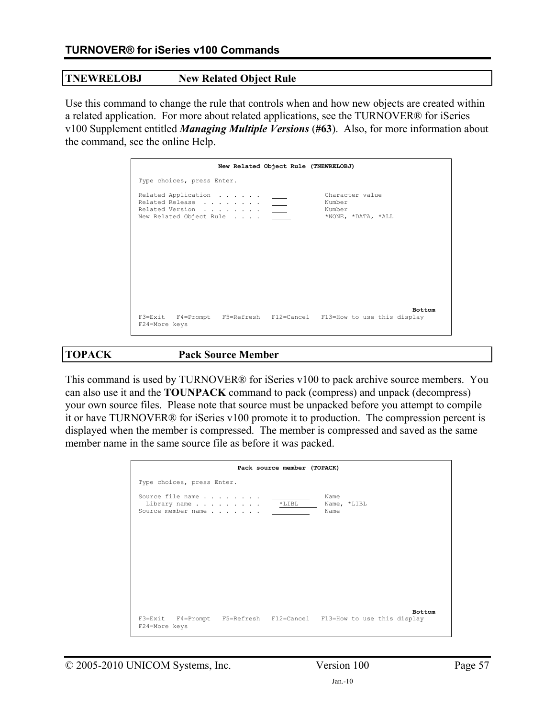### **TNEWRELOBJ New Related Object Rule**

Use this command to change the rule that controls when and how new objects are created within a related application. For more about related applications, see the TURNOVER® for iSeries v100 Supplement entitled *Managing Multiple Versions* (**#63**). Also, for more information about the command, see the online Help.

|                                                                   | New Related Object Rule (TNEWRELOBJ)                                                 |
|-------------------------------------------------------------------|--------------------------------------------------------------------------------------|
| Type choices, press Enter.                                        |                                                                                      |
| Related Application<br>Related Release<br>New Related Object Rule | Character value<br>Number<br>Number<br>*NONE, *DATA, *ALL                            |
| F24=More keys                                                     | <b>Bottom</b><br>F3=Exit F4=Prompt F5=Refresh F12=Cancel F13=How to use this display |

**TOPACK Pack Source Member** 

This command is used by TURNOVER® for iSeries v100 to pack archive source members. You can also use it and the **TOUNPACK** command to pack (compress) and unpack (decompress) your own source files. Please note that source must be unpacked before you attempt to compile it or have TURNOVER® for iSeries v100 promote it to production. The compression percent is displayed when the member is compressed. The member is compressed and saved as the same member name in the same source file as before it was packed.

|                                                        | Pack source member (TOPACK) |                                                                                      |
|--------------------------------------------------------|-----------------------------|--------------------------------------------------------------------------------------|
| Type choices, press Enter.                             |                             |                                                                                      |
| Source file name<br>Library name<br>Source member name | $*LIBL$                     | Name<br>Name, *LIBL<br>Name                                                          |
|                                                        |                             |                                                                                      |
|                                                        |                             |                                                                                      |
|                                                        |                             |                                                                                      |
| F24=More keys                                          |                             | <b>Bottom</b><br>F3=Exit F4=Prompt F5=Refresh F12=Cancel F13=How to use this display |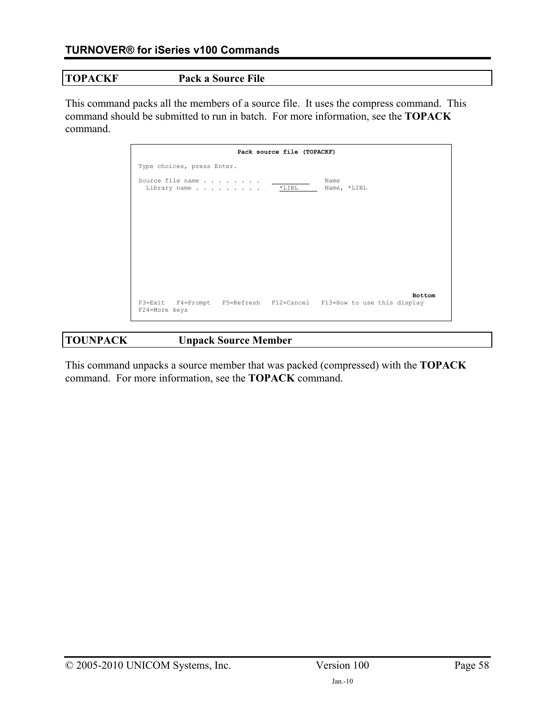## **TOPACKF Pack a Source File**

This command packs all the members of a source file. It uses the compress command. This command should be submitted to run in batch. For more information, see the **TOPACK** command.

|                                  | Pack source file (TOPACKF)                                          |
|----------------------------------|---------------------------------------------------------------------|
| Type choices, press Enter.       |                                                                     |
| Source file name<br>Library name | Name<br>$*LIBL$<br>Name, *LIBL                                      |
|                                  |                                                                     |
|                                  |                                                                     |
|                                  |                                                                     |
|                                  |                                                                     |
|                                  |                                                                     |
|                                  | <b>Bottom</b>                                                       |
| F24=More keys                    | F3=Exit F4=Prompt F5=Refresh F12=Cancel F13=How to use this display |

# **TOUNPACK Unpack Source Member**

This command unpacks a source member that was packed (compressed) with the **TOPACK** command. For more information, see the **TOPACK** command.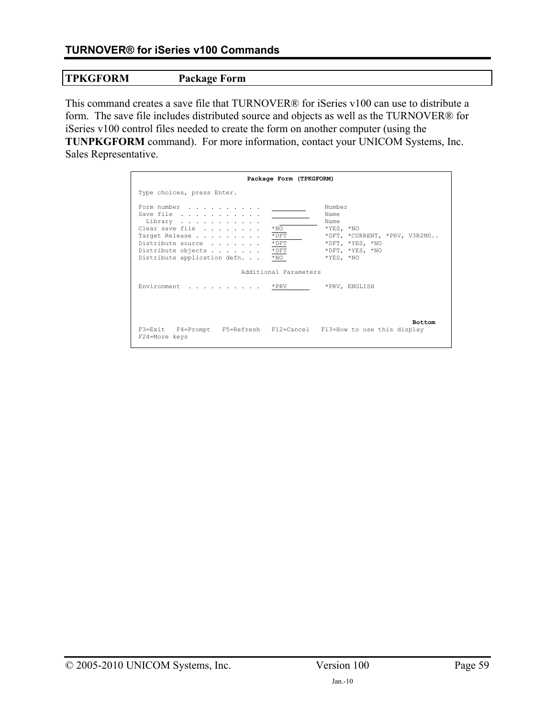# **TPKGFORM Package Form**

This command creates a save file that TURNOVER® for iSeries v100 can use to distribute a form. The save file includes distributed source and objects as well as the TURNOVER® for iSeries v100 control files needed to create the form on another computer (using the **TUNPKGFORM** command). For more information, contact your UNICOM Systems, Inc. Sales Representative.

|                                                                                                                                                                                                  | Package Form (TPKGFORM)                                                                                                                                                   |
|--------------------------------------------------------------------------------------------------------------------------------------------------------------------------------------------------|---------------------------------------------------------------------------------------------------------------------------------------------------------------------------|
| Type choices, press Enter.                                                                                                                                                                       |                                                                                                                                                                           |
| Form number<br>Save file<br>Library<br>$*_{\text{NO}}$<br>Clear save file<br>Target Release<br>Distribute source<br>$*$ DFT<br>Distribute objects<br>Distribute application defn<br>$*_{\rm NO}$ | Number<br>Name<br>Name<br>$*YES, *NO$<br>$*$ DFT<br>*DFT, *CURRENT, *PRV, V3R2M0<br>$*$ DFT<br>*DFT, *YES, *NO<br>*DFT, *YES, *NO<br>$*YES, *NO$<br>Additional Parameters |
| Environment * PRV                                                                                                                                                                                | *PRV, ENGLISH                                                                                                                                                             |
| F24=More keys                                                                                                                                                                                    | <b>Bottom</b><br>F3=Exit F4=Prompt F5=Refresh F12=Cancel F13=How to use this display                                                                                      |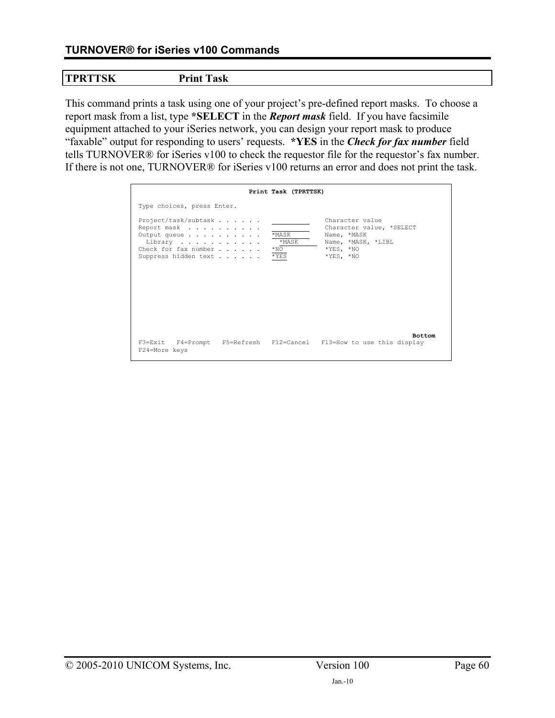# **TURNOVER® for iSeries v100 Commands**

## **TPRTTSK Print Task**

This command prints a task using one of your project's pre-defined report masks. To choose a report mask from a list, type **\*SELECT** in the *Report mask* field. If you have facsimile equipment attached to your iSeries network, you can design your report mask to produce "faxable" output for responding to users' requests. **\*YES** in the *Check for fax number* field tells TURNOVER® for iSeries v100 to check the requestor file for the requestor's fax number. If there is not one, TURNOVER® for iSeries v100 returns an error and does not print the task.

|                                                                                                                | Print Task (TPRTTSK)                                                                                                                                            |
|----------------------------------------------------------------------------------------------------------------|-----------------------------------------------------------------------------------------------------------------------------------------------------------------|
| Type choices, press Enter.                                                                                     |                                                                                                                                                                 |
| Project/task/subtask<br>Report mask<br>Output queue<br>Library<br>Check for fax number<br>Suppress hidden text | Character value<br>Character value, *SELECT<br>*MASK<br>Name, *MASK<br>*MASK<br>Name, *MASK, *LIBL<br>$*YES, *NO$<br>$*_{\rm NO}$<br>$*$ YES<br>$*$ YES, $*$ NO |
| F24=More keys                                                                                                  | <b>Bottom</b><br>F3=Exit F4=Prompt F5=Refresh F12=Cancel F13=How to use this display                                                                            |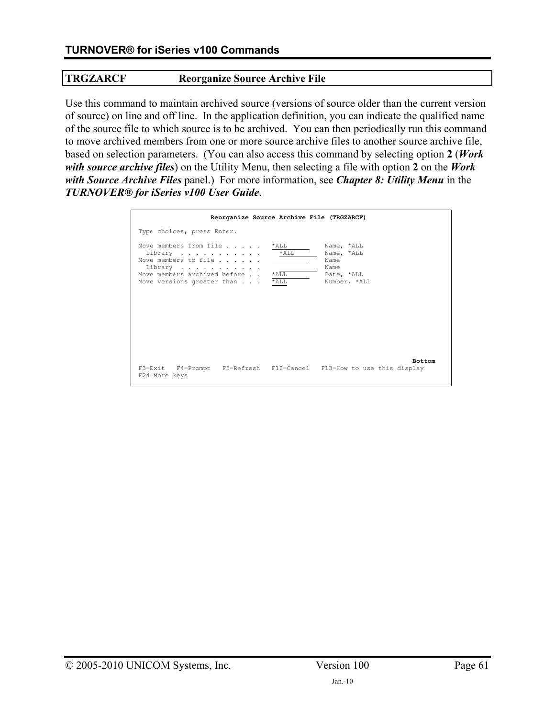# **TRGZARCF Reorganize Source Archive File**

Use this command to maintain archived source (versions of source older than the current version of source) on line and off line. In the application definition, you can indicate the qualified name of the source file to which source is to be archived. You can then periodically run this command to move archived members from one or more source archive files to another source archive file, based on selection parameters. (You can also access this command by selecting option **2** (*Work with source archive files*) on the Utility Menu, then selecting a file with option **2** on the *Work with Source Archive Files* panel.) For more information, see *Chapter 8: Utility Menu* in the *TURNOVER® for iSeries v100 User Guide*.

| Reorganize Source Archive File (TRGZARCF)                                                                                                                                |                                                                        |
|--------------------------------------------------------------------------------------------------------------------------------------------------------------------------|------------------------------------------------------------------------|
| Type choices, press Enter.                                                                                                                                               |                                                                        |
| Move members from file<br>*ALL<br>$*$ ALL<br>Library<br>Move members to file<br>Library<br>Move members archived before<br>*ALL<br>$*$ ALL<br>Move versions greater than | Name, *ALL<br>Name, *ALL<br>Name<br>Name<br>Date, *ALL<br>Number, *ALL |
| F3=Exit F4=Prompt F5=Refresh F12=Cancel F13=How to use this display<br>F24=More keys                                                                                     | <b>Bottom</b>                                                          |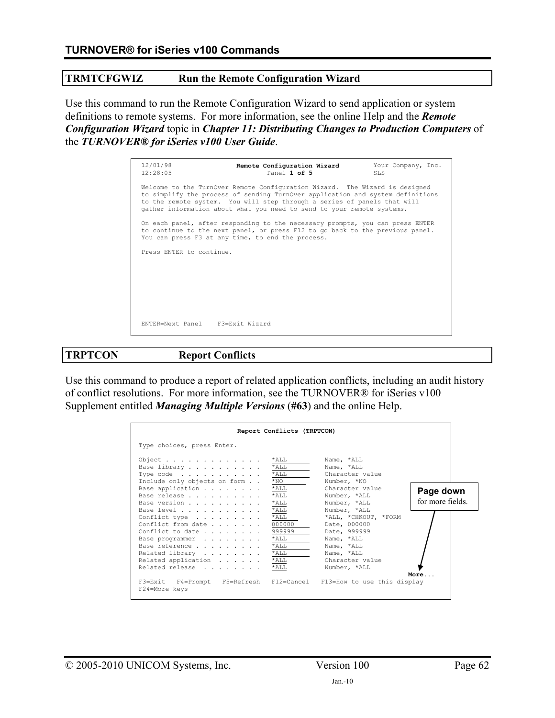### **TRMTCFGWIZ Run the Remote Configuration Wizard**

Use this command to run the Remote Configuration Wizard to send application or system definitions to remote systems. For more information, see the online Help and the *Remote Configuration Wizard* topic in *Chapter 11: Distributing Changes to Production Computers* of the *TURNOVER® for iSeries v100 User Guide*.

| 12/01/98<br>12:28:05            | Remote Configuration Wizard<br>Panel 1 of 5                                                                                                                                                                                                                                                                         | Your Company, Inc.<br>SLS. |
|---------------------------------|---------------------------------------------------------------------------------------------------------------------------------------------------------------------------------------------------------------------------------------------------------------------------------------------------------------------|----------------------------|
|                                 | Welcome to the TurnOver Remote Configuration Wizard. The Wizard is designed<br>to simplify the process of sending TurnOver application and system definitions<br>to the remote system. You will step through a series of panels that will<br>gather information about what you need to send to your remote systems. |                            |
|                                 | On each panel, after responding to the necessary prompts, you can press ENTER<br>to continue to the next panel, or press F12 to go back to the previous panel.<br>You can press F3 at any time, to end the process.                                                                                                 |                            |
| Press ENTER to continue.        |                                                                                                                                                                                                                                                                                                                     |                            |
| ENTER=Next Panel F3=Exit Wizard |                                                                                                                                                                                                                                                                                                                     |                            |

**TRPTCON Report Conflicts** 

Use this command to produce a report of related application conflicts, including an audit history of conflict resolutions. For more information, see the TURNOVER® for iSeries v100 Supplement entitled *Managing Multiple Versions* (**#63**) and the online Help.

|                                                                                                                           | Report Conflicts (TRPTCON)    |                                                                      |                               |
|---------------------------------------------------------------------------------------------------------------------------|-------------------------------|----------------------------------------------------------------------|-------------------------------|
| Type choices, press Enter.                                                                                                |                               |                                                                      |                               |
| Object $\ldots$ $\ldots$ $\ldots$ $\ldots$ $\ldots$<br>Base library<br>Type code *ALL<br>Include only objects on form *NO | *ALL<br>$*$ ALL               | Name, *ALL<br>Name, *ALL<br>Character value<br>Number, *NO           |                               |
| Base application<br>Base release<br>Base version                                                                          | $*$ ALL<br>$*$ ALL<br>$*$ ALL | Character value<br>Number, *ALL<br>Number, *ALL                      | Page down<br>for more fields. |
| Base level * ALL<br>Conflict type * ALL<br>Conflict from date<br>Conflict to date $\ldots$ 999999                         | 000000                        | Number, *ALL<br>*ALL, *CHKOUT, *FORM<br>Date, 000000<br>Date, 999999 |                               |
| Base programmer * ALL<br>Base reference *ALL<br>Related library *ALL<br>Related application                               | $*$ ALL                       | Name, *ALL<br>Name, *ALL<br>Name, *ALL<br>Character value            |                               |
| Related release<br>F3=Exit F4=Prompt F5=Refresh F12=Cancel F13=How to use this display<br>F24=More keys                   | $*$ ALL                       | Number, *ALL                                                         | More                          |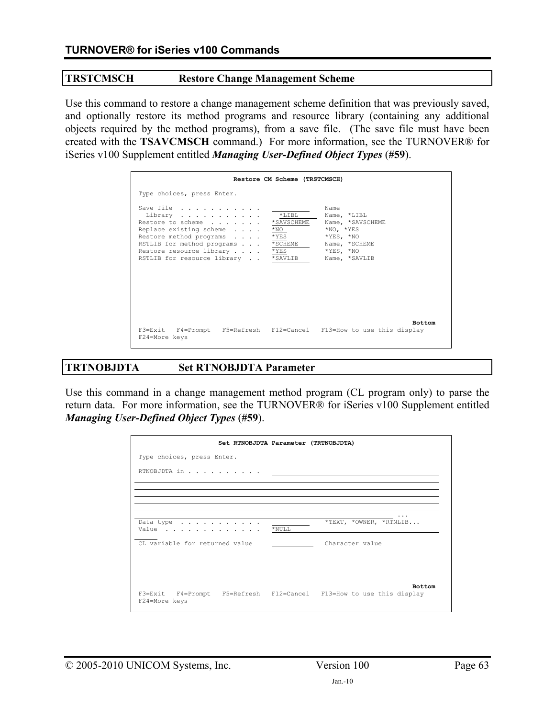#### **TRSTCMSCH Restore Change Management Scheme**

Use this command to restore a change management scheme definition that was previously saved, and optionally restore its method programs and resource library (containing any additional objects required by the method programs), from a save file. (The save file must have been created with the **TSAVCMSCH** command.) For more information, see the TURNOVER® for iSeries v100 Supplement entitled *Managing User-Defined Object Types* (**#59**).

|                                                                                                                                                                                                  | Restore CM Scheme (TRSTCMSCH)                                                                                                                                                                               |
|--------------------------------------------------------------------------------------------------------------------------------------------------------------------------------------------------|-------------------------------------------------------------------------------------------------------------------------------------------------------------------------------------------------------------|
| Type choices, press Enter.                                                                                                                                                                       |                                                                                                                                                                                                             |
| Save file<br>Library<br>Restore to scheme<br>Replace existing scheme<br>Restore method programs<br>RSTLIB for method programs<br>Restore resource library<br>RSTLIB for resource library *SAVLIB | Name<br>$*$ T. T B T.<br>Name, *LIBL<br>*SAVSCHEME<br>Name, *SAVSCHEME<br>$*NO$<br>$*$ NO, $*$ YES<br>$*$ YES<br>$*$ YES, $*$ NO<br>*SCHEME<br>Name, *SCHEME<br>$*$ YES<br>$*$ YES, $*$ NO<br>Name, *SAVLIB |
| F24=More keys                                                                                                                                                                                    | <b>Bottom</b><br>F3=Exit F4=Prompt F5=Refresh F12=Cancel F13=How to use this display                                                                                                                        |

# **TRTNOBJDTA Set RTNOBJDTA Parameter**

Use this command in a change management method program (CL program only) to parse the return data. For more information, see the TURNOVER® for iSeries v100 Supplement entitled *Managing User-Defined Object Types* (**#59**).

| Set RTNOBJDTA Parameter (TRTNOBJDTA)                                                 |           |                        |
|--------------------------------------------------------------------------------------|-----------|------------------------|
| Type choices, press Enter.                                                           |           |                        |
| RTNOBJDTA in                                                                         |           |                        |
|                                                                                      |           |                        |
|                                                                                      |           |                        |
| Data type<br>Value                                                                   | $*$ NULL. | *TEXT, *OWNER, *RTNLIB |
| CL variable for returned value                                                       |           | Character value        |
|                                                                                      |           |                        |
|                                                                                      |           |                        |
| F3=Exit F4=Prompt F5=Refresh F12=Cancel F13=How to use this display<br>F24=More keys |           | <b>Bottom</b>          |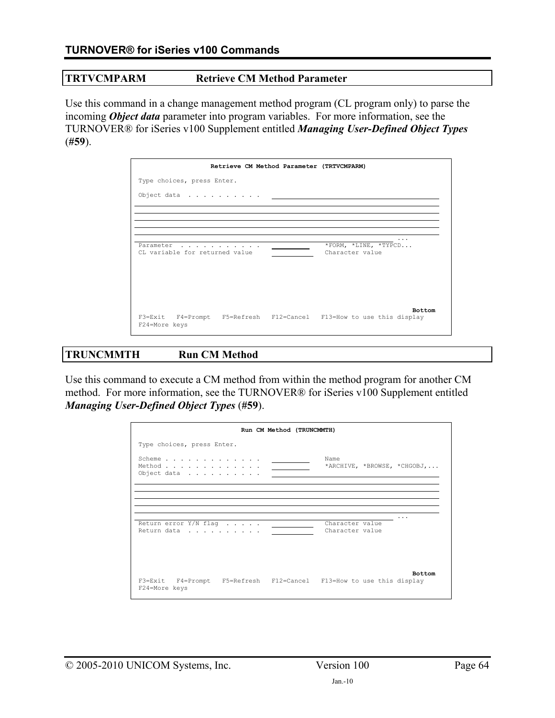#### **TRTVCMPARM Retrieve CM Method Parameter**

Use this command in a change management method program (CL program only) to parse the incoming *Object data* parameter into program variables. For more information, see the TURNOVER® for iSeries v100 Supplement entitled *Managing User-Defined Object Types*  (**#59**).

|                                             | Retrieve CM Method Parameter (TRTVCMPARM) |                                                                                      |
|---------------------------------------------|-------------------------------------------|--------------------------------------------------------------------------------------|
| Type choices, press Enter.                  |                                           |                                                                                      |
| Object data                                 |                                           |                                                                                      |
|                                             |                                           |                                                                                      |
|                                             |                                           |                                                                                      |
| Parameter<br>CL variable for returned value |                                           | *FORM, *LINE, *TYPCD<br>Character value                                              |
| F24=More keys                               |                                           | <b>Bottom</b><br>F3=Exit F4=Prompt F5=Refresh F12=Cancel F13=How to use this display |

## **TRUNCMMTH Run CM Method**

Use this command to execute a CM method from within the method program for another CM method. For more information, see the TURNOVER® for iSeries v100 Supplement entitled *Managing User-Defined Object Types* (**#59**).

|                                                                                                                  | Run CM Method (TRUNCMMTH) |                                    |                             |
|------------------------------------------------------------------------------------------------------------------|---------------------------|------------------------------------|-----------------------------|
| Type choices, press Enter.                                                                                       |                           |                                    |                             |
| Scheme $\ldots$ $\ldots$ $\ldots$ $\ldots$ $\ldots$<br>Method $\ldots$ $\ldots$ $\ldots$ $\ldots$<br>Object data |                           | Name                               | *ARCHIVE, *BROWSE, *CHGOBJ, |
|                                                                                                                  |                           |                                    |                             |
|                                                                                                                  |                           |                                    |                             |
| Return error $Y/N$ flag $\ldots$ .<br>Return data                                                                |                           | Character value<br>Character value |                             |
|                                                                                                                  |                           |                                    |                             |
| F3=Exit F4=Prompt F5=Refresh F12=Cancel F13=How to use this display<br>F24=More keys                             |                           |                                    | <b>Bottom</b>               |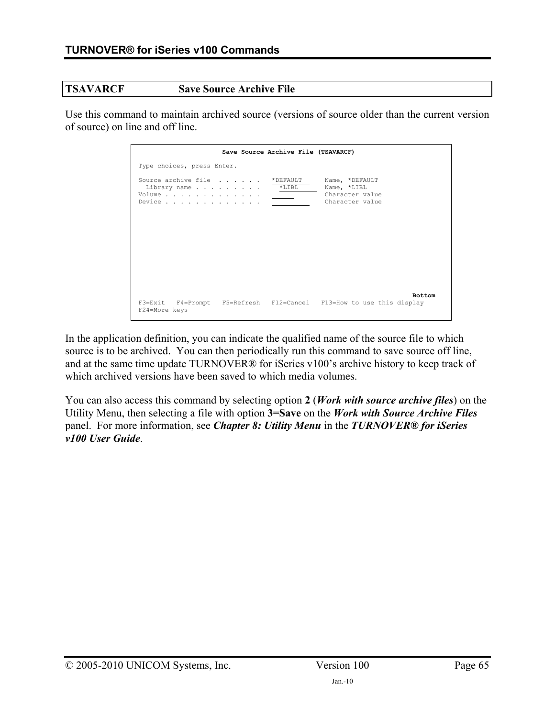#### **TSAVARCF Save Source Archive File**

Use this command to maintain archived source (versions of source older than the current version of source) on line and off line.

|                                                 | Save Source Archive File (TSAVARCF)                |                                                                                      |
|-------------------------------------------------|----------------------------------------------------|--------------------------------------------------------------------------------------|
| Type choices, press Enter.                      |                                                    |                                                                                      |
| Volume<br>Device $\cdots$ , $\cdots$ , $\cdots$ | Source archive file *DEFAULT<br>Library name *LIBL | Name, *DEFAULT<br>Name, *LIBL<br>Character value<br>Character value                  |
| F24=More keys                                   |                                                    | <b>Bottom</b><br>F3=Exit F4=Prompt F5=Refresh F12=Cancel F13=How to use this display |

In the application definition, you can indicate the qualified name of the source file to which source is to be archived. You can then periodically run this command to save source off line, and at the same time update TURNOVER® for iSeries v100's archive history to keep track of which archived versions have been saved to which media volumes.

You can also access this command by selecting option **2** (*Work with source archive files*) on the Utility Menu, then selecting a file with option **3=Save** on the *Work with Source Archive Files* panel. For more information, see *Chapter 8: Utility Menu* in the *TURNOVER® for iSeries v100 User Guide*.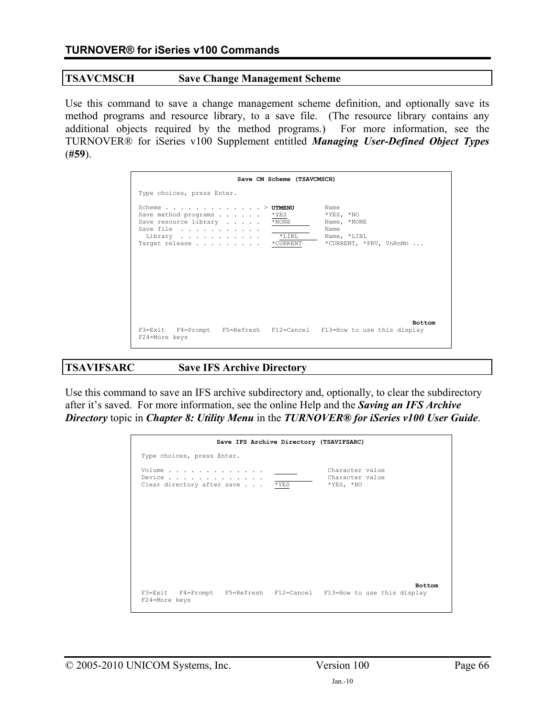#### **TSAVCMSCH Save Change Management Scheme**

Use this command to save a change management scheme definition, and optionally save its method programs and resource library, to a save file. (The resource library contains any additional objects required by the method programs.) For more information, see the TURNOVER® for iSeries v100 Supplement entitled *Managing User-Defined Object Types*  (**#59**).

|                                                                                                                                                                       | Save CM Scheme (TSAVCMSCH)                                                                                                     |
|-----------------------------------------------------------------------------------------------------------------------------------------------------------------------|--------------------------------------------------------------------------------------------------------------------------------|
| Type choices, press Enter.                                                                                                                                            |                                                                                                                                |
| Scheme $\ldots$ $\ldots$ $\ldots$ $\ldots$ $\ldots$ $\ldots$ $\vee$ UTMENU<br>Save method programs<br>Save resource library<br>Save file<br>Library<br>Target release | Name<br>$*YES, *NO$<br>*YES<br>$*$ NONE<br>Name, *NONE<br>Name<br>$*LIBL$<br>Name, *LIBL<br>*CURRENT, *PRV, VnRnMn<br>*CURRENT |
| F24=More keys                                                                                                                                                         | <b>Bottom</b><br>F3=Exit F4=Prompt F5=Refresh F12=Cancel F13=How to use this display                                           |

# **TSAVIFSARC Save IFS Archive Directory**

Use this command to save an IFS archive subdirectory and, optionally, to clear the subdirectory after it's saved. For more information, see the online Help and the *Saving an IFS Archive Directory* topic in *Chapter 8: Utility Menu* in the *TURNOVER® for iSeries v100 User Guide*.

|                                                                                                            | Save IFS Archive Directory (TSAVIFSARC) |                                                   |               |
|------------------------------------------------------------------------------------------------------------|-----------------------------------------|---------------------------------------------------|---------------|
| Type choices, press Enter.                                                                                 |                                         |                                                   |               |
| Volume<br>Device $\ldots$ $\ldots$ $\ldots$ $\ldots$ $\ldots$ $\ldots$<br>Clear directory after save * YES |                                         | Character value<br>Character value<br>$*YES, *NO$ |               |
|                                                                                                            |                                         |                                                   |               |
|                                                                                                            |                                         |                                                   |               |
|                                                                                                            |                                         |                                                   |               |
| F3=Exit F4=Prompt F5=Refresh F12=Cancel F13=How to use this display<br>F24=More keys                       |                                         |                                                   | <b>Bottom</b> |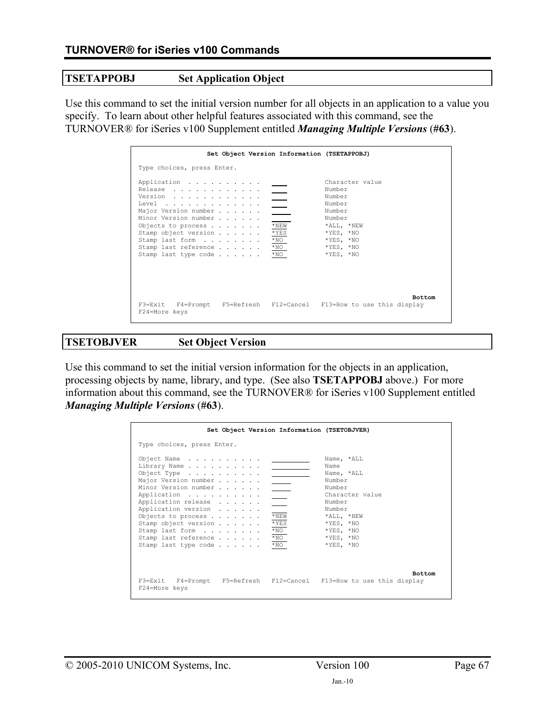## **TSETAPPOBJ Set Application Object**

Use this command to set the initial version number for all objects in an application to a value you specify. To learn about other helpful features associated with this command, see the TURNOVER® for iSeries v100 Supplement entitled *Managing Multiple Versions* (**#63**).

| Set Object Version Information (TSETAPPOBJ)                                                                                                                                                                 |                                                                                                                                                 |                                                                                                                                             |
|-------------------------------------------------------------------------------------------------------------------------------------------------------------------------------------------------------------|-------------------------------------------------------------------------------------------------------------------------------------------------|---------------------------------------------------------------------------------------------------------------------------------------------|
| Type choices, press Enter.                                                                                                                                                                                  |                                                                                                                                                 |                                                                                                                                             |
| Application<br>Release<br>Version<br>Level<br>Major Version number<br>Minor Version number<br>Objects to process<br>Stamp object version<br>Stamp last form<br>Stamp last reference<br>Stamp last type code | $\overline{\phantom{a}}$<br>$\sim$ 10 $\pm$<br>$\mathcal{L}_{\text{max}}$<br>$*$ NEW<br>$*$ YES<br>$*_{\rm NO}$<br>$*_{\rm NO}$<br>$*_{\rm NO}$ | Character value<br>Number<br>Number<br>Number<br>Number<br>Number<br>*ALL, *NEW<br>$*YES, *NO$<br>$*YES, *NO$<br>$*YES, *NO$<br>$*YES. *NO$ |
| F3=Exit F4=Prompt F5=Refresh F12=Cancel F13=How to use this display<br>F24=More keys                                                                                                                        |                                                                                                                                                 | <b>Bottom</b>                                                                                                                               |

### **TSETOBJVER Set Object Version**

Use this command to set the initial version information for the objects in an application, processing objects by name, library, and type. (See also **TSETAPPOBJ** above.) For more information about this command, see the TURNOVER® for iSeries v100 Supplement entitled *Managing Multiple Versions* (**#63**).

|                                                                                                                                                                                                                                                                                                         | Set Object Version Information (TSETOBJVER)                                                                                                                                                                                                                                                   |
|---------------------------------------------------------------------------------------------------------------------------------------------------------------------------------------------------------------------------------------------------------------------------------------------------------|-----------------------------------------------------------------------------------------------------------------------------------------------------------------------------------------------------------------------------------------------------------------------------------------------|
| Type choices, press Enter.                                                                                                                                                                                                                                                                              |                                                                                                                                                                                                                                                                                               |
| Object Name<br>Library Name<br>Object Type $\ldots$ , $\ldots$ , $\ldots$<br>Major Version number<br>Minor Version number<br>Application<br>Application release<br>Application version<br>Objects to process<br>Stamp object version<br>Stamp last form<br>Stamp last reference<br>Stamp last type code | Name, *ALL<br>Name<br>Name, *ALL<br>Number<br>$\overline{\phantom{a}}$<br>Number<br>Character value<br>$\sim$<br>Number<br>Number<br>$*$ NEW<br>*ALL, *NEW<br>$*$ YES<br>$*$ YES, $*$ NO<br>$*_{\rm NO}$<br>$*$ YES, $*$ NO<br>$*_{\rm NO}$<br>$*$ YES, $*$ NO<br>$*YES, *NO$<br>$*_{\rm NO}$ |
| F24=More keys                                                                                                                                                                                                                                                                                           | <b>Bottom</b><br>F3=Exit F4=Prompt F5=Refresh F12=Cancel F13=How to use this display                                                                                                                                                                                                          |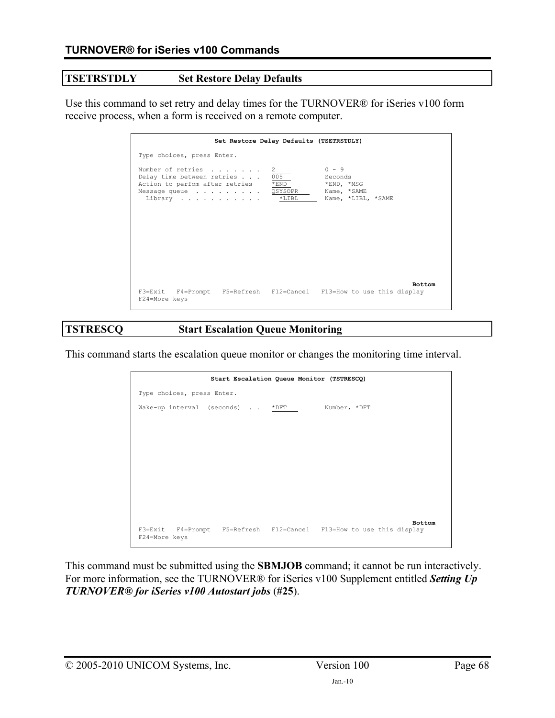# **TSETRSTDLY Set Restore Delay Defaults**

Use this command to set retry and delay times for the TURNOVER® for iSeries v100 form receive process, when a form is received on a remote computer.

| Set Restore Delay Defaults (TSETRSTDLY)                                                                                                                  |                                                                       |
|----------------------------------------------------------------------------------------------------------------------------------------------------------|-----------------------------------------------------------------------|
| Type choices, press Enter.                                                                                                                               |                                                                       |
| Number of retries<br>2<br>005<br>Delay time between retries<br>Action to perfom after retries<br>$*$ END<br>Message queue QSYSOPR<br>$*$ LIBL<br>Library | $0 - 9$<br>Seconds<br>*END, *MSG<br>Name, *SAME<br>Name, *LIBL, *SAME |
| F3=Exit F4=Prompt F5=Refresh F12=Cancel F13=How to use this display<br>F24=More keys                                                                     | <b>Bottom</b>                                                         |

#### **TSTRESCQ Start Escalation Queue Monitoring**

This command starts the escalation queue monitor or changes the monitoring time interval.

|                                                                                      | Start Escalation Queue Monitor (TSTRESCQ) |  |               |
|--------------------------------------------------------------------------------------|-------------------------------------------|--|---------------|
| Type choices, press Enter.                                                           |                                           |  |               |
| Wake-up interval (seconds) *DFT Number, *DFT                                         |                                           |  |               |
|                                                                                      |                                           |  |               |
|                                                                                      |                                           |  |               |
|                                                                                      |                                           |  |               |
|                                                                                      |                                           |  |               |
|                                                                                      |                                           |  |               |
|                                                                                      |                                           |  |               |
|                                                                                      |                                           |  |               |
|                                                                                      |                                           |  | <b>Bottom</b> |
| F3=Exit F4=Prompt F5=Refresh F12=Cancel F13=How to use this display<br>F24=More keys |                                           |  |               |
|                                                                                      |                                           |  |               |

This command must be submitted using the **SBMJOB** command; it cannot be run interactively. For more information, see the TURNOVER® for iSeries v100 Supplement entitled *Setting Up TURNOVER® for iSeries v100 Autostart jobs* (**#25**).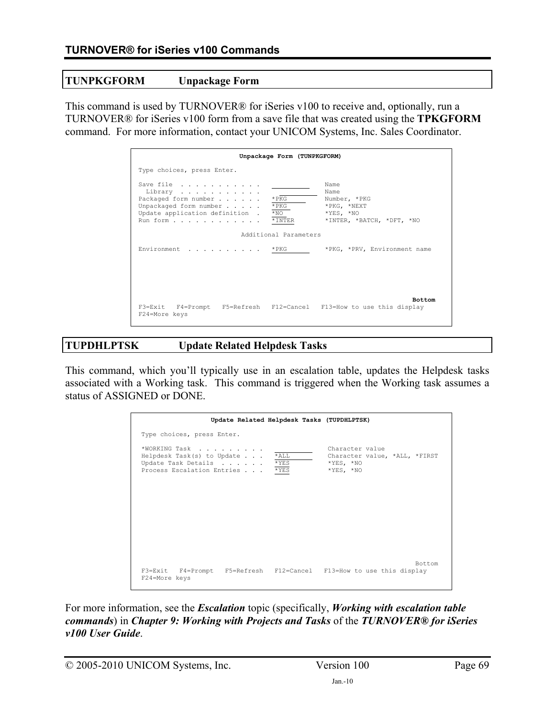## **TUNPKGFORM Unpackage Form**

This command is used by TURNOVER® for iSeries v100 to receive and, optionally, run a TURNOVER® for iSeries v100 form from a save file that was created using the **TPKGFORM** command. For more information, contact your UNICOM Systems, Inc. Sales Coordinator.

|                                                                                                                                          | Unpackage Form (TUNPKGFORM)                                                                                                                            |
|------------------------------------------------------------------------------------------------------------------------------------------|--------------------------------------------------------------------------------------------------------------------------------------------------------|
| Type choices, press Enter.                                                                                                               |                                                                                                                                                        |
| Save file<br>Library<br>Packaged form number<br>Unpackaged form number $\ldots$ .<br>Update application definition .<br>Run form * INTER | Name<br>Name<br>$*$ PKG<br>Number, *PKG<br>$*$ PKG<br>*PKG, *NEXT<br>$*_{\rm NO}$<br>$*YES, *NO$<br>*INTER, *BATCH, *DFT, *NO<br>Additional Parameters |
| Environment * PKG                                                                                                                        | *PKG, *PRV, Environment name                                                                                                                           |
|                                                                                                                                          | <b>Bottom</b>                                                                                                                                          |
| F24=More keys                                                                                                                            | F3=Exit F4=Prompt F5=Refresh F12=Cancel F13=How to use this display                                                                                    |

# **TUPDHLPTSK Update Related Helpdesk Tasks**

This command, which you'll typically use in an escalation table, updates the Helpdesk tasks associated with a Working task. This command is triggered when the Working task assumes a status of ASSIGNED or DONE.

| Update Related Helpdesk Tasks (TUPDHLPTSK)                                                                       |                                                                                |
|------------------------------------------------------------------------------------------------------------------|--------------------------------------------------------------------------------|
| Type choices, press Enter.                                                                                       |                                                                                |
| *WORKING Task<br>Helpdesk Task(s) to Update *ALL<br>Update Task Details * YES<br>Process Escalation Entries *YES | Character value<br>Character value, *ALL, *FIRST<br>$*YES, *NO$<br>$*YES, *NO$ |
|                                                                                                                  |                                                                                |
| F3=Exit F4=Prompt F5=Refresh F12=Cancel F13=How to use this display<br>F24=More keys                             | Bottom                                                                         |

For more information, see the *Escalation* topic (specifically, *Working with escalation table commands*) in *Chapter 9: Working with Projects and Tasks* of the *TURNOVER® for iSeries v100 User Guide*.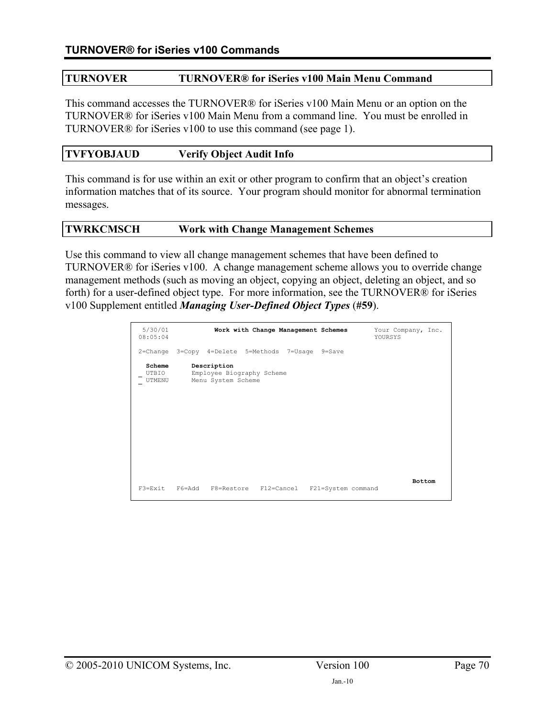## **TURNOVER TURNOVER® for iSeries v100 Main Menu Command**

This command accesses the TURNOVER® for iSeries v100 Main Menu or an option on the TURNOVER® for iSeries v100 Main Menu from a command line. You must be enrolled in TURNOVER® for iSeries v100 to use this command (see page [1](#page-0-0)).

# **TVFYOBJAUD Verify Object Audit Info**

This command is for use within an exit or other program to confirm that an object's creation information matches that of its source. Your program should monitor for abnormal termination messages.

#### **TWRKCMSCH Work with Change Management Schemes**

Use this command to view all change management schemes that have been defined to TURNOVER® for iSeries v100. A change management scheme allows you to override change management methods (such as moving an object, copying an object, deleting an object, and so forth) for a user-defined object type. For more information, see the TURNOVER® for iSeries v100 Supplement entitled *Managing User-Defined Object Types* (**#59**).

| 5/30/01<br>08:05:04       | Work with Change Management Schemes                            | Your Company, Inc.<br>YOURSYS |
|---------------------------|----------------------------------------------------------------|-------------------------------|
|                           | 2=Change 3=Copy 4=Delete 5=Methods 7=Usage 9=Save              |                               |
| Scheme<br>UTBIO<br>UTMENU | Description<br>Employee Biography Scheme<br>Menu System Scheme |                               |
|                           | F3=Exit F6=Add F8=Restore F12=Cancel F21=System command        | <b>Bottom</b>                 |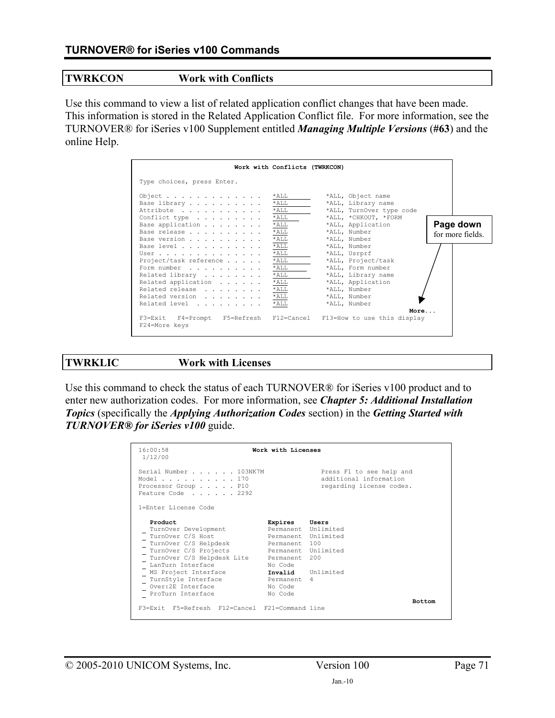#### **TWRKCON Work with Conflicts**

Use this command to view a list of related application conflict changes that have been made. This information is stored in the Related Application Conflict file. For more information, see the TURNOVER® for iSeries v100 Supplement entitled *Managing Multiple Versions* (**#63**) and the online Help.

|                                                                                                                                                              | Work with Conflicts (TWRKCON)                                                                   |                                                                                                                                                                    |                               |
|--------------------------------------------------------------------------------------------------------------------------------------------------------------|-------------------------------------------------------------------------------------------------|--------------------------------------------------------------------------------------------------------------------------------------------------------------------|-------------------------------|
| Type choices, press Enter.                                                                                                                                   |                                                                                                 |                                                                                                                                                                    |                               |
| Object<br>Base library<br>Attribute<br>Conflict type<br>Base application<br>Base release<br>Base version                                                     | *ALL<br>$*$ ALL<br>$*$ ALL<br>$*$ ALL<br>$*$ ALL<br>$*$ ALL<br>$*$ ALL                          | *ALL, Object name<br>*ALL, Library name<br>*ALL, TurnOver type code<br>*ALL, *CHKOUT, *FORM<br>*ALL, Application<br>*ALL, Number<br>*ALL, Number                   | Page down<br>for more fields. |
| Base level<br>User<br>Project/task reference<br>Form number<br>Related library<br>Related application<br>Related release<br>Related version<br>Related level | $*$ ALL<br>$*$ ALL<br>$*$ ALL<br>$*$ ALL<br>$*$ ALL<br>$*$ ALL<br>$*$ ALL<br>$*$ ALL<br>$*$ ALL | *ALL, Number<br>*ALL, Usrprf<br>*ALL, Project/task<br>*ALL, Form number<br>*ALL, Library name<br>*ALL, Application<br>*ALL, Number<br>*ALL, Number<br>*ALL, Number |                               |
| F3=Exit F4=Prompt F5=Refresh F12=Cancel F13=How to use this display<br>F24=More keys                                                                         |                                                                                                 | More                                                                                                                                                               |                               |

**TWRKLIC Work with Licenses** 

Use this command to check the status of each TURNOVER® for iSeries v100 product and to enter new authorization codes. For more information, see *Chapter 5: Additional Installation Topics* (specifically the *Applying Authorization Codes* section) in the *Getting Started with TURNOVER® for iSeries v100* guide.

| 16:00:58<br>1/12/00                                                                                                                                                                                                                                 | Work with Licenses                                                                                                                                                                      |                                                                                |
|-----------------------------------------------------------------------------------------------------------------------------------------------------------------------------------------------------------------------------------------------------|-----------------------------------------------------------------------------------------------------------------------------------------------------------------------------------------|--------------------------------------------------------------------------------|
| Serial Number 103NK7M<br>Model 170<br>Processor Group P10<br>Feature Code 2292                                                                                                                                                                      |                                                                                                                                                                                         | Press F1 to see help and<br>additional information<br>regarding license codes. |
| 1=Enter License Code                                                                                                                                                                                                                                |                                                                                                                                                                                         |                                                                                |
| Product<br>TurnOver Development<br>TurnOver C/S Host<br>TurnOver C/S Helpdesk<br>TurnOver C/S Projects<br>TurnOver C/S Helpdesk Lite<br>LanTurn Interface<br>MS Project Interface<br>TurnStyle Interface<br>Over: 2E Interface<br>ProTurn Interface | Expires Users<br>Permanent Unlimited<br>Permanent Unlimited<br>Permanent 100<br>Permanent Unlimited<br>Permanent 200<br>No Code<br>Invalid Unlimited<br>Permanent<br>No Code<br>No Code | - 4<br><b>Bottom</b>                                                           |
| F3=Exit F5=Refresh F12=Cancel F21=Command line                                                                                                                                                                                                      |                                                                                                                                                                                         |                                                                                |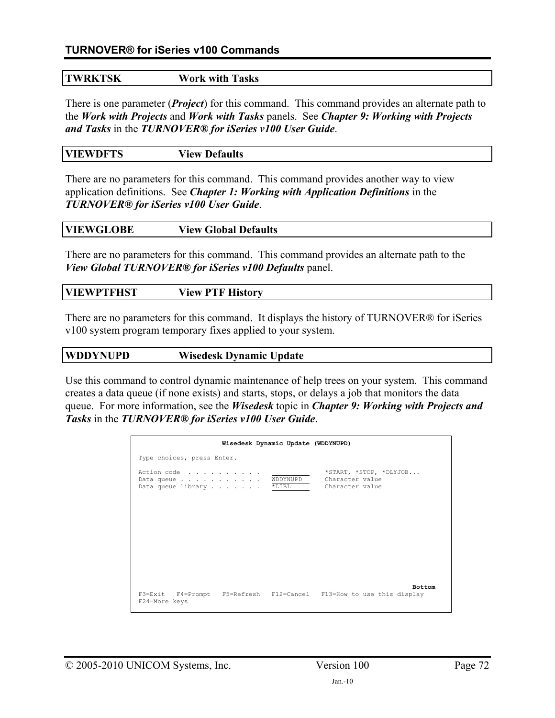# **TURNOVER® for iSeries v100 Commands**

# **TWRKTSK Work with Tasks**

There is one parameter (*Project*) for this command. This command provides an alternate path to the *Work with Projects* and *Work with Tasks* panels. See *Chapter 9: Working with Projects and Tasks* in the *TURNOVER® for iSeries v100 User Guide*.

| <b>VIEWDFTS</b> | <b>View Defaults</b> |
|-----------------|----------------------|
|                 |                      |

There are no parameters for this command. This command provides another way to view application definitions. See *Chapter 1: Working with Application Definitions* in the *TURNOVER® for iSeries v100 User Guide*.

|--|

There are no parameters for this command. This command provides an alternate path to the *View Global TURNOVER® for iSeries v100 Defaults* panel.

| <b>VIEWPTFHST</b> | <b>View PTF History</b> |
|-------------------|-------------------------|
|                   |                         |

There are no parameters for this command. It displays the history of TURNOVER® for iSeries v100 system program temporary fixes applied to your system.

| <b>WDDYNUPD</b> | <b>Wisedesk Dynamic Update</b> |
|-----------------|--------------------------------|
|                 |                                |

Use this command to control dynamic maintenance of help trees on your system. This command creates a data queue (if none exists) and starts, stops, or delays a job that monitors the data queue. For more information, see the *Wisedesk* topic in *Chapter 9: Working with Projects and Tasks* in the *TURNOVER® for iSeries v100 User Guide*.

| Wisedesk Dynamic Update (WDDYNUPD)                                                   |                     |                                                              |  |
|--------------------------------------------------------------------------------------|---------------------|--------------------------------------------------------------|--|
| Type choices, press Enter.                                                           |                     |                                                              |  |
| Action code<br>Data queue<br>Data queue library                                      | WDDYNUPD<br>$*LIBL$ | *START, *STOP, *DLYJOB<br>Character value<br>Character value |  |
|                                                                                      |                     |                                                              |  |
|                                                                                      |                     |                                                              |  |
|                                                                                      |                     |                                                              |  |
| F3=Exit F4=Prompt F5=Refresh F12=Cancel F13=How to use this display<br>F24=More keys |                     | <b>Bottom</b>                                                |  |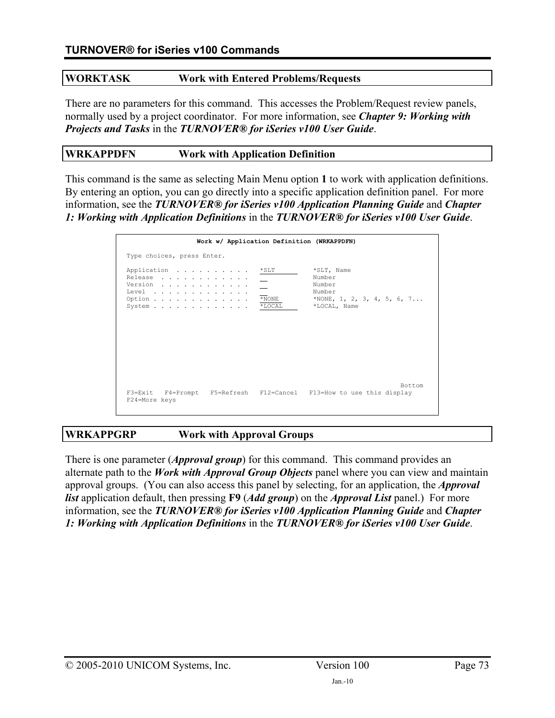### **WORKTASK Work with Entered Problems/Requests**

There are no parameters for this command. This accesses the Problem/Request review panels, normally used by a project coordinator. For more information, see *Chapter 9: Working with Projects and Tasks* in the *TURNOVER® for iSeries v100 User Guide*.

#### **WRKAPPDFN Work with Application Definition**

This command is the same as selecting Main Menu option **1** to work with application definitions. By entering an option, you can go directly into a specific application definition panel. For more information, see the *TURNOVER® for iSeries v100 Application Planning Guide* and *Chapter 1: Working with Application Definitions* in the *TURNOVER® for iSeries v100 User Guide*.

| Work w/ Application Definition (WRKAPPDFN)                                                                                                                |                     |                                                                                        |
|-----------------------------------------------------------------------------------------------------------------------------------------------------------|---------------------|----------------------------------------------------------------------------------------|
| Type choices, press Enter.                                                                                                                                |                     |                                                                                        |
| Application<br>Release<br>Version<br>Level $\ldots$ , $\ldots$ , $\ldots$ , $\ldots$ , $\ldots$<br>Option $\cdots$ , $\cdots$ , $\cdots$<br>System *LOCAL | $*$ SLT<br>$*$ NONE | *SLT, Name<br>Number<br>Number<br>Number<br>*NONE, 1, 2, 3, 4, 5, 6, 7<br>*LOCAL, Name |
| F3=Exit F4=Prompt F5=Refresh F12=Cancel F13=How to use this display<br>F24=More keys                                                                      |                     | Bottom                                                                                 |

# **WRKAPPGRP Work with Approval Groups**

There is one parameter (*Approval group*) for this command. This command provides an alternate path to the *Work with Approval Group Objects* panel where you can view and maintain approval groups. (You can also access this panel by selecting, for an application, the *Approval list* application default, then pressing **F9** (*Add group*) on the *Approval List* panel.) For more information, see the *TURNOVER® for iSeries v100 Application Planning Guide* and *Chapter 1: Working with Application Definitions* in the *TURNOVER® for iSeries v100 User Guide*.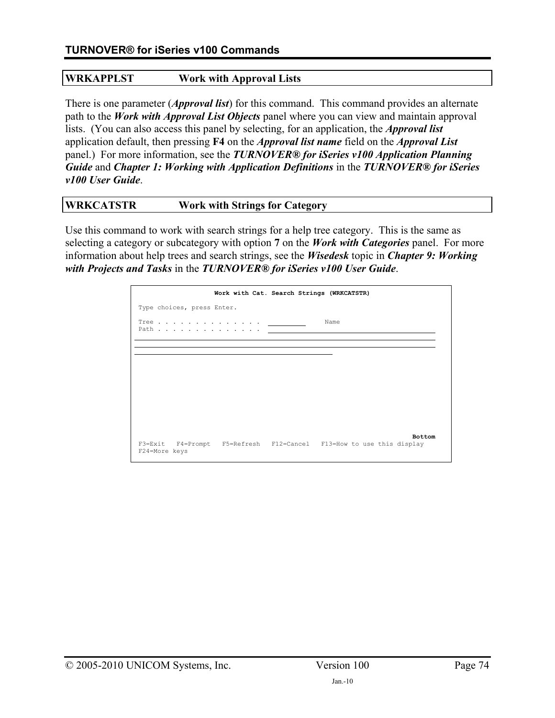# **WRKAPPLST Work with Approval Lists**

There is one parameter (*Approval list*) for this command. This command provides an alternate path to the *Work with Approval List Objects* panel where you can view and maintain approval lists. (You can also access this panel by selecting, for an application, the *Approval list* application default, then pressing **F4** on the *Approval list name* field on the *Approval List* panel.) For more information, see the *TURNOVER® for iSeries v100 Application Planning Guide* and *Chapter 1: Working with Application Definitions* in the *TURNOVER® for iSeries v100 User Guide*.

# **WRKCATSTR Work with Strings for Category**

Use this command to work with search strings for a help tree category. This is the same as selecting a category or subcategory with option **7** on the *Work with Categories* panel. For more information about help trees and search strings, see the *Wisedesk* topic in *Chapter 9: Working with Projects and Tasks* in the *TURNOVER® for iSeries v100 User Guide*.

|                            |                                     | Work with Cat. Search Strings (WRKCATSTR)                           |               |
|----------------------------|-------------------------------------|---------------------------------------------------------------------|---------------|
| Type choices, press Enter. |                                     |                                                                     |               |
|                            | Tree $\qquad \qquad \qquad$<br>Path | Name                                                                |               |
|                            |                                     |                                                                     |               |
|                            |                                     |                                                                     |               |
|                            |                                     |                                                                     |               |
|                            |                                     |                                                                     |               |
| F24=More keys              |                                     | F3=Exit F4=Prompt F5=Refresh F12=Cancel F13=How to use this display | <b>Bottom</b> |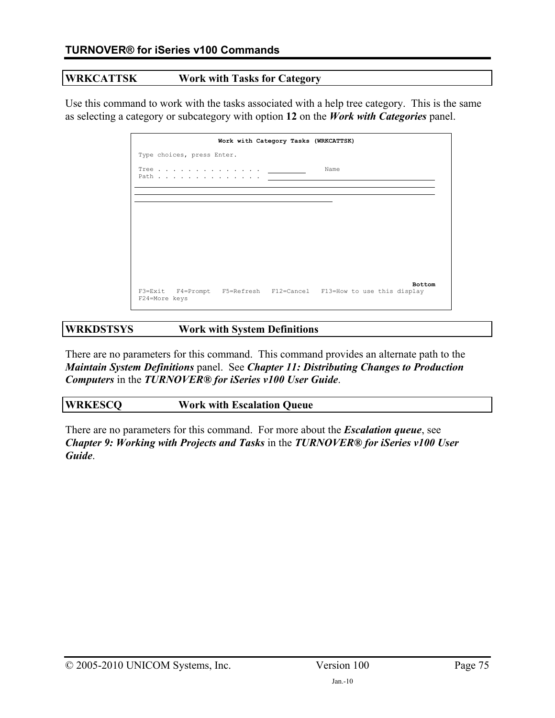# **WRKCATTSK Work with Tasks for Category**

Use this command to work with the tasks associated with a help tree category. This is the same as selecting a category or subcategory with option **12** on the *Work with Categories* panel.

|                            | Work with Category Tasks (WRKCATTSK) |                                                                                      |
|----------------------------|--------------------------------------|--------------------------------------------------------------------------------------|
| Type choices, press Enter. |                                      |                                                                                      |
|                            |                                      | Name                                                                                 |
|                            |                                      |                                                                                      |
|                            |                                      |                                                                                      |
|                            |                                      |                                                                                      |
|                            |                                      |                                                                                      |
|                            |                                      |                                                                                      |
| F24=More keys              |                                      | <b>Bottom</b><br>F3=Exit F4=Prompt F5=Refresh F12=Cancel F13=How to use this display |

# **WRKDSTSYS Work with System Definitions**

There are no parameters for this command. This command provides an alternate path to the *Maintain System Definitions* panel. See *Chapter 11: Distributing Changes to Production Computers* in the *TURNOVER® for iSeries v100 User Guide*.

| <b>WRKESCQ</b> | <b>Work with Escalation Queue</b> |
|----------------|-----------------------------------|
|                |                                   |

There are no parameters for this command. For more about the *Escalation queue*, see *Chapter 9: Working with Projects and Tasks* in the *TURNOVER® for iSeries v100 User Guide*.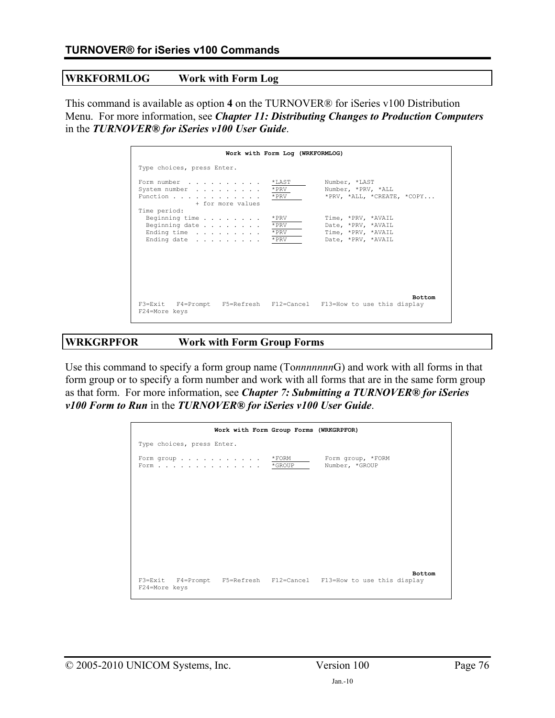#### **WRKFORMLOG Work with Form Log**

This command is available as option **4** on the TURNOVER® for iSeries v100 Distribution Menu. For more information, see *Chapter 11: Distributing Changes to Production Computers* in the *TURNOVER® for iSeries v100 User Guide*.

|                                                                                         | Work with Form Log (WRKFORMLOG)  |                                                                                      |
|-----------------------------------------------------------------------------------------|----------------------------------|--------------------------------------------------------------------------------------|
| Type choices, press Enter.                                                              |                                  |                                                                                      |
| Form number<br>System number<br>Function<br>+ for more values                           | $*$ LAST<br>* PRV<br>* PRV       | Number, *LAST<br>Number, *PRV, *ALL<br>$*$ PRV, $*$ ALL, $*$ CREATE, $*$ COPY        |
| Time period:<br>Beginning time $\cdots$<br>Beginning date<br>Ending time<br>Ending date | * PRV<br>* PRV<br>* PRV<br>* PRV | Time, *PRV, *AVAIL<br>Date, *PRV, *AVAIL<br>Time, *PRV, *AVAIL<br>Date, *PRV, *AVAIL |
| F3=Exit F4=Prompt F5=Refresh F12=Cancel F13=How to use this display<br>F24=More keys    |                                  | <b>Bottom</b>                                                                        |

### **WRKGRPFOR Work with Form Group Forms**

Use this command to specify a form group name (To*nnnnnnn*G) and work with all forms in that form group or to specify a form number and work with all forms that are in the same form group as that form. For more information, see *Chapter 7: Submitting a TURNOVER® for iSeries v100 Form to Run* in the *TURNOVER® for iSeries v100 User Guide*.

|                                                                                      | Work with Form Group Forms (WRKGRPFOR) |                                     |               |
|--------------------------------------------------------------------------------------|----------------------------------------|-------------------------------------|---------------|
| Type choices, press Enter.                                                           |                                        |                                     |               |
| Form group<br>Form *GROUP                                                            | $*$ FORM                               | Form group, *FORM<br>Number, *GROUP |               |
|                                                                                      |                                        |                                     |               |
|                                                                                      |                                        |                                     |               |
|                                                                                      |                                        |                                     |               |
| F3=Exit F4=Prompt F5=Refresh F12=Cancel F13=How to use this display<br>F24=More keys |                                        |                                     | <b>Bottom</b> |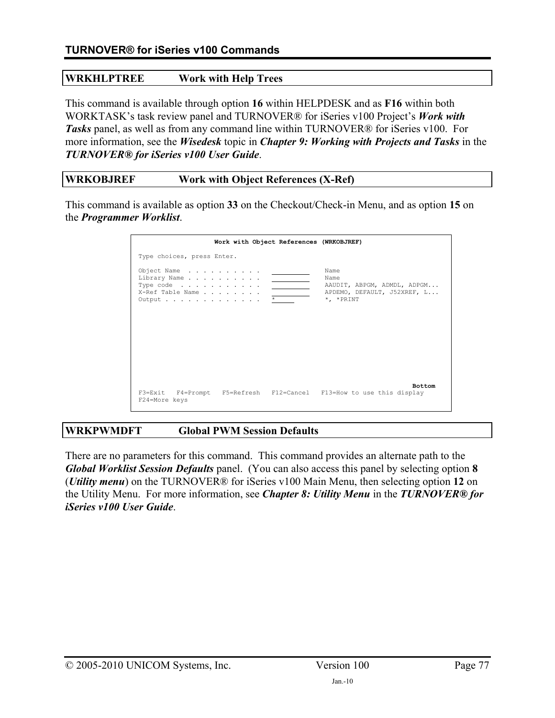# **WRKHLPTREE Work with Help Trees**

This command is available through option **16** within HELPDESK and as **F16** within both WORKTASK's task review panel and TURNOVER® for iSeries v100 Project's *Work with Tasks* panel, as well as from any command line within TURNOVER® for iSeries v100.For more information, see the *Wisedesk* topic in *Chapter 9: Working with Projects and Tasks* in the *TURNOVER® for iSeries v100 User Guide*.

# **WRKOBJREF Work with Object References (X-Ref)**

This command is available as option **33** on the Checkout/Check-in Menu, and as option **15** on the *Programmer Worklist*.

| Work with Object References (WRKOBJREF)                                                                                                         |                                                                                         |
|-------------------------------------------------------------------------------------------------------------------------------------------------|-----------------------------------------------------------------------------------------|
| Type choices, press Enter.                                                                                                                      |                                                                                         |
| Object Name<br>Library Name<br>Type code $\ldots$ , $\ldots$ , $\ldots$<br>X-Ref Table Name<br>Output $\ldots$ , $\ldots$ , $\ldots$ , $\ldots$ | Name<br>Name<br>AAUDIT, ABPGM, ADMDL, ADPGM<br>APDEMO, DEFAULT, J52XREF, L<br>*, *PRINT |
| F3=Exit F4=Prompt F5=Refresh F12=Cancel F13=How to use this display<br>F24=More keys                                                            | <b>Bottom</b>                                                                           |

# **WRKPWMDFT Global PWM Session Defaults**

There are no parameters for this command. This command provides an alternate path to the *Global Worklist Session Defaults* panel. (You can also access this panel by selecting option **8** (*Utility menu*) on the TURNOVER® for iSeries v100 Main Menu, then selecting option **12** on the Utility Menu. For more information, see *Chapter 8: Utility Menu* in the *TURNOVER® for iSeries v100 User Guide*.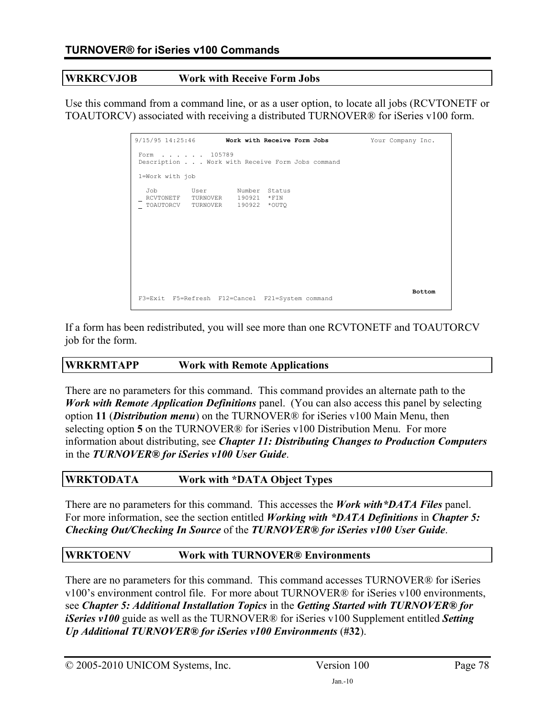#### **WRKRCVJOB Work with Receive Form Jobs**

Use this command from a command line, or as a user option, to locate all jobs (RCVTONETF or TOAUTORCV) associated with receiving a distributed TURNOVER® for iSeries v100 form.

| $9/15/95$ 14:25:46 Work with Receive Form Jobs                                                 | Your Company Inc. |
|------------------------------------------------------------------------------------------------|-------------------|
| Form 105789<br>Description Work with Receive Form Jobs command                                 |                   |
| 1=Work with job                                                                                |                   |
| Job<br>User Number Status<br>RCVTONETF TURNOVER 190921 *FIN<br>TOAUTORCV TURNOVER 190922 *OUTO |                   |
| F3=Exit F5=Refresh F12=Cancel F21=System command                                               | <b>Bottom</b>     |

If a form has been redistributed, you will see more than one RCVTONETF and TOAUTORCV job for the form.

### **WRKRMTAPP Work with Remote Applications**

There are no parameters for this command. This command provides an alternate path to the *Work with Remote Application Definitions* panel. (You can also access this panel by selecting option **11** (*Distribution menu*) on the TURNOVER® for iSeries v100 Main Menu, then selecting option **5** on the TURNOVER® for iSeries v100 Distribution Menu. For more information about distributing, see *Chapter 11: Distributing Changes to Production Computers* in the *TURNOVER® for iSeries v100 User Guide*.

#### **WRKTODATA Work with \*DATA Object Types**

There are no parameters for this command. This accesses the *Work with\*DATA Files* panel. For more information, see the section entitled *Working with \*DATA Definitions* in *Chapter 5: Checking Out/Checking In Source* of the *TURNOVER® for iSeries v100 User Guide*.

### **WRKTOENV Work with TURNOVER® Environments**

There are no parameters for this command. This command accesses TURNOVER® for iSeries v100's environment control file. For more about TURNOVER® for iSeries v100 environments, see *Chapter 5: Additional Installation Topics* in the *Getting Started with TURNOVER® for iSeries v100* guide as well as the TURNOVER® for iSeries v100 Supplement entitled *Setting Up Additional TURNOVER® for iSeries v100 Environments* (**#32**).